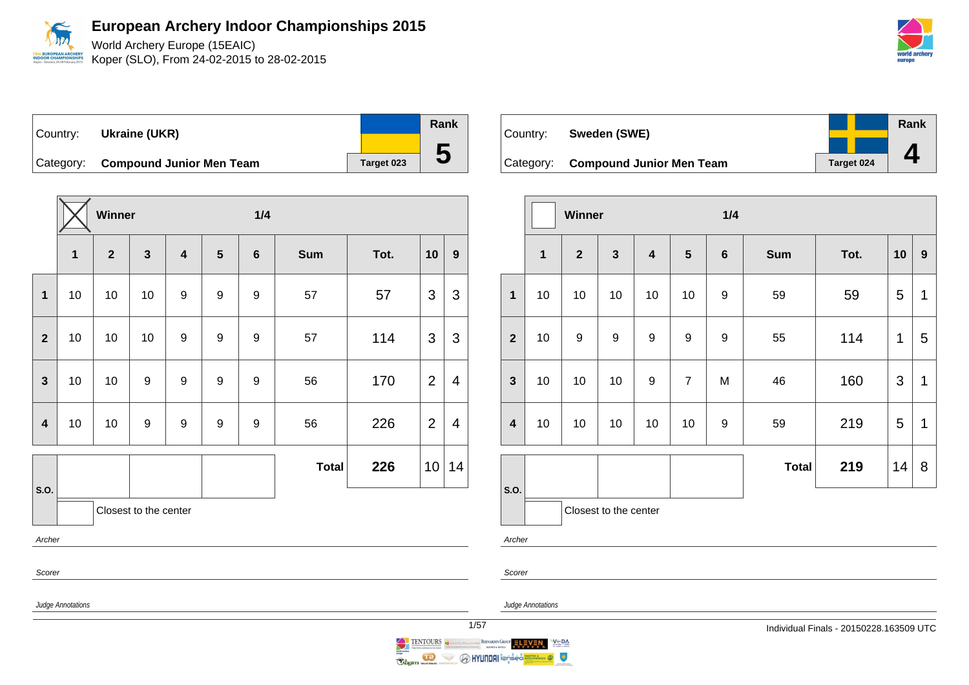

World Archery Europe (15EAIC) Koper (SLO), From 24-02-2015 to 28-02-2015

Country: **Ukraine (UKR)** Category: **Compound Junior Men Team** Target 023 **Rank 5**

|              |             | Winner       |                       |                         |                  | 1/4              |              |      |                |                  |
|--------------|-------------|--------------|-----------------------|-------------------------|------------------|------------------|--------------|------|----------------|------------------|
|              | $\mathbf 1$ | $\mathbf{2}$ | $\mathbf{3}$          | $\overline{\mathbf{4}}$ | $5\phantom{1}$   | $\bf 6$          | <b>Sum</b>   | Tot. | 10             | $\boldsymbol{9}$ |
| $\mathbf{1}$ | 10          | 10           | 10                    | $\boldsymbol{9}$        | 9                | $\boldsymbol{9}$ | 57           | 57   | 3              | 3                |
| $\mathbf{2}$ | 10          | 10           | 10                    | 9                       | $\boldsymbol{9}$ | $\boldsymbol{9}$ | 57           | 114  | 3              | 3                |
| $\mathbf{3}$ | 10          | 10           | $\boldsymbol{9}$      | 9                       | 9                | $\boldsymbol{9}$ | 56           | 170  | $\overline{2}$ | 4                |
| 4            | 10          | 10           | 9                     | 9                       | $\boldsymbol{9}$ | $\boldsymbol{9}$ | 56           | 226  | $\overline{2}$ | $\overline{4}$   |
|              |             |              |                       |                         |                  |                  | <b>Total</b> | 226  | 10             | 14               |
| S.O.         |             |              | Closest to the center |                         |                  |                  |              |      |                |                  |
| Archer       |             |              |                       |                         |                  |                  |              |      |                |                  |
|              | Scorer      |              |                       |                         |                  |                  |              |      |                |                  |

| Country: | Sweden (SWE)                       |            | Rank |
|----------|------------------------------------|------------|------|
|          |                                    |            |      |
|          | Category: Compound Junior Men Team | Target 024 |      |

|                         |              | Winner           |                       |                         |                | 1/4              |              |      |                |                  |
|-------------------------|--------------|------------------|-----------------------|-------------------------|----------------|------------------|--------------|------|----------------|------------------|
|                         | $\mathbf{1}$ | $\overline{2}$   | $\mathbf{3}$          | $\overline{\mathbf{4}}$ | $5\phantom{1}$ | $\boldsymbol{6}$ | <b>Sum</b>   | Tot. | 10             | $\boldsymbol{9}$ |
| $\mathbf{1}$            | 10           | 10               | 10                    | 10                      | 10             | $\boldsymbol{9}$ | 59           | 59   | 5              | 1                |
| $\overline{2}$          | 10           | $\boldsymbol{9}$ | 9                     | $\boldsymbol{9}$        | 9              | 9                | 55           | 114  | 1              | 5                |
| $\mathbf{3}$            | 10           | 10               | 10                    | 9                       | $\overline{7}$ | M                | 46           | 160  | $\mathfrak{S}$ | $\mathbf 1$      |
| $\overline{\mathbf{4}}$ | 10           | 10               | 10                    | 10                      | 10             | 9                | 59           | 219  | 5              | 1                |
|                         |              |                  |                       |                         |                |                  | <b>Total</b> | 219  | 14             | 8                |
| S.O.                    |              |                  | Closest to the center |                         |                |                  |              |      |                |                  |

Archer

Scorer

Judge Annotations

Judge Annotations



TENTOURS BERNARDIN GROUP ELEVEN  $V \subseteq DA$ Ragin Marian **O HYUNDAI** i@nsed  $\bullet$  $\iff$ 

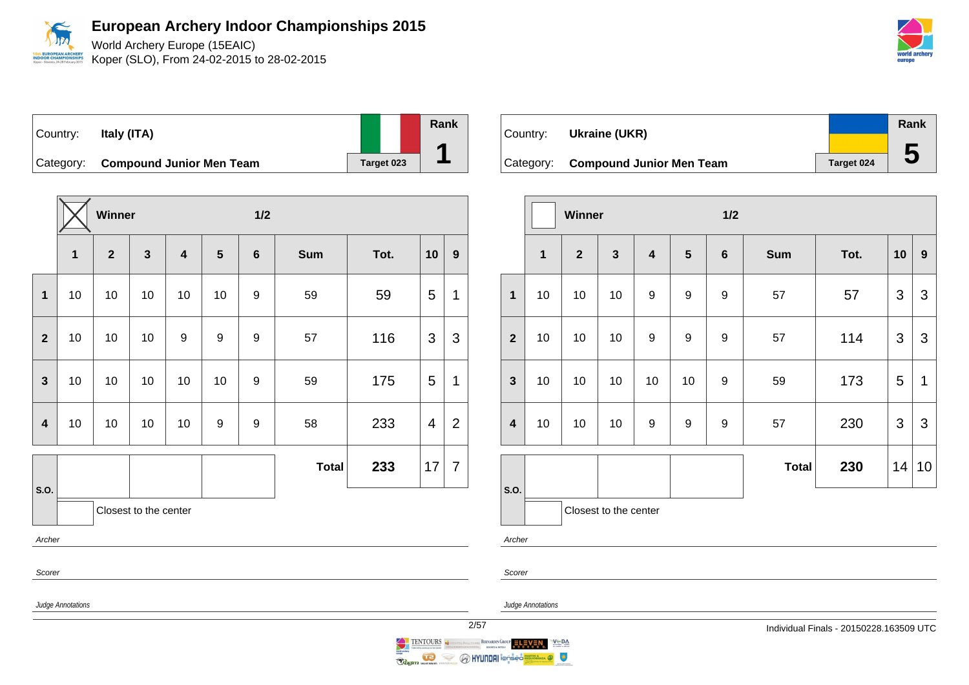

| Country:    | Italy (ITA)                     |            | Rank |
|-------------|---------------------------------|------------|------|
| l Category: | <b>Compound Junior Men Team</b> | Target 023 |      |

|                         |    | Winner         |                       |                         |    | 1/2 |              |      |    |                |
|-------------------------|----|----------------|-----------------------|-------------------------|----|-----|--------------|------|----|----------------|
|                         | 1  | $\overline{2}$ | $\mathbf{3}$          | $\overline{\mathbf{4}}$ | 5  | 6   | <b>Sum</b>   | Tot. | 10 | 9              |
| $\mathbf{1}$            | 10 | 10             | 10                    | 10                      | 10 | 9   | 59           | 59   | 5  | 1              |
| $\overline{2}$          | 10 | 10             | 10                    | 9                       | 9  | 9   | 57           | 116  | 3  | 3              |
| $\overline{\mathbf{3}}$ | 10 | 10             | 10                    | 10                      | 10 | 9   | 59           | 175  | 5  | 1              |
| $\overline{\mathbf{4}}$ | 10 | 10             | 10                    | 10                      | 9  | 9   | 58           | 233  | 4  | $\overline{2}$ |
|                         |    |                |                       |                         |    |     | <b>Total</b> | 233  | 17 | $\overline{7}$ |
| S.O.                    |    |                | Closest to the center |                         |    |     |              |      |    |                |
| Archer                  |    |                |                       |                         |    |     |              |      |    |                |
| Scorer                  |    |                |                       |                         |    |     |              |      |    |                |

Country: **Ukraine (UKR)** Category: **Compound Junior Men Team** Target 024 **Rank 5**

|                  |                         | Winner         |                       |                         |                  | 1/2     |              |      |                |                  |
|------------------|-------------------------|----------------|-----------------------|-------------------------|------------------|---------|--------------|------|----------------|------------------|
|                  | $\overline{\mathbf{1}}$ | $\overline{2}$ | $\mathbf{3}$          | $\overline{\mathbf{4}}$ | $5\phantom{.0}$  | $\bf 6$ | <b>Sum</b>   | Tot. | 10             | $\boldsymbol{9}$ |
| $\mathbf{1}$     | 10                      | 10             | 10                    | $\boldsymbol{9}$        | $\boldsymbol{9}$ | 9       | 57           | 57   | 3              | 3                |
| $\overline{2}$   | 10                      | 10             | 10                    | $\boldsymbol{9}$        | $\mathsf g$      | 9       | 57           | 114  | 3              | 3                |
| $\mathbf{3}$     | 10                      | 10             | 10                    | 10                      | 10               | 9       | 59           | 173  | 5              | $\mathbf 1$      |
| $\boldsymbol{4}$ | 10                      | 10             | 10                    | 9                       | $\boldsymbol{9}$ | 9       | 57           | 230  | $\mathfrak{S}$ | 3                |
|                  |                         |                |                       |                         |                  |         | <b>Total</b> | 230  | 14             | 10               |
| S.O.             |                         |                | Closest to the center |                         |                  |         |              |      |                |                  |
| Archer           |                         |                |                       |                         |                  |         |              |      |                |                  |



Judge Annotations

BERNARDIN GROUP ELEVEN

 $V \subseteq DA$ 

 $\circ$ 

Scorer



**O HYUNDA**I i@psed

TENTOURS CONTINUES

 $\iff$ 

Ragin mariam

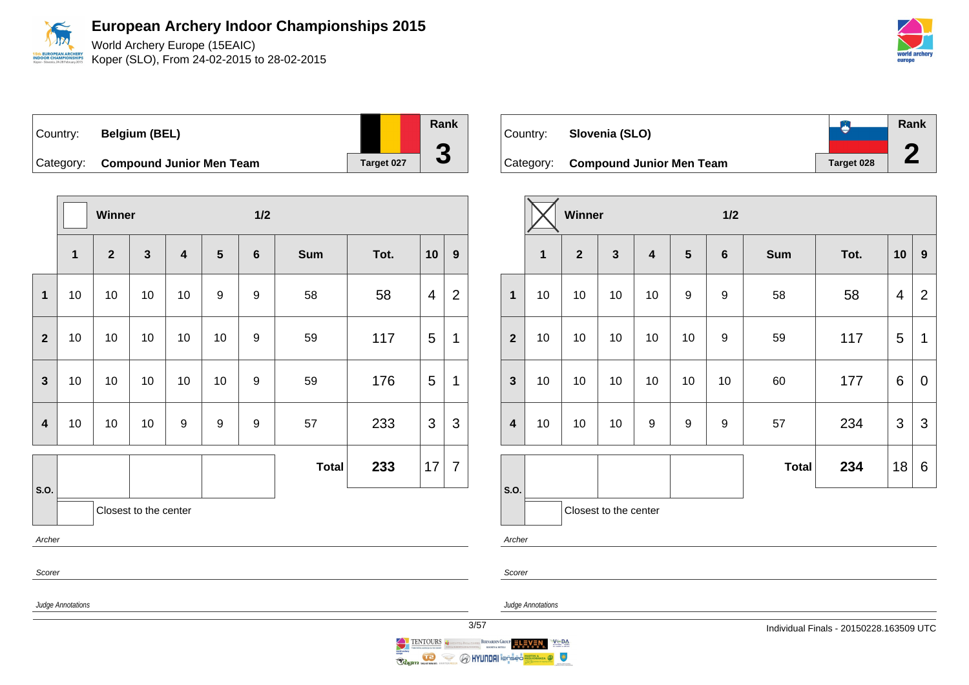

World Archery Europe (15EAIC) Koper (SLO), From 24-02-2015 to 28-02-2015



Country: **Belgium (BEL)** Category: **Compound Junior Men Team** Target 027

|                         |              | Winner       |                       |                         |    | 1/2            |              |      |    |                |
|-------------------------|--------------|--------------|-----------------------|-------------------------|----|----------------|--------------|------|----|----------------|
|                         | $\mathbf{1}$ | $\mathbf{2}$ | $\mathbf{3}$          | $\overline{\mathbf{4}}$ | 5  | $6\phantom{1}$ | <b>Sum</b>   | Tot. | 10 | $\mathbf{9}$   |
| $\mathbf{1}$            | 10           | 10           | 10                    | 10                      | 9  | 9              | 58           | 58   | 4  | $\overline{2}$ |
| $\overline{2}$          | 10           | 10           | 10                    | 10                      | 10 | 9              | 59           | 117  | 5  | 1              |
| 3                       | 10           | 10           | 10                    | 10                      | 10 | 9              | 59           | 176  | 5  | 1              |
| $\overline{\mathbf{4}}$ | 10           | 10           | 10                    | $\boldsymbol{9}$        | 9  | 9              | 57           | 233  | 3  | 3              |
|                         |              |              |                       |                         |    |                | <b>Total</b> | 233  | 17 | $\overline{7}$ |
| S.O.                    |              |              | Closest to the center |                         |    |                |              |      |    |                |
| Archer                  |              |              |                       |                         |    |                |              |      |    |                |
| Scorer                  |              |              |                       |                         |    |                |              |      |    |                |

| Country: | Slovenia (SLO)                     |                   | Rank |
|----------|------------------------------------|-------------------|------|
|          |                                    |                   |      |
|          | Category: Compound Junior Men Team | <b>Target 028</b> |      |

|                         |              | Winner       |                         |                         |                  | 1/2              |              |      |                         |                  |
|-------------------------|--------------|--------------|-------------------------|-------------------------|------------------|------------------|--------------|------|-------------------------|------------------|
|                         | $\mathbf{1}$ | $\mathbf{2}$ | $\overline{\mathbf{3}}$ | $\overline{\mathbf{4}}$ | $5\phantom{1}$   | $\bf 6$          | <b>Sum</b>   | Tot. | 10                      | $\boldsymbol{9}$ |
| $\mathbf{1}$            | 10           | 10           | 10                      | 10                      | $\boldsymbol{9}$ | $\boldsymbol{9}$ | 58           | 58   | $\overline{\mathbf{4}}$ | $\overline{2}$   |
| $\overline{2}$          | 10           | 10           | 10                      | 10                      | 10               | 9                | 59           | 117  | 5                       | 1                |
| $\mathbf{3}$            | 10           | 10           | 10                      | 10                      | 10               | 10               | 60           | 177  | $\,6$                   | $\mathbf 0$      |
| $\overline{\mathbf{4}}$ | 10           | 10           | 10                      | 9                       | 9                | 9                | 57           | 234  | $\mathfrak{S}$          | 3                |
|                         |              |              |                         |                         |                  |                  | <b>Total</b> | 234  | 18                      | 6                |
| S.O.                    |              |              | Closest to the center   |                         |                  |                  |              |      |                         |                  |

Archer

Scorer

Judge Annotations

Judge Annotations

**Rank**

**3**

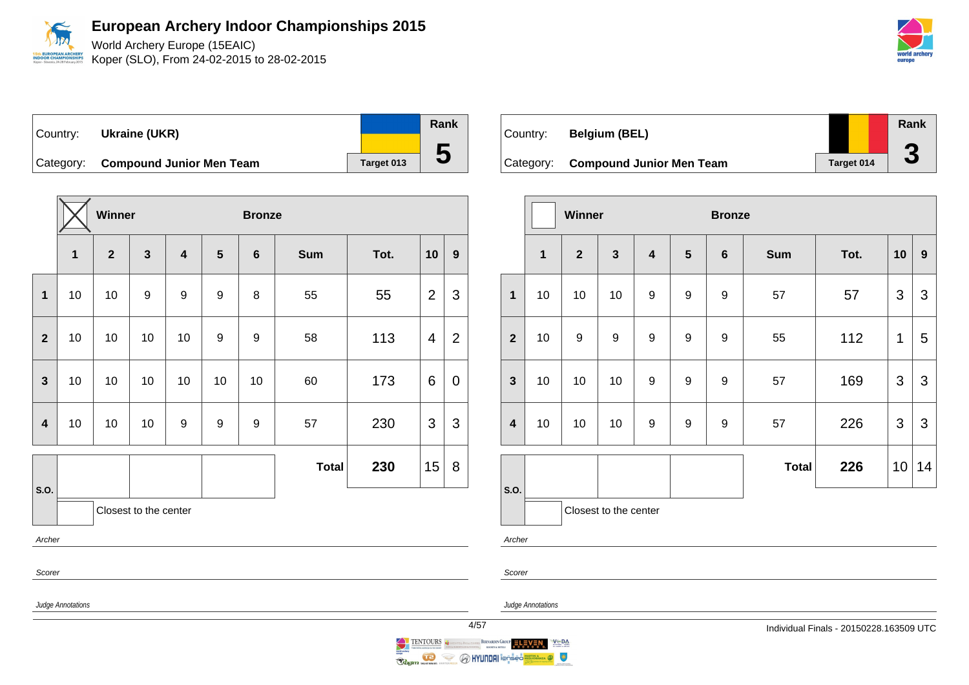

World Archery Europe (15EAIC) Koper (SLO), From 24-02-2015 to 28-02-2015

| Country: | Ukraine (UKR)                      |            | Rank |
|----------|------------------------------------|------------|------|
|          |                                    |            |      |
|          | Category: Compound Junior Men Team | Target 013 | IJ   |

|                         |             | Winner       |                       |                         |                  | <b>Bronze</b>    |              |      |                |                  |
|-------------------------|-------------|--------------|-----------------------|-------------------------|------------------|------------------|--------------|------|----------------|------------------|
|                         | $\mathbf 1$ | $\mathbf{2}$ | $\mathbf{3}$          | $\overline{\mathbf{4}}$ | $5\phantom{1}$   | $6\phantom{1}6$  | Sum          | Tot. | 10             | $\boldsymbol{9}$ |
| $\mathbf{1}$            | 10          | 10           | $\boldsymbol{9}$      | $\boldsymbol{9}$        | 9                | 8                | 55           | 55   | $\overline{2}$ | 3                |
| $\overline{2}$          | 10          | 10           | 10                    | 10                      | $\boldsymbol{9}$ | $\boldsymbol{9}$ | 58           | 113  | 4              | $\overline{2}$   |
| $\overline{\mathbf{3}}$ | 10          | 10           | 10                    | 10                      | 10               | 10               | 60           | 173  | 6              | $\mathbf 0$      |
| 4                       | 10          | 10           | 10                    | 9                       | 9                | 9                | 57           | 230  | 3              | 3                |
|                         |             |              |                       |                         |                  |                  | <b>Total</b> | 230  | 15             | 8                |
| S.O.                    |             |              | Closest to the center |                         |                  |                  |              |      |                |                  |
| Archer                  |             |              |                       |                         |                  |                  |              |      |                |                  |
| Scorer                  |             |              |                       |                         |                  |                  |              |      |                |                  |

| Country: | <b>Belgium (BEL)</b>               |            | Rank<br>m |
|----------|------------------------------------|------------|-----------|
|          | Category: Compound Junior Men Team | Target 014 | J         |

|                         |    | Winner         |                       |                         |                  | <b>Bronze</b>    |              |      |                |                  |
|-------------------------|----|----------------|-----------------------|-------------------------|------------------|------------------|--------------|------|----------------|------------------|
|                         | 1  | $\overline{2}$ | $\mathbf{3}$          | $\overline{\mathbf{4}}$ | $5\phantom{1}$   | $\bf 6$          | <b>Sum</b>   | Tot. | 10             | $\boldsymbol{9}$ |
| $\overline{1}$          | 10 | 10             | 10                    | 9                       | 9                | $\boldsymbol{9}$ | 57           | 57   | $\mathfrak{S}$ | 3                |
| $\overline{2}$          | 10 | 9              | 9                     | $\boldsymbol{9}$        | $\boldsymbol{9}$ | 9                | 55           | 112  | 1              | 5                |
| $\mathbf{3}$            | 10 | 10             | 10                    | 9                       | 9                | 9                | 57           | 169  | 3              | 3                |
| $\overline{\mathbf{4}}$ | 10 | 10             | 10                    | $\boldsymbol{9}$        | $\boldsymbol{9}$ | 9                | 57           | 226  | 3              | 3                |
|                         |    |                |                       |                         |                  |                  | <b>Total</b> | 226  | 10             | 14               |
| S.O.                    |    |                |                       |                         |                  |                  |              |      |                |                  |
|                         |    |                | Closest to the center |                         |                  |                  |              |      |                |                  |

Archer

Judge Annotations

Judge Annotations

BERNARDIN GROUP ELEVEN

 $V \subseteq BA$ 

 $\bullet$ 

Scorer



**O HYUNDAI** ionseo

TENTOURS

 $\iff$ 

Ragin

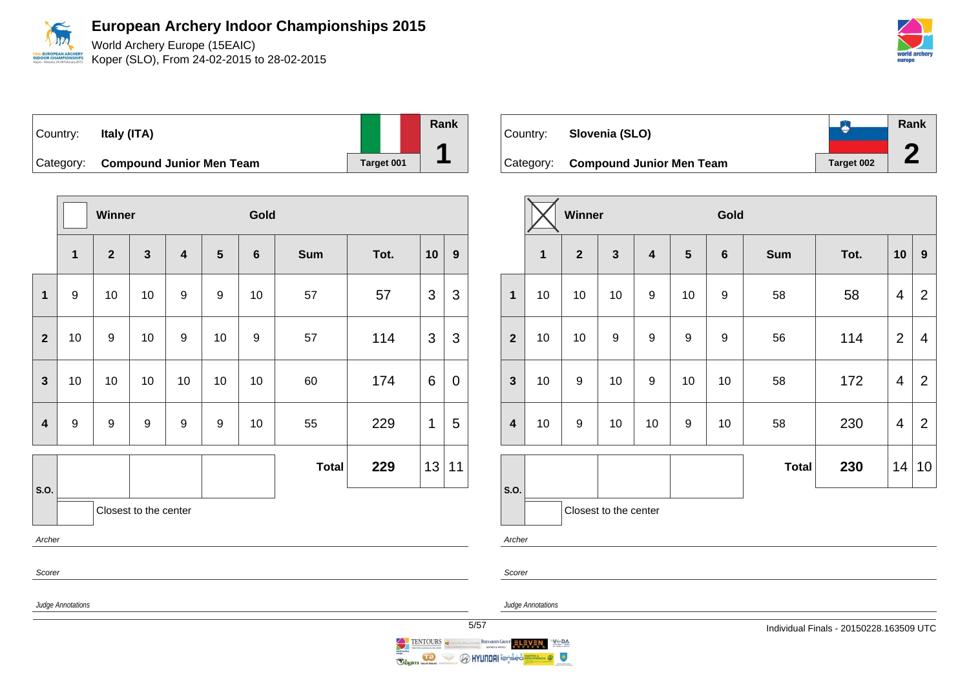World Archery Europe (15EAIC) Koper (SLO), From 24-02-2015 to 28-02-2015

Country: **Italy (ITA)** Category: **Compound Junior Men Team** Target 001 **Rank 1**

|                         |                       | <b>Winner</b>  |              |                         | Gold             |                  |              |      |    |                  |
|-------------------------|-----------------------|----------------|--------------|-------------------------|------------------|------------------|--------------|------|----|------------------|
|                         | $\mathbf{1}$          | $\overline{2}$ | $\mathbf{3}$ | $\overline{\mathbf{4}}$ | $5\phantom{1}$   | $\bf 6$          | <b>Sum</b>   | Tot. | 10 | $\boldsymbol{9}$ |
| 1                       | 9                     | 10             | 10           | 9                       | 9                | 10               | 57           | 57   | 3  | 3                |
| $\overline{2}$          | 10                    | 9              | 10           | 9                       | 10               | $\boldsymbol{9}$ | 57           | 114  | 3  | 3                |
| $\mathbf{3}$            | 10                    | 10             | 10           | 10                      | 10               | 10               | 60           | 174  | 6  | $\pmb{0}$        |
| $\overline{\mathbf{4}}$ | 9                     | 9              | 9            | 9                       | $\boldsymbol{9}$ | 10               | 55           | 229  | 1  | 5                |
|                         |                       |                |              |                         |                  |                  | <b>Total</b> | 229  | 13 | 11               |
| S.O.                    | Closest to the center |                |              |                         |                  |                  |              |      |    |                  |
| Archer                  |                       |                |              |                         |                  |                  |              |      |    |                  |
| Scorer                  |                       |                |              |                         |                  |                  |              |      |    |                  |

| Country: | Slovenia (SLO)                     |            | <b>Rank</b> |
|----------|------------------------------------|------------|-------------|
|          |                                    |            |             |
|          | Category: Compound Junior Men Team | Target 002 |             |

|                         |    | Winner         |                       |                         |                  | Gold    |              |      |                |                         |
|-------------------------|----|----------------|-----------------------|-------------------------|------------------|---------|--------------|------|----------------|-------------------------|
|                         | 1  | $\overline{2}$ | $\mathbf{3}$          | $\overline{\mathbf{4}}$ | $5\phantom{1}$   | $\bf 6$ | <b>Sum</b>   | Tot. | 10             | $\boldsymbol{9}$        |
| $\mathbf{1}$            | 10 | 10             | 10                    | $\boldsymbol{9}$        | 10               | 9       | 58           | 58   | $\overline{4}$ | $\overline{2}$          |
| $\overline{2}$          | 10 | 10             | 9                     | 9                       | 9                | 9       | 56           | 114  | $\overline{2}$ | $\overline{\mathbf{4}}$ |
| $\mathbf{3}$            | 10 | 9              | 10                    | $\boldsymbol{9}$        | 10               | 10      | 58           | 172  | $\overline{4}$ | $\overline{2}$          |
| $\overline{\mathbf{4}}$ | 10 | 9              | 10                    | 10                      | $\boldsymbol{9}$ | 10      | 58           | 230  | 4              | $\overline{2}$          |
|                         |    |                |                       |                         |                  |         |              |      |                |                         |
|                         |    |                |                       |                         |                  |         | <b>Total</b> | 230  | 14             | 10                      |
| S.O.                    |    |                |                       |                         |                  |         |              |      |                |                         |
|                         |    |                | Closest to the center |                         |                  |         |              |      |                |                         |

Archer

Scorer

Judge Annotations

Judge Annotations

BERNARDIN GROUP ELEVEN

 $V \subseteq DA$ 

 $\bullet$ 

**O HYUNDAI** i@nsed

TENTOURS CONTINUES

 $\iff$ 

Ragin Marine

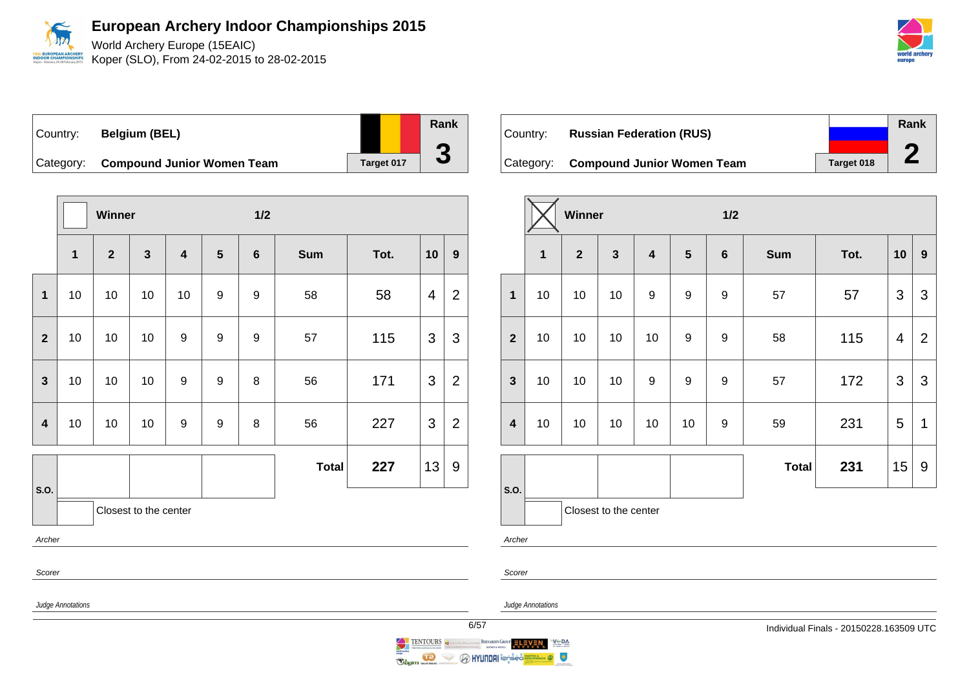

World Archery Europe (15EAIC) Koper (SLO), From 24-02-2015 to 28-02-2015



Country: **Belgium (BEL)**

|                         | Category:             | <b>Compound Junior Women Team</b> | Target 017   |                         |                  |                |              |      |    |                |
|-------------------------|-----------------------|-----------------------------------|--------------|-------------------------|------------------|----------------|--------------|------|----|----------------|
|                         |                       |                                   |              |                         |                  |                |              |      |    |                |
|                         |                       | Winner                            |              |                         |                  | 1/2            |              |      |    |                |
|                         | $\mathbf{1}$          | $\overline{2}$                    | $\mathbf{3}$ | $\overline{\mathbf{4}}$ | 5                | $6\phantom{1}$ | <b>Sum</b>   | Tot. | 10 | 9              |
| $\mathbf{1}$            | 10                    | 10                                | 10           | 10                      | 9                | 9              | 58           | 58   | 4  | $\overline{2}$ |
| $\overline{2}$          | 10                    | 10                                | 10           | $\boldsymbol{9}$        | $\boldsymbol{9}$ | $\mathsf g$    | 57           | 115  | 3  | 3              |
| 3                       | 10                    | 10                                | 10           | $\boldsymbol{9}$        | $\boldsymbol{9}$ | 8              | 56           | 171  | 3  | $\overline{2}$ |
| $\overline{\mathbf{4}}$ | 10                    | 10                                | 10           | $\boldsymbol{9}$        | $\boldsymbol{9}$ | 8              | 56           | 227  | 3  | $\overline{2}$ |
| S.O.                    |                       |                                   |              |                         |                  |                | <b>Total</b> | 227  | 13 | 9              |
|                         | Closest to the center |                                   |              |                         |                  |                |              |      |    |                |
| Archer                  |                       |                                   |              |                         |                  |                |              |      |    |                |
|                         |                       |                                   |              |                         |                  |                |              |      |    |                |

| ∣Country: | <b>Russian Federation (RUS)</b>      |            | Rank |
|-----------|--------------------------------------|------------|------|
|           |                                      |            |      |
|           | Category: Compound Junior Women Team | Target 018 |      |

|                         |              | Winner         |                       |                         |                  | 1/2              |              |      |    |                  |  |
|-------------------------|--------------|----------------|-----------------------|-------------------------|------------------|------------------|--------------|------|----|------------------|--|
|                         | $\mathbf{1}$ | $\overline{2}$ | $\mathbf{3}$          | $\overline{\mathbf{4}}$ | $5\phantom{1}$   | $\bf 6$          | <b>Sum</b>   | Tot. | 10 | $\boldsymbol{9}$ |  |
| $\mathbf{1}$            | 10           | 10             | 10                    | $\boldsymbol{9}$        | 9                | 9                | 57           | 57   | 3  | 3                |  |
| $\overline{2}$          | 10           | 10             | 10                    | 10                      | $\mathsf g$      | $\boldsymbol{9}$ | 58           | 115  | 4  | $\overline{2}$   |  |
| $\mathbf{3}$            | 10           | 10             | 10                    | $\boldsymbol{9}$        | $\boldsymbol{9}$ | 9                | 57           | 172  | 3  | 3                |  |
| $\overline{\mathbf{4}}$ | 10           | 10             | 10                    | 10                      | 10               | 9                | 59           | 231  | 5  | 1                |  |
|                         |              |                |                       |                         |                  |                  | <b>Total</b> | 231  | 15 | 9                |  |
| S.O.                    |              |                | Closest to the center |                         |                  |                  |              |      |    |                  |  |

Archer

Scorer

Scorer

Judge Annotations

Judge Annotations

**Rank**

**3**

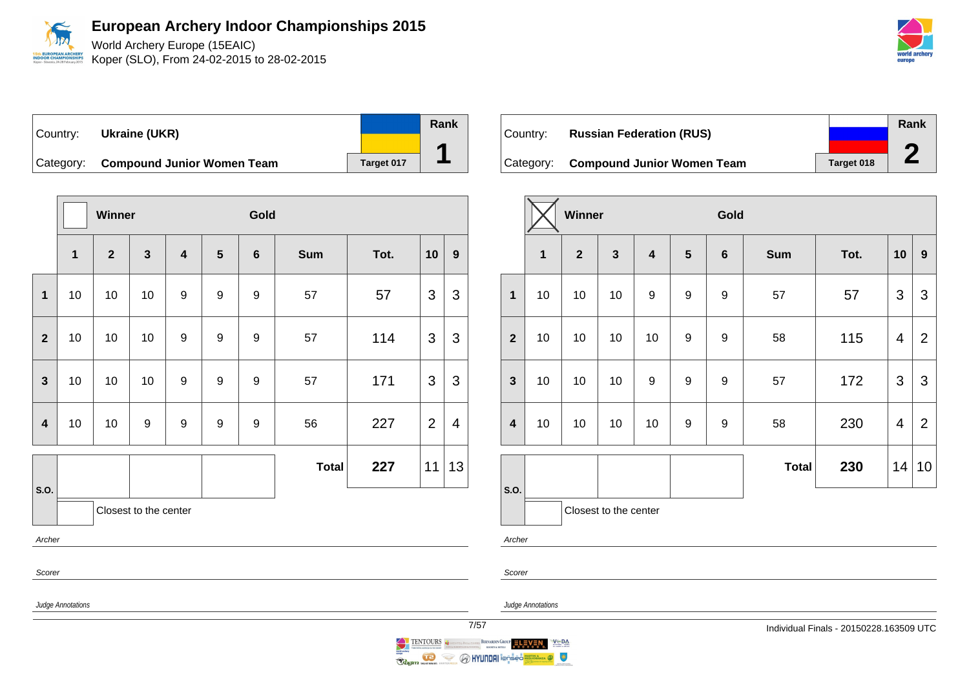

World Archery Europe (15EAIC) Koper (SLO), From 24-02-2015 to 28-02-2015

| ∣Country: ⊥ | Ukraine (UKR)                        |            | Rank |
|-------------|--------------------------------------|------------|------|
|             |                                      |            | ▰    |
|             | Category: Compound Junior Women Team | Target 017 |      |

|                  |              | Winner       |                       |                         |                  | Gold             |              |      |                           |                         |
|------------------|--------------|--------------|-----------------------|-------------------------|------------------|------------------|--------------|------|---------------------------|-------------------------|
|                  | $\mathbf{1}$ | $\mathbf{2}$ | $\mathbf{3}$          | $\overline{\mathbf{4}}$ | $5\phantom{1}$   | $6\phantom{1}6$  | <b>Sum</b>   | Tot. | 10                        | $\boldsymbol{9}$        |
| $\mathbf{1}$     | 10           | 10           | 10                    | $\boldsymbol{9}$        | 9                | $\boldsymbol{9}$ | 57           | 57   | 3                         | 3                       |
| $\mathbf{2}$     | 10           | 10           | 10                    | 9                       | 9                | 9                | 57           | 114  | 3                         | 3                       |
| $\mathbf{3}$     | 10           | 10           | 10                    | $\boldsymbol{9}$        | $\boldsymbol{9}$ | $\boldsymbol{9}$ | 57           | 171  | $\ensuremath{\mathsf{3}}$ | $\mathfrak{S}$          |
| $\boldsymbol{4}$ | 10           | 10           | $\boldsymbol{9}$      | $\boldsymbol{9}$        | 9                | 9                | 56           | 227  | $\overline{2}$            | $\overline{\mathbf{4}}$ |
|                  |              |              |                       |                         |                  |                  | <b>Total</b> | 227  | 11                        | 13                      |
| S.O.             |              |              | Closest to the center |                         |                  |                  |              |      |                           |                         |
| Archer           |              |              |                       |                         |                  |                  |              |      |                           |                         |
| Scorer           |              |              |                       |                         |                  |                  |              |      |                           |                         |

| Country: | <b>Russian Federation (RUS)</b>      |            | Rank |
|----------|--------------------------------------|------------|------|
|          | Category: Compound Junior Women Team | Target 018 |      |

|                  |              | Winner         |                         |                         |                  | Gold             |              |      |    |                |
|------------------|--------------|----------------|-------------------------|-------------------------|------------------|------------------|--------------|------|----|----------------|
|                  | $\mathbf{1}$ | $\overline{2}$ | $\overline{\mathbf{3}}$ | $\overline{\mathbf{4}}$ | $5\phantom{1}$   | $\bf 6$          | <b>Sum</b>   | Tot. | 10 | 9              |
| $\overline{1}$   | 10           | 10             | 10                      | $\boldsymbol{9}$        | $\boldsymbol{9}$ | 9                | 57           | 57   | 3  | 3              |
| $\overline{2}$   | 10           | 10             | 10                      | 10                      | 9                | $\boldsymbol{9}$ | 58           | 115  | 4  | $\overline{2}$ |
| $\mathbf{3}$     | 10           | 10             | 10                      | $\boldsymbol{9}$        | 9                | 9                | 57           | 172  | 3  | 3              |
| $\boldsymbol{4}$ | 10           | 10             | 10                      | 10                      | 9                | 9                | 58           | 230  | 4  | $\overline{2}$ |
|                  |              |                |                         |                         |                  |                  | <b>Total</b> | 230  | 14 | 10             |
| S.O.             |              |                | Closest to the center   |                         |                  |                  |              |      |    |                |

Archer



 $V \subseteq BA$ 

 $\bullet$ 

Judge Annotations

Judge Annotations

BERNARDIN GROUP ELEVEN



**O HYUNDAI** i@<del>n</del>šēc

Ş

Ragin

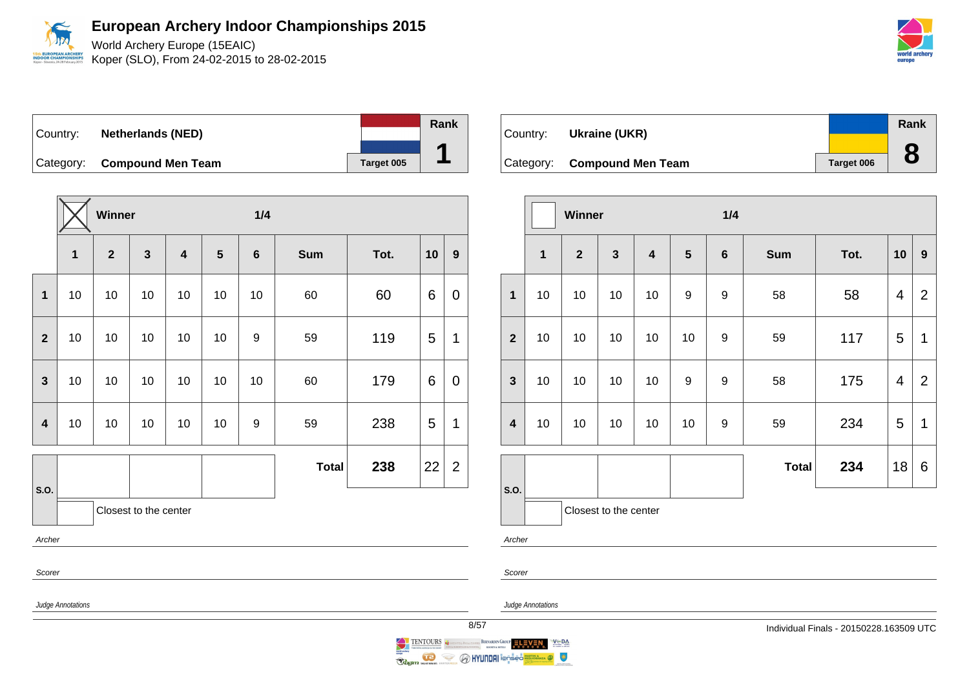World Archery Europe (15EAIC) EUROPEAN ARCHERY<br>DOR CHAMPIONSHIPS Koper (SLO), From 24-02-2015 to 28-02-2015

Country: **Netherlands (NED)** Category: **Compound Men Team Target 005 Rank 1**

**Winner 1/4 1 2 3 4 5 6 Sum Tot. 10 9 1** 10 10 10 10 10 10 60 60 6 0 **2** | 10 | 10 | 10 | 10 | 9 | 59 | 119 | 5 | 1 **3** | 10 | 10 | 10 | 10 | 10 | 10 | 60 | 179 | 6 | 0 **4** | 10 | 10 | 10 | 10 | 9 | 59 | 238 | 5 | 1 **S.O. Total 238**  $|22|2$ Closest to the center Archer Scorer

| Country: | Ukraine (UKR)               |            | Rank |
|----------|-----------------------------|------------|------|
|          |                             |            |      |
|          | Category: Compound Men Team | Target 006 |      |

|                         |              | Winner         |                       |                         |                | 1/4              |              |      |                         |                |
|-------------------------|--------------|----------------|-----------------------|-------------------------|----------------|------------------|--------------|------|-------------------------|----------------|
|                         | $\mathbf{1}$ | $\overline{2}$ | $\mathbf{3}$          | $\overline{\mathbf{4}}$ | $5\phantom{1}$ | $\bf 6$          | <b>Sum</b>   | Tot. | 10                      | $\mathbf{9}$   |
| $\mathbf{1}$            | 10           | 10             | 10                    | 10                      | 9              | 9                | 58           | 58   | $\overline{\mathbf{4}}$ | $\overline{2}$ |
| $\overline{2}$          | 10<br>10     |                | 10                    | 10                      | 10             | 9                | 59           | 117  | 5                       | 1              |
| $\mathbf{3}$            | 10           | 10             | 10                    | 10                      | 9              | $\boldsymbol{9}$ | 58           | 175  | $\overline{\mathbf{4}}$ | $\overline{2}$ |
| $\overline{\mathbf{4}}$ | 10<br>10     |                | 10                    | 10                      | 10             | 9                | 59           | 234  | 5                       | 1              |
|                         |              |                |                       |                         |                |                  | <b>Total</b> | 234  | 18                      | 6              |
| S.O.                    |              |                | Closest to the center |                         |                |                  |              |      |                         |                |

Archer

Scorer



Judge Annotations



 $\begin{tabular}{|c|c|c|c|} \hline & ENTOLRS & \textbf{1} & \textbf{1} & \textbf{1} & \textbf{1} & \textbf{1} & \textbf{1} & \textbf{1} & \textbf{1} & \textbf{1} & \textbf{1} & \textbf{1} & \textbf{1} & \textbf{1} & \textbf{1} & \textbf{1} & \textbf{1} & \textbf{1} & \textbf{1} & \textbf{1} & \textbf{1} & \textbf{1} & \textbf{1} & \textbf{1} & \textbf{1} & \textbf{1} & \textbf{1} & \textbf{1} & \textbf{1}$ 

 $\iff$ 

Ragin Marian



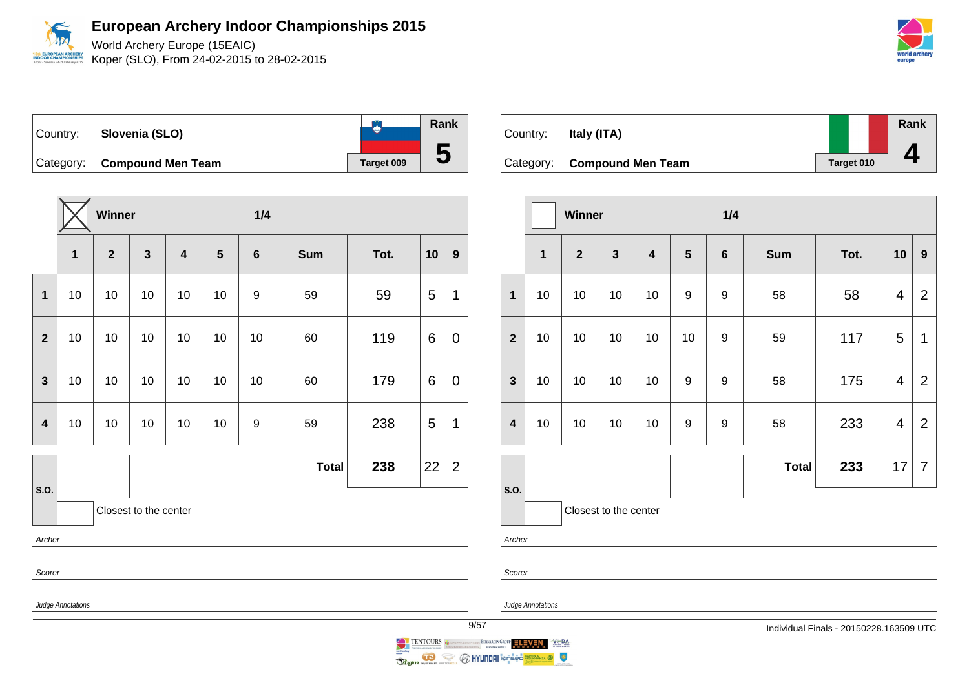World Archery Europe (15EAIC) Koper (SLO), From 24-02-2015 to 28-02-2015

**Rank B** Country: **Slovenia (SLO) 5** Category: **Compound Men Team Target 009** 

|                         |                | Winner         |                       |                         |    | 1/4            |              |      |    |                |
|-------------------------|----------------|----------------|-----------------------|-------------------------|----|----------------|--------------|------|----|----------------|
|                         | 1              | $\overline{2}$ | $\mathbf{3}$          | $\overline{\mathbf{4}}$ | 5  | $6\phantom{1}$ | <b>Sum</b>   | Tot. | 10 | 9              |
| 1                       | 10             | 10             | 10                    | 10                      | 10 | 9              | 59           | 59   | 5  | 1              |
| $\overline{2}$          | 10<br>10       |                | 10                    | 10                      | 10 | 10             | 60           | 119  | 6  | 0              |
| $\mathbf{3}$            | 10<br>10<br>10 |                | 10                    | 10                      | 10 | 60             | 179          | 6    | 0  |                |
| $\overline{\mathbf{4}}$ | 10             | 10             | 10                    | 10                      | 10 | 9              | 59           | 238  | 5  | 1              |
|                         |                |                |                       |                         |    |                | <b>Total</b> | 238  | 22 | $\overline{2}$ |
| S.O.                    |                |                | Closest to the center |                         |    |                |              |      |    |                |
|                         | Archer         |                |                       |                         |    |                |              |      |    |                |
| Scorer                  |                |                |                       |                         |    |                |              |      |    |                |

Country: **Italy (ITA)** Category: **Compound Men Team Target 010 Rank 4**

|                         |                       | Winner         |              |                         |                 | 1/4     |              |      |                |                |
|-------------------------|-----------------------|----------------|--------------|-------------------------|-----------------|---------|--------------|------|----------------|----------------|
|                         | $\mathbf{1}$          | $\overline{2}$ | $\mathbf{3}$ | $\overline{\mathbf{4}}$ | $5\phantom{.0}$ | $\bf 6$ | <b>Sum</b>   | Tot. | 10             | 9              |
| $\mathbf{1}$            | 10                    | 10             | 10           | 10                      | 9               | 9       | 58           | 58   | 4              | $\overline{2}$ |
| $\overline{2}$          | 10<br>10              |                | 10           | 10                      | 10              | 9       | 59           | 117  | 5              | 1              |
| $\mathbf{3}$            | 10                    | 10             | 10           | 10                      | 9               | 9       | 58           | 175  | $\overline{4}$ | $\overline{2}$ |
| $\overline{\mathbf{4}}$ | 10<br>10              |                | 10           | 10                      | 9               | 9       | 58           | 233  | 4              | $\overline{2}$ |
|                         |                       |                |              |                         |                 |         | <b>Total</b> | 233  | 17             | $\overline{7}$ |
| S.O.                    | Closest to the center |                |              |                         |                 |         |              |      |                |                |
|                         | Archer                |                |              |                         |                 |         |              |      |                |                |

Judge Annotations

Judge Annotations

Scorer





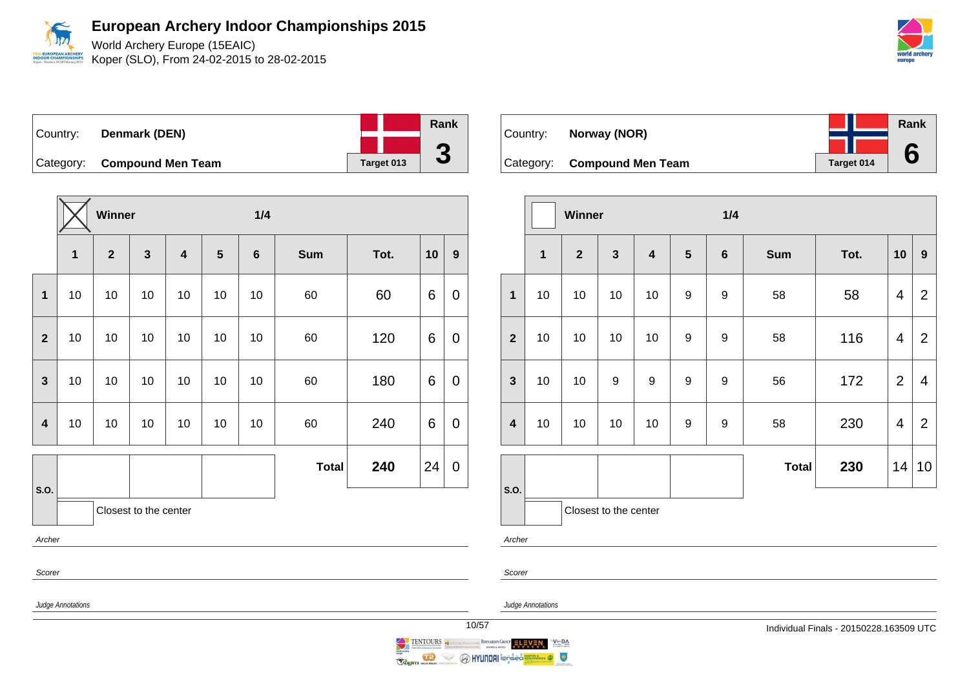World Archery Europe (15EAIC) Koper (SLO), From 24-02-2015 to 28-02-2015

| Country: | Denmark (DEN)               |            | Rank                     |
|----------|-----------------------------|------------|--------------------------|
|          |                             |            |                          |
|          | Category: Compound Men Team | Target 013 | $\overline{\phantom{a}}$ |

|                         | Winner                |              |              |                         |    | 1/4     |              |      |    |                  |
|-------------------------|-----------------------|--------------|--------------|-------------------------|----|---------|--------------|------|----|------------------|
|                         | $\mathbf{1}$          | $\mathbf{2}$ | $\mathbf{3}$ | $\overline{\mathbf{4}}$ | 5  | $\bf 6$ | <b>Sum</b>   | Tot. | 10 | $\boldsymbol{9}$ |
| $\mathbf 1$             | $10$                  | 10           | 10           | 10                      | 10 | 10      | 60           | 60   | 6  | $\pmb{0}$        |
| $\overline{2}$          | $10$<br>$10$          |              | $10$         | 10                      | 10 | $10$    | 60           | 120  | 6  | $\pmb{0}$        |
| $\mathbf{3}$            | $10$                  | $10$         | 10           | 10                      | 10 | $10$    | 60           | 180  | 6  | $\pmb{0}$        |
| $\overline{\mathbf{4}}$ | 10                    | 10           | 10           | 10                      | 10 | 10      | 60           | 240  | 6  | $\pmb{0}$        |
|                         |                       |              |              |                         |    |         | <b>Total</b> | 240  | 24 | $\pmb{0}$        |
| S.O.                    | Closest to the center |              |              |                         |    |         |              |      |    |                  |
| Archer                  |                       |              |              |                         |    |         |              |      |    |                  |
| Scorer                  |                       |              |              |                         |    |         |              |      |    |                  |



|                  |              | Winner         |                       |                         |                  | 1/4              |              |      |                |                  |
|------------------|--------------|----------------|-----------------------|-------------------------|------------------|------------------|--------------|------|----------------|------------------|
|                  | $\mathbf{1}$ | $\overline{2}$ | $\mathbf{3}$          | $\overline{\mathbf{4}}$ | $5\phantom{.}$   | $\bf 6$          | <b>Sum</b>   | Tot. | 10             | $\boldsymbol{9}$ |
| $\mathbf{1}$     | 10           | 10             | 10                    | 10                      | 9                | $\boldsymbol{9}$ | 58           | 58   | 4              | $\overline{2}$   |
| $\overline{2}$   | 10           | 10             | 10                    | 10                      | $\boldsymbol{9}$ | $\boldsymbol{9}$ | 58           | 116  | 4              | $\overline{2}$   |
| $\mathbf{3}$     | 10           | 10             | 9                     | 9                       | $\boldsymbol{9}$ | $\boldsymbol{9}$ | 56           | 172  | $\overline{2}$ | 4                |
| $\boldsymbol{4}$ | 10<br>10     |                | 10                    | 10                      | 9                | 9                | 58           | 230  | 4              | $\overline{2}$   |
|                  |              |                |                       |                         |                  |                  | <b>Total</b> | 230  | 14             | 10               |
| S.O.             |              |                | Closest to the center |                         |                  |                  |              |      |                |                  |

Archer

Scorer

Judge Annotations

 $V \subseteq BA$ 

 $\bullet$ 

Judge Annotations



**O HYUNDAI** i@nsed

BERNARDIN GROUP ELEVEN

TENTOURS CONTINUES

 $\iff$ 

Ragin Marine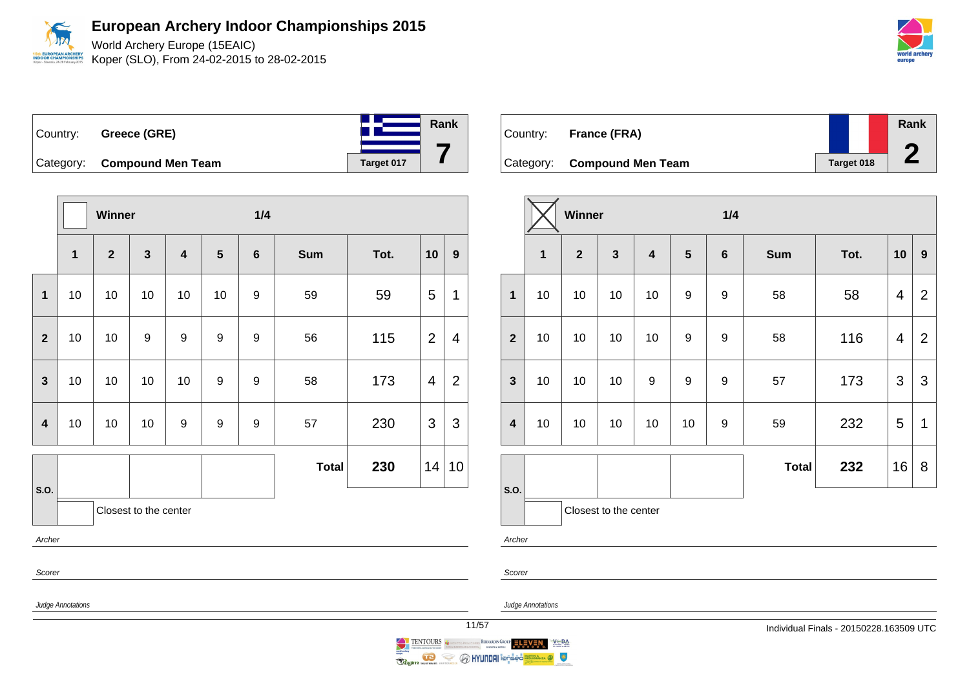World Archery Europe (15EAIC) Koper (SLO), From 24-02-2015 to 28-02-2015



| Country:  | <b>Greece (GRE)</b>      |            | Rank |
|-----------|--------------------------|------------|------|
| Category: | <b>Compound Men Team</b> | Target 017 |      |

|                         |                       | Winner       |                  |                         |                  | 1/4              |              |      |                |                  |
|-------------------------|-----------------------|--------------|------------------|-------------------------|------------------|------------------|--------------|------|----------------|------------------|
|                         | $\mathbf{1}$          | $\mathbf{2}$ | $\mathbf{3}$     | $\overline{\mathbf{4}}$ | $5\phantom{.0}$  | $\boldsymbol{6}$ | <b>Sum</b>   | Tot. | 10             | $\boldsymbol{9}$ |
| $\mathbf 1$             | 10                    | 10           | 10               | 10                      | 10               | 9                | 59           | 59   | 5              | 1                |
| $\overline{2}$          | 10                    | 10           | $\boldsymbol{9}$ | 9                       | $\boldsymbol{9}$ | 9                | 56           | 115  | $\overline{2}$ | 4                |
| $\mathbf{3}$            | 10                    | 10           | 10               | 10                      | $\boldsymbol{9}$ | $\boldsymbol{9}$ | 58           | 173  | $\overline{4}$ | $\overline{2}$   |
| $\overline{\mathbf{4}}$ | 10                    | 10           | 10               | 9                       | $\boldsymbol{9}$ | 9                | 57           | 230  | 3              | 3                |
|                         |                       |              |                  |                         |                  |                  | <b>Total</b> | 230  | 14             | 10               |
| S.O.                    | Closest to the center |              |                  |                         |                  |                  |              |      |                |                  |
| Archer                  |                       |              |                  |                         |                  |                  |              |      |                |                  |
| Scorer                  |                       |              |                  |                         |                  |                  |              |      |                |                  |

| Country: | France (FRA)                |            | Rank |
|----------|-----------------------------|------------|------|
|          | Category: Compound Men Team | Target 018 |      |

|                  |              | Winner         |                       |                         |                  | 1/4              |              |      |                |                  |  |
|------------------|--------------|----------------|-----------------------|-------------------------|------------------|------------------|--------------|------|----------------|------------------|--|
|                  | $\mathbf{1}$ | $\overline{2}$ | $\mathbf{3}$          | $\overline{\mathbf{4}}$ | $5\phantom{1}$   | $\bf 6$          | <b>Sum</b>   | Tot. | 10             | $\boldsymbol{9}$ |  |
| $\mathbf{1}$     | 10           | 10             | 10                    | 10                      | $\boldsymbol{9}$ | 9                | 58           | 58   | $\overline{4}$ | $\overline{2}$   |  |
| $\overline{2}$   | 10           | 10             | 10                    | 10                      | $\boldsymbol{9}$ | $\boldsymbol{9}$ | 58           | 116  | $\overline{4}$ | $\overline{2}$   |  |
| $\mathbf{3}$     | 10           | 10             | 10                    | $\boldsymbol{9}$        | $\boldsymbol{9}$ | 9                | 57           | 173  | 3              | 3                |  |
| $\boldsymbol{4}$ | 10           | 10             |                       | 10                      | 10               | 9                | 59           | 232  | 5              | 1                |  |
|                  |              |                |                       |                         |                  |                  | <b>Total</b> | 232  | 16             | 8                |  |
| S.O.             |              |                | Closest to the center |                         |                  |                  |              |      |                |                  |  |

Archer

Scorer

Judge Annotations

Judge Annotations

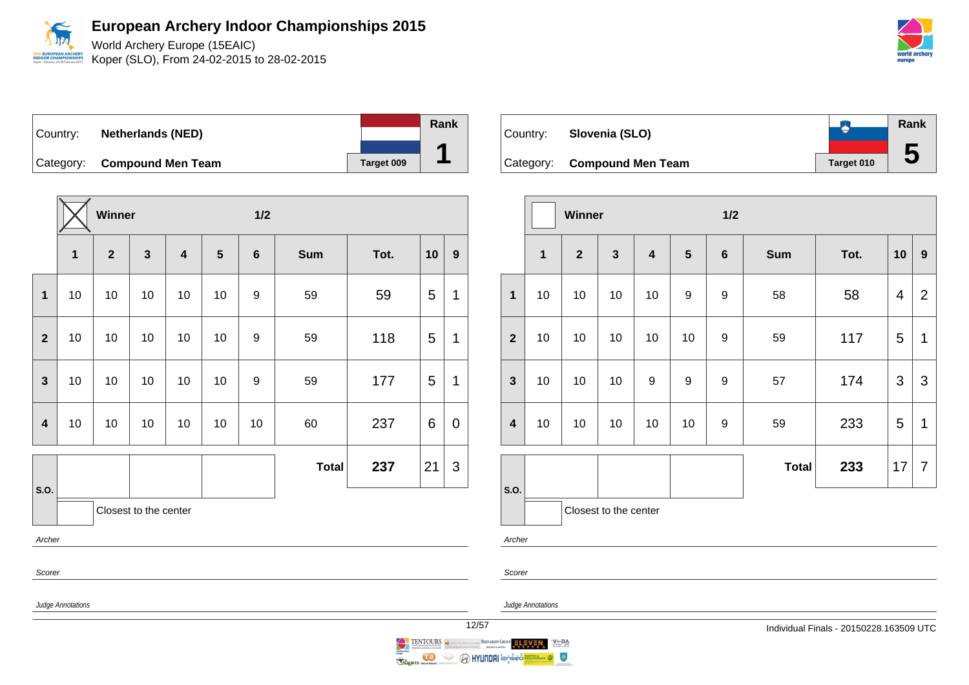World Archery Europe (15EAIC) Koper (SLO), From 24-02-2015 to 28-02-2015

| Country: | <b>Netherlands (NED)</b>    |            | Rank |
|----------|-----------------------------|------------|------|
|          | Category: Compound Men Team | Target 009 |      |

|                         |              | Winner                  |              |                         |                | 1/2              |              |      |       |                  |
|-------------------------|--------------|-------------------------|--------------|-------------------------|----------------|------------------|--------------|------|-------|------------------|
|                         | $\mathbf{1}$ | $\overline{\mathbf{2}}$ | $\mathbf{3}$ | $\overline{\mathbf{4}}$ | $5\phantom{1}$ | $6\phantom{1}6$  | <b>Sum</b>   | Tot. | 10    | $\boldsymbol{9}$ |
| $\mathbf{1}$            | 10           | 10                      | 10           | 10                      | 10             | 9                | 59           | 59   | 5     | $\mathbf 1$      |
| $\overline{2}$          | 10<br>10     |                         | 10           | 10                      | 10             | $\boldsymbol{9}$ | 59           | 118  | 5     | $\mathbf{1}$     |
| $\overline{\mathbf{3}}$ | 10           | 10                      | 10           | 10                      | 10             | $\boldsymbol{9}$ | 59           | 177  | 5     | $\mathbf 1$      |
| $\overline{\mathbf{4}}$ | 10           | 10                      | 10           | 10                      | 10             | 10               | 60           | 237  | $\,6$ | $\boldsymbol{0}$ |
|                         |              |                         |              |                         |                |                  | <b>Total</b> | 237  | 21    | 3                |
| S.O.                    |              | Closest to the center   |              |                         |                |                  |              |      |       |                  |
| Archer                  |              |                         |              |                         |                |                  |              |      |       |                  |
| Scorer                  |              |                         |              |                         |                |                  |              |      |       |                  |

| Country: | Slovenia (SLO)              |            | Rank |
|----------|-----------------------------|------------|------|
|          | Category: Compound Men Team | Target 010 |      |

|                  |              | Winner         |                       |                         |                  | 1/2              |              |      |                |                |  |
|------------------|--------------|----------------|-----------------------|-------------------------|------------------|------------------|--------------|------|----------------|----------------|--|
|                  | $\mathbf{1}$ | $\overline{2}$ | $\mathbf{3}$          | $\overline{\mathbf{4}}$ | $5\phantom{1}$   | $\bf 6$          | <b>Sum</b>   | Tot. | 10             | 9              |  |
| $\mathbf{1}$     | 10           | 10             | 10                    | 10                      | $\boldsymbol{9}$ | $\boldsymbol{9}$ | 58           | 58   | $\overline{4}$ | $\overline{2}$ |  |
| $\overline{2}$   | 10           | 10             | 10                    | 10                      | 10               | 9                | 59           | 117  | 5              | 1              |  |
| $\mathbf{3}$     | 10           | 10             | 10                    | $\boldsymbol{9}$        | $\boldsymbol{9}$ | $\boldsymbol{9}$ | 57           | 174  | $\mathfrak{S}$ | 3              |  |
| $\boldsymbol{4}$ | 10           | 10             | 10                    | 10                      | 10               | 9                | 59           | 233  | 5              | 1              |  |
|                  |              |                |                       |                         |                  |                  | <b>Total</b> | 233  | 17             | $\overline{7}$ |  |
| S.O.             |              |                | Closest to the center |                         |                  |                  |              |      |                |                |  |

Archer

Scorer



Judge Annotations





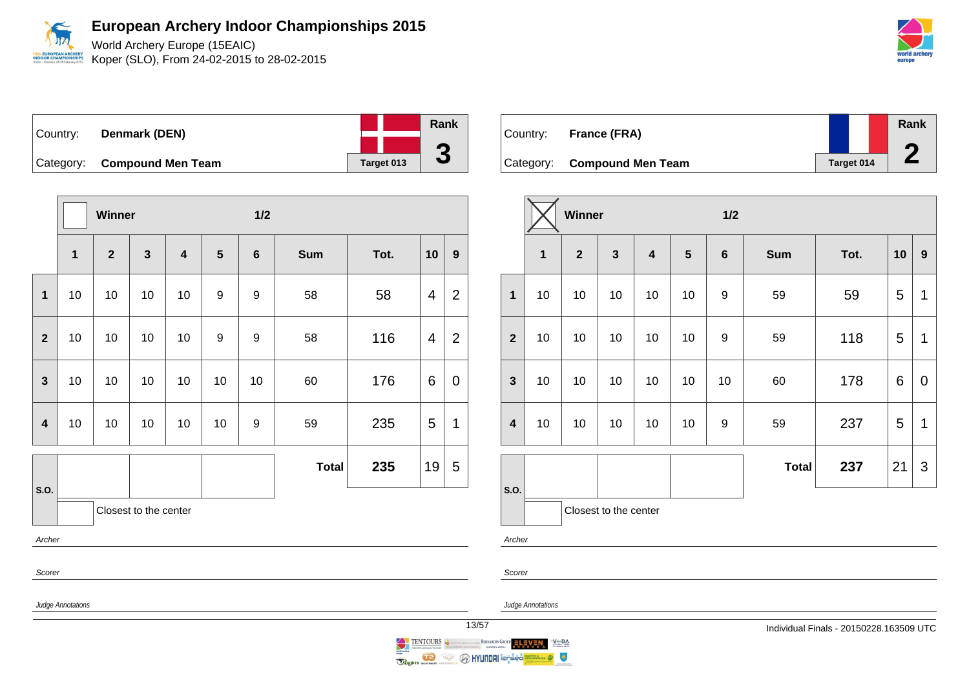World Archery Europe (15EAIC)

Koper (SLO), From 24-02-2015 to 28-02-2015

| Country: | Denmark (DEN)               |            | Rank                     |
|----------|-----------------------------|------------|--------------------------|
|          |                             |            |                          |
|          | Category: Compound Men Team | Target 013 | $\overline{\phantom{a}}$ |

|                         |              | Winner       |                       |                         |    | 1/2              |              |      |    |                |
|-------------------------|--------------|--------------|-----------------------|-------------------------|----|------------------|--------------|------|----|----------------|
|                         | $\mathbf{1}$ | $\mathbf{2}$ | $\mathbf{3}$          | $\overline{\mathbf{4}}$ | 5  | $6\phantom{1}6$  | <b>Sum</b>   | Tot. | 10 | 9              |
| $\mathbf 1$             | 10           | 10           | 10                    | 10                      | 9  | 9                | 58           | 58   | 4  | $\overline{2}$ |
| $\overline{2}$          | 10           | 10           | 10                    | 10                      | 9  | 9                | 58           | 116  | 4  | $\overline{2}$ |
| $\mathbf{3}$            | 10           | 10           | 10                    | 10                      | 10 | 10               | 60           | 176  | 6  | 0              |
| $\overline{\mathbf{4}}$ | 10           | 10           | 10                    | 10                      | 10 | $\boldsymbol{9}$ | 59           | 235  | 5  | 1              |
|                         |              |              |                       |                         |    |                  | <b>Total</b> | 235  | 19 | 5              |
| S.O.                    |              |              | Closest to the center |                         |    |                  |              |      |    |                |
| Archer                  |              |              |                       |                         |    |                  |              |      |    |                |
| Scorer                  |              |              |                       |                         |    |                  |              |      |    |                |

| Country: | France (FRA)                |            | Rank |
|----------|-----------------------------|------------|------|
|          | Category: Compound Men Team | Target 014 |      |

|                         |    | <b>Winner</b>         |              |                         |                 | 1/2              |              |      |    |             |  |  |
|-------------------------|----|-----------------------|--------------|-------------------------|-----------------|------------------|--------------|------|----|-------------|--|--|
|                         | 1  | $\overline{2}$        | $\mathbf{3}$ | $\overline{\mathbf{4}}$ | $5\phantom{.0}$ | $\bf 6$          | <b>Sum</b>   | Tot. | 10 | 9           |  |  |
| $\mathbf{1}$            | 10 | 10                    | 10           | 10                      | 10              | $\boldsymbol{9}$ | 59           | 59   | 5  | 1           |  |  |
| $\overline{2}$          | 10 | 10                    | 10           | 10                      | 10              | 9                | 59           | 118  | 5  | $\mathbf 1$ |  |  |
| $\mathbf{3}$            | 10 | 10                    | 10           | 10                      | 10              | 10               | 60           | 178  | 6  | $\pmb{0}$   |  |  |
| $\overline{\mathbf{4}}$ | 10 | 10                    | 10           | 10                      | 10              | 9                | 59           | 237  | 5  | 1           |  |  |
|                         |    |                       |              |                         |                 |                  | <b>Total</b> | 237  | 21 | 3           |  |  |
| S.O.                    |    | Closest to the center |              |                         |                 |                  |              |      |    |             |  |  |
| Archer                  |    |                       |              |                         |                 |                  |              |      |    |             |  |  |

Scorer

Judge Annotations

Judge Annotations



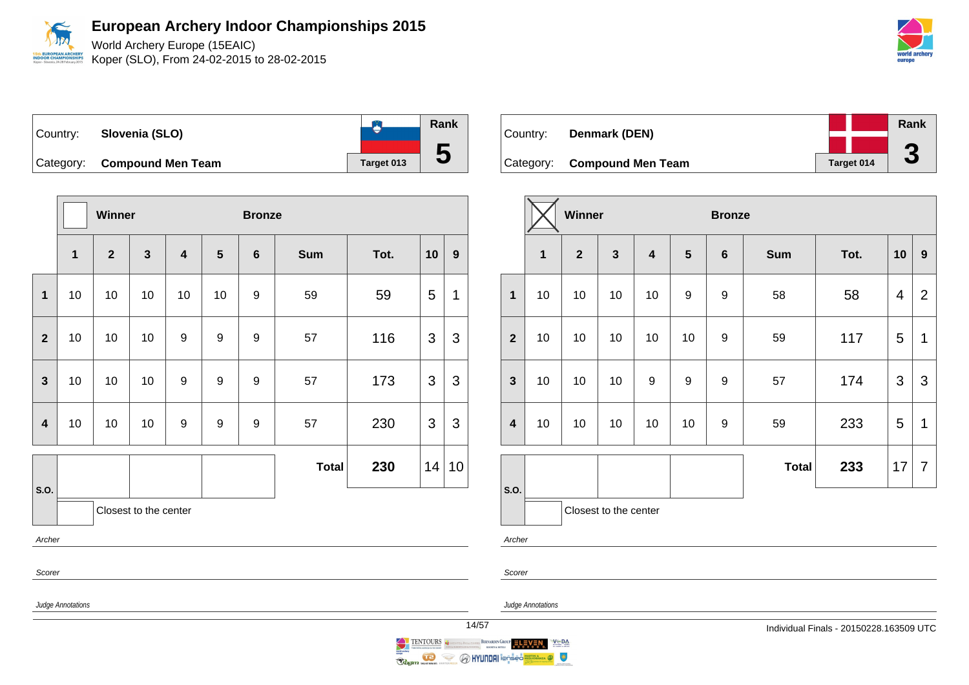World Archery Europe (15EAIC) Koper (SLO), From 24-02-2015 to 28-02-2015

| Country: Slovenia (SLO)     |            | Rank |
|-----------------------------|------------|------|
| Category: Compound Men Team | Target 013 | Ð    |

|                |              | Winner         |                       |                         |                  | <b>Bronze</b>  |              |      |    |    |
|----------------|--------------|----------------|-----------------------|-------------------------|------------------|----------------|--------------|------|----|----|
|                | $\mathbf{1}$ | $\overline{2}$ | $\mathbf{3}$          | $\overline{\mathbf{4}}$ | $5\phantom{1}$   | $6\phantom{1}$ | <b>Sum</b>   | Tot. | 10 | 9  |
| $\mathbf 1$    | 10           | 10             | 10                    | 10                      | 10               | 9              | 59           | 59   | 5  | 1  |
| $\overline{2}$ | 10           | 10             | 10                    | 9                       | $\boldsymbol{9}$ | 9              | 57           | 116  | 3  | 3  |
| $\mathbf{3}$   | 10           | 10             | 10                    | 9                       | 9                | 9              | 57           | 173  | 3  | 3  |
| $\overline{4}$ | 10           | 10             | 10                    | 9                       | 9                | 9              | 57           | 230  | 3  | 3  |
|                |              |                |                       |                         |                  |                | <b>Total</b> | 230  | 14 | 10 |
| S.O.           |              |                | Closest to the center |                         |                  |                |              |      |    |    |
| Archer         |              |                |                       |                         |                  |                |              |      |    |    |
| Scorer         |              |                |                       |                         |                  |                |              |      |    |    |

| Country: | Denmark (DEN)               |            | Rank |
|----------|-----------------------------|------------|------|
|          |                             |            |      |
|          | Category: Compound Men Team | Target 014 | J    |

|                         |              | Winner       |                       |                         | <b>Bronze</b>  |         |              |      |    |                  |
|-------------------------|--------------|--------------|-----------------------|-------------------------|----------------|---------|--------------|------|----|------------------|
|                         | $\mathbf{1}$ | $\mathbf{2}$ | $\mathbf{3}$          | $\overline{\mathbf{4}}$ | $5\phantom{1}$ | $\bf 6$ | <b>Sum</b>   | Tot. | 10 | $\boldsymbol{9}$ |
| $\mathbf 1$             | 10           | 10           | 10                    | 10                      | 9              | 9       | 58           | 58   | 4  | $\overline{2}$   |
| $\overline{\mathbf{2}}$ | 10           | 10           | 10                    | 10                      | 10             | 9       | 59           | 117  | 5  | 1                |
| $\mathbf{3}$            | 10           | 10           | 10                    | 9                       | 9              | 9       | 57           | 174  | 3  | 3                |
| $\overline{\mathbf{4}}$ | 10           | 10           | 10                    | 10                      | 10             | 9       | 59           | 233  | 5  | $\mathbf 1$      |
|                         |              |              |                       |                         |                |         | <b>Total</b> | 233  | 17 | 7                |
| S.O.                    |              |              | Closest to the center |                         |                |         |              |      |    |                  |
| Archer                  |              |              |                       |                         |                |         |              |      |    |                  |

Scorer

Judge Annotations

Judge Annotations



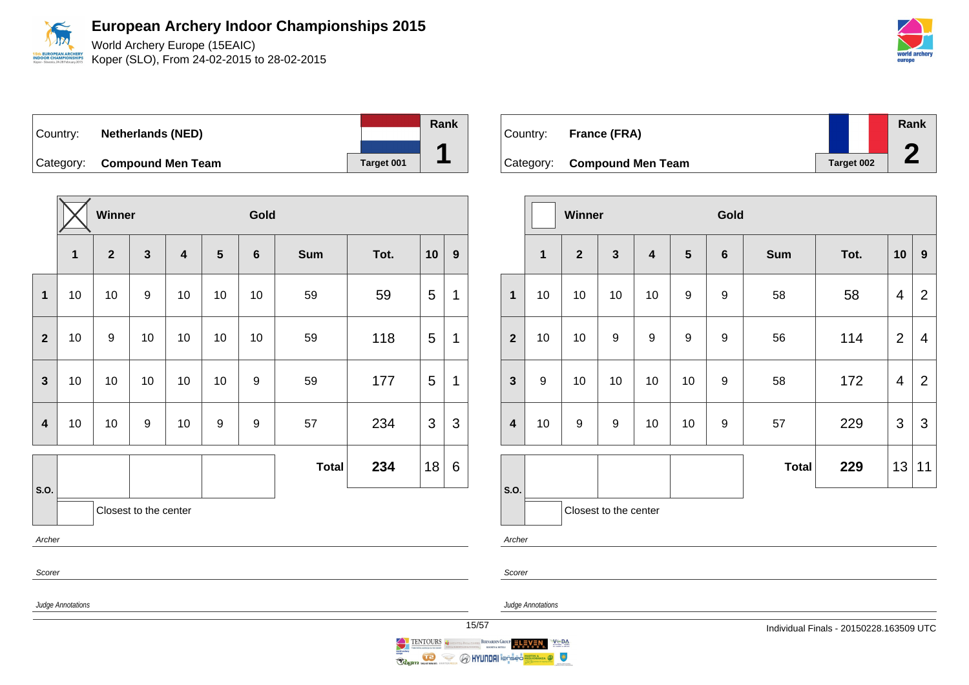World Archery Europe (15EAIC) Koper (SLO), From 24-02-2015 to 28-02-2015

| Country:  | <b>Netherlands (NED)</b> |            | Rank |
|-----------|--------------------------|------------|------|
| Category: | <b>Compound Men Team</b> | Target 001 |      |

|                |                       | Winner           |                  | Gold                    |    |                 |              |      |    |              |  |
|----------------|-----------------------|------------------|------------------|-------------------------|----|-----------------|--------------|------|----|--------------|--|
|                | 1                     | $\mathbf{2}$     | $\mathbf{3}$     | $\overline{\mathbf{4}}$ | 5  | $6\phantom{1}6$ | <b>Sum</b>   | Tot. | 10 | 9            |  |
| $\mathbf{1}$   | 10                    | 10               | $\boldsymbol{9}$ | 10                      | 10 | 10              | 59           | 59   | 5  | 1            |  |
| $\overline{2}$ | 10                    | $\boldsymbol{9}$ | 10               | 10                      | 10 | 10              | 59           | 118  | 5  | $\mathbf{1}$ |  |
| $\mathbf{3}$   | 10                    | 10               | 10               | 10                      | 10 | 9               | 59           | 177  | 5  | 1            |  |
| 4              | 10                    | 10               | $\boldsymbol{9}$ | 10                      | 9  | 9               | 57           | 234  | 3  | 3            |  |
|                |                       |                  |                  |                         |    |                 | <b>Total</b> | 234  | 18 | 6            |  |
| S.O.           | Closest to the center |                  |                  |                         |    |                 |              |      |    |              |  |
|                | Archer                |                  |                  |                         |    |                 |              |      |    |              |  |
| Scorer         |                       |                  |                  |                         |    |                 |              |      |    |              |  |

Country: **France (FRA)** Category: **Compound Men Team Target 002 Rank 2**

|                         |              | Winner       |                       |                         |                | Gold             |              |      |                |                  |
|-------------------------|--------------|--------------|-----------------------|-------------------------|----------------|------------------|--------------|------|----------------|------------------|
|                         | $\mathbf{1}$ | $\mathbf{2}$ | $\mathbf{3}$          | $\overline{\mathbf{4}}$ | $5\phantom{1}$ | $\bf 6$          | <b>Sum</b>   | Tot. | 10             | $\boldsymbol{9}$ |
| $\mathbf{1}$            | 10           | 10           | 10                    | 10                      | $\mathsf g$    | 9                | 58           | 58   | 4              | $\overline{2}$   |
| $\overline{2}$          | 10           | 10           | 9                     | $\boldsymbol{9}$        | $\mathsf g$    | $\boldsymbol{9}$ | 56           | 114  | $\overline{2}$ | $\overline{4}$   |
| $\mathbf{3}$            | 9            | 10           | 10                    | 10                      | 10             | 9                | 58           | 172  | 4              | $\overline{2}$   |
| $\overline{\mathbf{4}}$ | 10           | 9            | $\boldsymbol{9}$      | 10                      | 10             | 9                | 57           | 229  | $\mathfrak{S}$ | $\mathfrak{S}$   |
|                         |              |              |                       |                         |                |                  | <b>Total</b> | 229  | 13             | 11               |
| S.O.                    |              |              | Closest to the center |                         |                |                  |              |      |                |                  |



Judge Annotations

Scorer







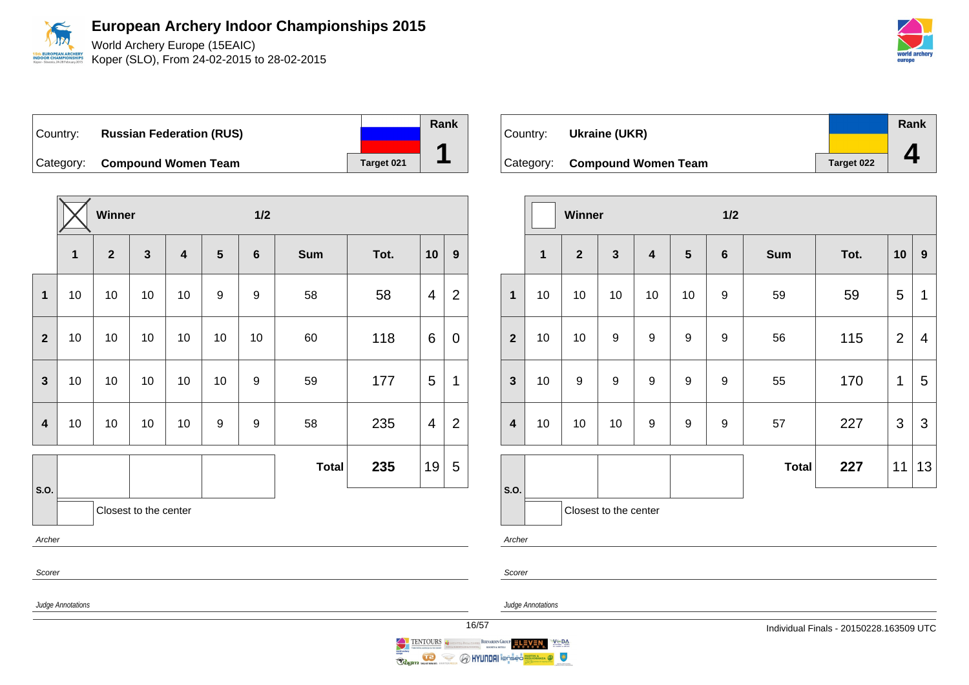

World Archery Europe (15EAIC) Koper (SLO), From 24-02-2015 to 28-02-2015

Country: **Russian Federation (RUS)** Category: **Compound Women Team Target 021** 

|                |                       | Winner       |              |                         |                | $1/2$          |              |      |                |                |  |  |
|----------------|-----------------------|--------------|--------------|-------------------------|----------------|----------------|--------------|------|----------------|----------------|--|--|
|                | $\mathbf{1}$          | $\mathbf{2}$ | $\mathbf{3}$ | $\overline{\mathbf{4}}$ | $5\phantom{1}$ | $6\phantom{1}$ | <b>Sum</b>   | Tot. | 10             | 9              |  |  |
| $\mathbf 1$    | 10                    | 10           | 10           | 10                      | 9              | 9              | 58           | 58   | 4              | 2              |  |  |
| $\mathbf{2}$   | 10                    | 10           | 10           | 10                      | 10             | 10             | 60           | 118  | 6              | 0              |  |  |
| $\mathbf{3}$   | 10                    | 10           | 10           | 10                      | 10             | 9              | 59           | 177  | 5              | 1              |  |  |
| $\overline{4}$ | 10                    | 10           | 10           | 10                      | 9              | 9              | 58           | 235  | $\overline{4}$ | $\overline{2}$ |  |  |
|                |                       |              |              |                         |                |                | <b>Total</b> | 235  | 19             | 5              |  |  |
| S.O.           | Closest to the center |              |              |                         |                |                |              |      |                |                |  |  |
| Archer         |                       |              |              |                         |                |                |              |      |                |                |  |  |
| Scorer         |                       |              |              |                         |                |                |              |      |                |                |  |  |

Country: **Ukraine (UKR)** Category: **Compound Women Team Target 022 Rank 4**

|                  |                       | Winner         |              |                         |                 | 1/2              |              |      |                |                  |  |
|------------------|-----------------------|----------------|--------------|-------------------------|-----------------|------------------|--------------|------|----------------|------------------|--|
|                  | $\mathbf{1}$          | $\overline{2}$ | $\mathbf{3}$ | $\overline{\mathbf{4}}$ | $5\phantom{.0}$ | $\bf 6$          | <b>Sum</b>   | Tot. | 10             | $\boldsymbol{9}$ |  |
| $\mathbf 1$      | 10                    | 10             | 10           | 10                      | 10              | $\boldsymbol{9}$ | 59           | 59   | 5              | $\mathbf 1$      |  |
| $\overline{2}$   | 10                    | 10             | 9            | 9                       | 9               | $\boldsymbol{9}$ | 56           | 115  | $\overline{2}$ | 4                |  |
| $\mathbf{3}$     | 10                    | 9              | 9            | $\boldsymbol{9}$        | 9               | $\boldsymbol{9}$ | 55           | 170  | $\mathbf 1$    | 5                |  |
| $\boldsymbol{4}$ | 10                    | 10             | 10           | $\boldsymbol{9}$        | 9               | 9                | 57           | 227  | 3              | 3                |  |
| S.O.             |                       |                |              |                         |                 |                  | <b>Total</b> | 227  | 11             | 13               |  |
|                  | Closest to the center |                |              |                         |                 |                  |              |      |                |                  |  |
|                  | Archer                |                |              |                         |                 |                  |              |      |                |                  |  |

Judge Annotations

Judge Annotations

Scorer



**Rank**

**1**

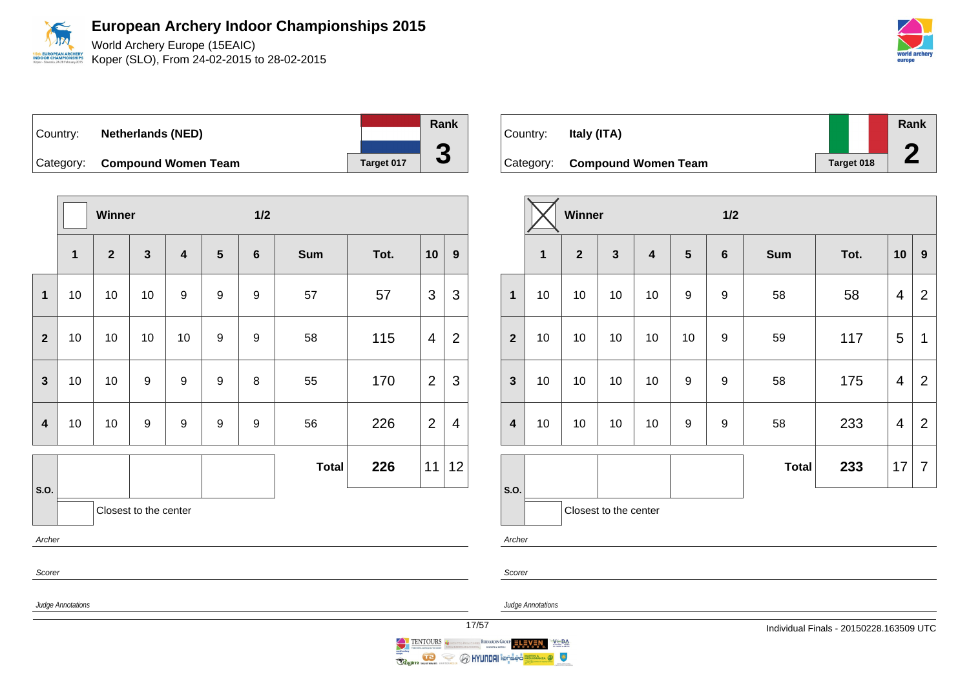World Archery Europe (15EAIC) Koper (SLO), From 24-02-2015 to 28-02-2015

|          |                               |            | Rank |
|----------|-------------------------------|------------|------|
| Country: | <b>Netherlands (NED)</b>      |            |      |
|          |                               |            |      |
|          | Category: Compound Women Team | Target 017 |      |

|                         |              | Winner       |                       |                         |                  | $1/2$            |              |      |                |                |  |
|-------------------------|--------------|--------------|-----------------------|-------------------------|------------------|------------------|--------------|------|----------------|----------------|--|
|                         | $\mathbf{1}$ | $\mathbf{2}$ | $\mathbf{3}$          | $\overline{\mathbf{4}}$ | $5\phantom{1}$   | $6\phantom{1}$   | <b>Sum</b>   | Tot. | 10             | 9              |  |
| $\mathbf{1}$            | 10           | 10           | 10                    | 9                       | 9                | 9                | 57           | 57   | 3              | 3              |  |
| $\overline{2}$          | 10           | 10           | 10                    | 10                      | 9                | 9                | 58           | 115  | 4              | $\overline{2}$ |  |
| $\overline{\mathbf{3}}$ | 10           | 10           | $9$                   | $\boldsymbol{9}$        | $\boldsymbol{9}$ | 8                | 55           | 170  | $\overline{2}$ | 3              |  |
| $\overline{\mathbf{4}}$ | 10           | 10           | $9$                   | $\boldsymbol{9}$        | $\boldsymbol{9}$ | $\boldsymbol{9}$ | 56           | 226  | $\overline{2}$ | $\overline{4}$ |  |
|                         |              |              |                       |                         |                  |                  | <b>Total</b> | 226  | 11             | 12             |  |
| S.O.                    |              |              | Closest to the center |                         |                  |                  |              |      |                |                |  |
| Archer                  |              |              |                       |                         |                  |                  |              |      |                |                |  |
|                         | Scorer       |              |                       |                         |                  |                  |              |      |                |                |  |

| Country:  | Italy (ITA)                |            | Rank |
|-----------|----------------------------|------------|------|
| Category: | <b>Compound Women Team</b> | Target 018 |      |

|                         |              | Winner         |                         |                         |                  | 1/2              |              |      |                |                |  |  |
|-------------------------|--------------|----------------|-------------------------|-------------------------|------------------|------------------|--------------|------|----------------|----------------|--|--|
|                         | $\mathbf{1}$ | $\overline{2}$ | $\overline{\mathbf{3}}$ | $\overline{\mathbf{4}}$ | $5\phantom{1}$   | $6\phantom{1}6$  | <b>Sum</b>   | Tot. | 10             | 9              |  |  |
| $\mathbf{1}$            | 10           | 10             | 10                      | 10                      | 9                | $\boldsymbol{9}$ | 58           | 58   | $\overline{4}$ | $\overline{2}$ |  |  |
| $\overline{2}$          | 10           | 10             | 10                      | 10                      | 10               | 9                | 59           | 117  | 5              | 1              |  |  |
| $\mathbf{3}$            | 10           | 10             | 10                      | 10                      | 9                | 9                | 58           | 175  | 4              | $\overline{2}$ |  |  |
| $\overline{\mathbf{4}}$ | 10           | 10             | 10                      | 10                      | $\boldsymbol{9}$ | 9                | 58           | 233  | 4              | $\overline{2}$ |  |  |
|                         |              |                |                         |                         |                  |                  | <b>Total</b> | 233  | 17             | $\overline{7}$ |  |  |
| S.O.                    |              |                | Closest to the center   |                         |                  |                  |              |      |                |                |  |  |

Archer

Scorer



Judge Annotations

 $V = DA$ 

 $\bullet$ 



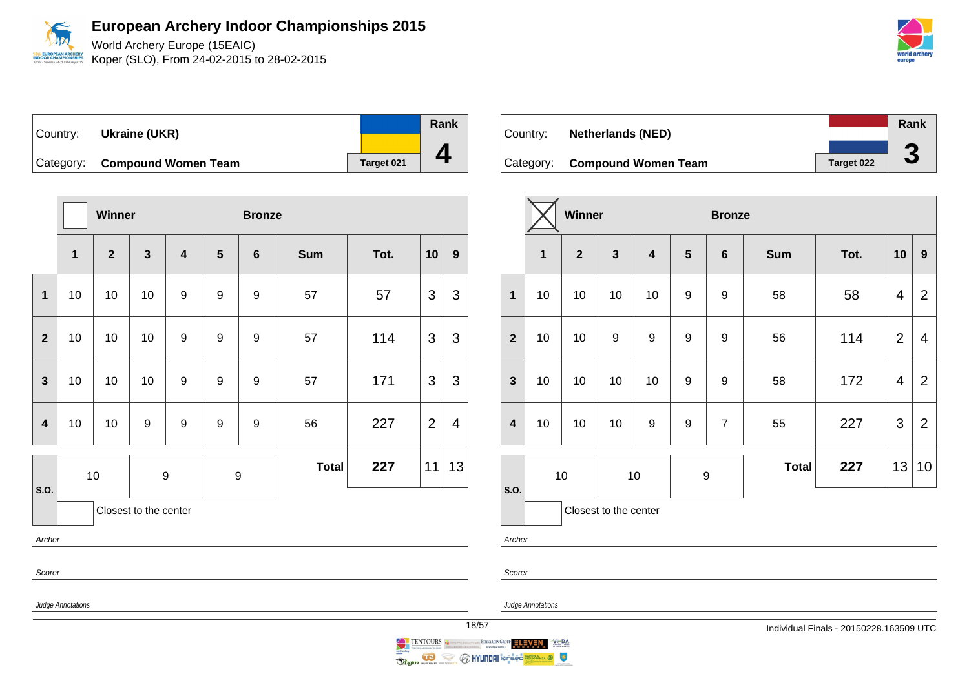World Archery Europe (15EAIC)

Koper (SLO), From 24-02-2015 to 28-02-2015

Country: **Ukraine (UKR)** Category: **Compound Women Team Tanget 021 Rank 4**

|                | <b>Winner</b> |                |                       |                         |                  | <b>Bronze</b>    |              |      |                |                |
|----------------|---------------|----------------|-----------------------|-------------------------|------------------|------------------|--------------|------|----------------|----------------|
|                | 1             | $\overline{2}$ | $\mathbf{3}$          | $\overline{\mathbf{4}}$ | $5\phantom{1}$   | $6\phantom{1}6$  | <b>Sum</b>   | Tot. | 10             | 9              |
| 1              | 10            | 10             | 10                    | 9                       | $\boldsymbol{9}$ | 9                | 57           | 57   | 3              | 3              |
| $\overline{2}$ | 10            | 10             | 10                    | 9                       | $\boldsymbol{9}$ | 9                | 57           | 114  | 3              | $\mathfrak{S}$ |
| $\mathbf{3}$   | 10            | 10             | 10                    | $\boldsymbol{9}$        | $\boldsymbol{9}$ | $\boldsymbol{9}$ | 57           | 171  | 3              | 3              |
| 4              | 10            | 10             | 9                     | 9                       | 9                | 9                | 56           | 227  | $\overline{2}$ | $\overline{4}$ |
|                |               | 10             | 9                     |                         |                  | $\boldsymbol{9}$ | <b>Total</b> | 227  | 11             | 13             |
| S.O.           |               |                | Closest to the center |                         |                  |                  |              |      |                |                |
| Archer         |               |                |                       |                         |                  |                  |              |      |                |                |



|                         |    | Winner         |                       |                          |   | <b>Bronze</b>  |            |      |                |                |
|-------------------------|----|----------------|-----------------------|--------------------------|---|----------------|------------|------|----------------|----------------|
|                         | 1  | $\overline{2}$ | $\mathbf{3}$          | $\overline{\mathbf{4}}$  | 5 | $\bf 6$        | <b>Sum</b> | Tot. | 10             | $\mathbf{9}$   |
| $\mathbf{1}$            | 10 | 10             | 10                    | 10                       | 9 | 9              | 58         | 58   | 4              | $\overline{2}$ |
| $\overline{2}$          | 10 | 10             | 9                     | 9                        | 9 | 9              | 56         | 114  | $\overline{2}$ | 4              |
| $\mathbf{3}$            | 10 | 10             | 10                    | 10                       | 9 | 9              | 58         | 172  | $\overline{4}$ | $\overline{2}$ |
| $\overline{\mathbf{4}}$ | 10 | 10             | 10                    | 9                        | 9 | $\overline{7}$ | 55         | 227  | 3              | $\overline{2}$ |
|                         | 10 |                |                       | $\boldsymbol{9}$<br>$10$ |   | <b>Total</b>   | 227        | 13   | 10             |                |
| S.O.                    |    |                | Closest to the center |                          |   |                |            |      |                |                |

Archer

Scorer

BERNARDIN GROUP ELEVEN

Scorer

Judge Annotations

Judge Annotations

 $V \subseteq DA$ 

 $\bullet$ 

**O HYUNDAI** i@nsed

TENTOURS 1

 $\overline{\bullet}$ 

**Raginn** was and



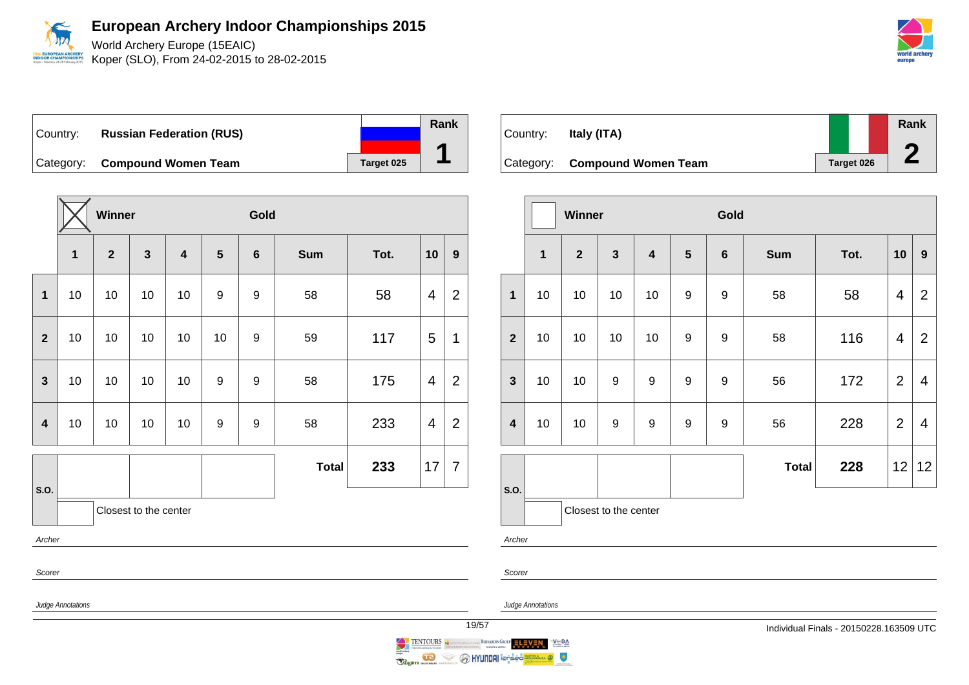

World Archery Europe (15EAIC) Koper (SLO), From 24-02-2015 to 28-02-2015

Country: **Russian Federation (RUS)** Category: **Compound Women Team Target 025** 

|                         | Winner                |              |              |                         |    | Gold           |              |      |                |                |  |  |
|-------------------------|-----------------------|--------------|--------------|-------------------------|----|----------------|--------------|------|----------------|----------------|--|--|
|                         | $\mathbf{1}$          | $\mathbf{2}$ | $\mathbf{3}$ | $\overline{\mathbf{4}}$ | 5  | $6\phantom{1}$ | <b>Sum</b>   | Tot. | 10             | 9              |  |  |
| 1                       | 10                    | 10           | 10           | 10                      | 9  | 9              | 58           | 58   | $\overline{4}$ | $\overline{2}$ |  |  |
| $\mathbf{2}$            | 10                    | 10           | 10           | 10                      | 10 | 9              | 59           | 117  | 5              | 1              |  |  |
| $\mathbf{3}$            | 10                    | 10           | 10           | 10                      | 9  | 9              | 58           | 175  | $\overline{4}$ | $\overline{2}$ |  |  |
| $\overline{\mathbf{4}}$ | 10                    | 10           | 10           | 10                      | 9  | 9              | 58           | 233  | 4              | $\overline{2}$ |  |  |
|                         |                       |              |              |                         |    |                | <b>Total</b> | 233  | 17             | $\overline{7}$ |  |  |
| S.O.                    | Closest to the center |              |              |                         |    |                |              |      |                |                |  |  |
| Archer                  |                       |              |              |                         |    |                |              |      |                |                |  |  |
| Scorer                  |                       |              |              |                         |    |                |              |      |                |                |  |  |

Country: **Italy (ITA)** Category: **Compound Women Team Target 026 Rank 2**

|                         |                       | Winner         |                         |                         |                  | Gold             |              |      |                         |                |
|-------------------------|-----------------------|----------------|-------------------------|-------------------------|------------------|------------------|--------------|------|-------------------------|----------------|
|                         | $\mathbf{1}$          | $\overline{2}$ | $\overline{\mathbf{3}}$ | $\overline{\mathbf{4}}$ | $5\phantom{1}$   | $\bf 6$          | <b>Sum</b>   | Tot. | 10                      | $\mathbf{9}$   |
| $\mathbf{1}$            | 10                    | 10             | 10                      | 10                      | $\boldsymbol{9}$ | 9                | 58           | 58   | 4                       | $\overline{2}$ |
| $\overline{2}$          | 10                    | 10             | 10                      | 10                      | $\boldsymbol{9}$ | $\boldsymbol{9}$ | 58           | 116  | $\overline{\mathbf{4}}$ | $\overline{2}$ |
| $\mathbf{3}$            | 10                    | 10             | $\boldsymbol{9}$        | $\boldsymbol{9}$        | $\boldsymbol{9}$ | $\boldsymbol{9}$ | 56           | 172  | $\overline{2}$          | 4              |
| $\overline{\mathbf{4}}$ | 10                    | 10             | $\boldsymbol{9}$        | $\boldsymbol{9}$        | $\boldsymbol{9}$ | 9                | 56           | 228  | $\overline{2}$          | 4              |
|                         |                       |                |                         |                         |                  |                  | <b>Total</b> | 228  | 12                      | 12             |
| S.O.                    | Closest to the center |                |                         |                         |                  |                  |              |      |                         |                |
|                         | Archer                |                |                         |                         |                  |                  |              |      |                         |                |



Judge Annotations

Scorer



**Rank**

**1**





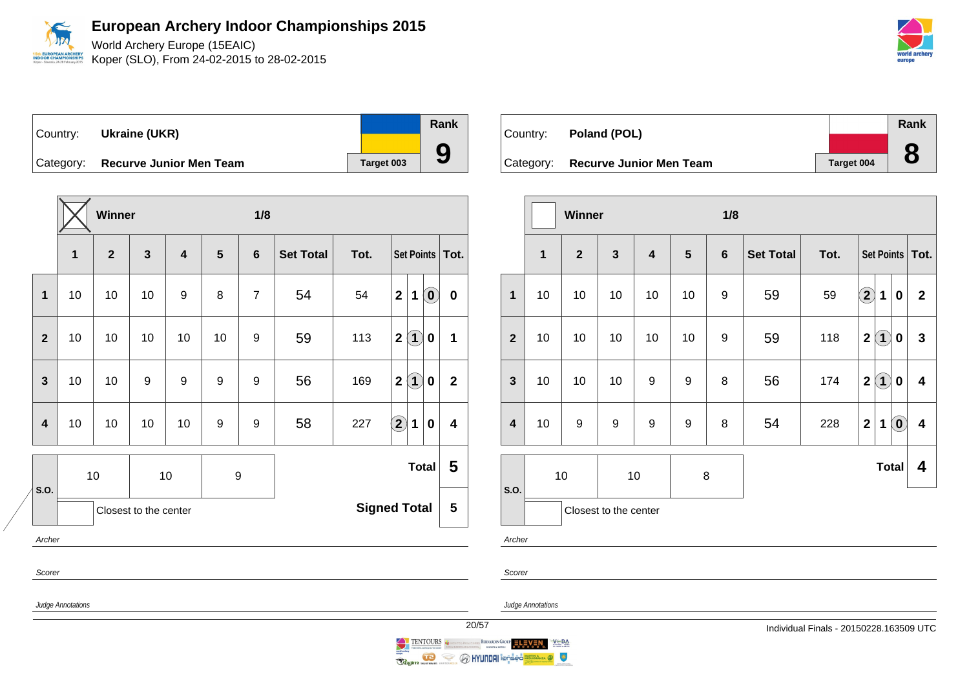

World Archery Europe (15EAIC) Koper (SLO), From 24-02-2015 to 28-02-2015

| Country: | Ukraine (UKR)                     |                   | Rank |
|----------|-----------------------------------|-------------------|------|
|          |                                   |                   |      |
|          | Category: Recurve Junior Men Team | <b>Target 003</b> |      |

|                  |        |    | Winner         |                       |                         |                  | 1/8            |                  |      |                                                                       |              |
|------------------|--------|----|----------------|-----------------------|-------------------------|------------------|----------------|------------------|------|-----------------------------------------------------------------------|--------------|
|                  |        | 1  | $\overline{2}$ | $\mathbf{3}$          | $\overline{\mathbf{4}}$ | 5                | $6\phantom{1}$ | <b>Set Total</b> | Tot. | Set Points                                                            | Tot.         |
| 1                |        | 10 | 10             | 10                    | 9                       | 8                | $\overline{7}$ | 54               | 54   | $\left( \begin{matrix} 0 \end{matrix} \right)$<br>$\overline{2}$<br>1 | $\bf{0}$     |
| $\overline{2}$   |        | 10 | 10             | 10                    | 10                      | 10               | 9              | 59               | 113  | $\bf(1)$<br>$\mathbf 2$<br>$\bf{0}$                                   | 1            |
| 3                |        | 10 | 10             | 9                     | 9                       | 9                | 9              | 56               | 169  | $\bf(1)$<br>$\overline{\mathbf{2}}$<br>$\bf{0}$                       | $\mathbf{2}$ |
| $\boldsymbol{4}$ |        | 10 | 10             | 10                    | 10                      | $\boldsymbol{9}$ | 9              | 58               | 227  | $\Large{2}$<br>$\mathbf 1$<br>$\bf{0}$                                | 4            |
|                  |        |    | 10             |                       | 10                      | 9                |                |                  |      | <b>Total</b>                                                          | 5            |
| S.O.             |        |    |                | Closest to the center |                         |                  |                |                  |      | <b>Signed Total</b>                                                   | 5            |
| Archer           | Scorer |    |                |                       |                         |                  |                |                  |      |                                                                       |              |

| Country:  | Poland (POL)                   |            | Rank |
|-----------|--------------------------------|------------|------|
|           |                                |            |      |
| Category: | <b>Recurve Junior Men Team</b> | Target 004 |      |

| $\overline{\mathbf{3}}$<br>$\mathbf{1}$<br>$\overline{2}$<br>$\overline{\mathbf{4}}$<br>$5\phantom{1}$<br>$6\phantom{1}$<br><b>Set Total</b><br>59<br>$\mathbf{1}$<br>10<br>10<br>10<br>10<br>10<br>9 | Tot.<br>59 | Set Points   Tot.<br>$\bf{(2)}$<br>$\mathbf 1$ | $\bf{0}$                   | $\mathbf{2}$            |
|-------------------------------------------------------------------------------------------------------------------------------------------------------------------------------------------------------|------------|------------------------------------------------|----------------------------|-------------------------|
|                                                                                                                                                                                                       |            |                                                |                            |                         |
|                                                                                                                                                                                                       |            |                                                |                            |                         |
| $\overline{2}$<br>10<br>10<br>9<br>59<br>10<br>10<br>10                                                                                                                                               | 118        | $\mathbf{2}$<br>$\bf(1)$                       | $\pmb{0}$                  | $\mathbf{3}$            |
| $\mathbf{3}$<br>$\boldsymbol{9}$<br>$\boldsymbol{9}$<br>8<br>56<br>10<br>10<br>10                                                                                                                     | 174        | (1)<br>$\mathbf 2$                             | $\boldsymbol{0}$           | $\overline{\mathbf{4}}$ |
| $\boldsymbol{9}$<br>$\boldsymbol{9}$<br>$\boldsymbol{9}$<br>8<br>$\overline{\mathbf{4}}$<br>$\boldsymbol{9}$<br>54<br>10                                                                              | 228        | $\mathbf{2}$<br>1                              | $\left( \mathbf{0}\right)$ | 4                       |
| 10<br>10<br>8<br>S.O.                                                                                                                                                                                 |            |                                                | <b>Total</b>               | 4                       |
| Closest to the center<br>Archer                                                                                                                                                                       |            |                                                |                            |                         |

Scorer



Judge Annotations

Scorer





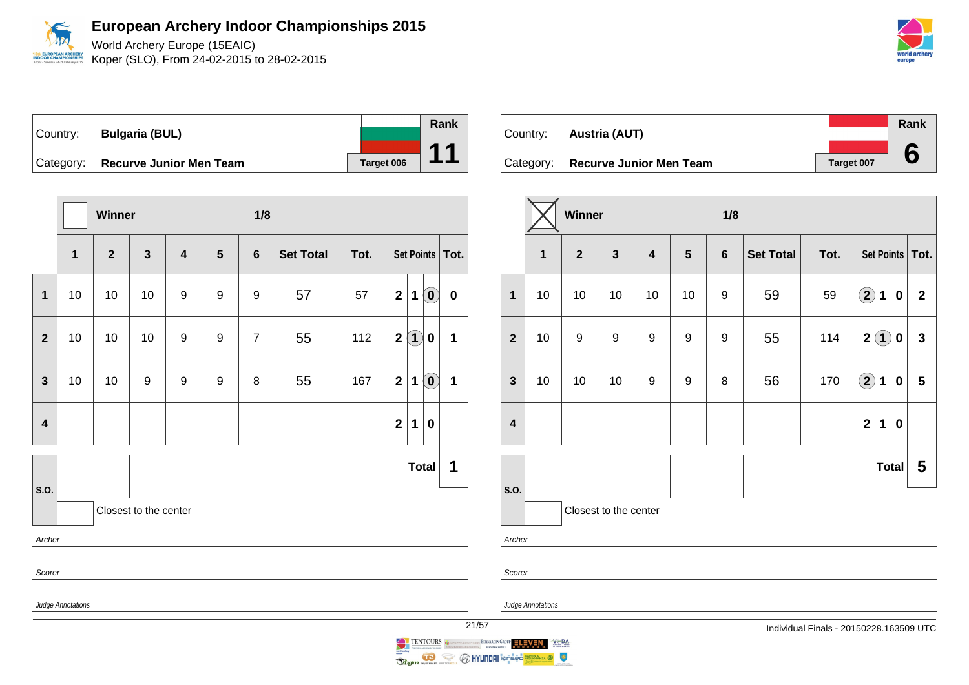

Koper (SLO), From 24-02-2015 to 28-02-2015



Country: **Bulgaria (BUL)** Category: **Recurve Junior Men Team Tanget 006 Rank 11**

|                         |                         | Winner       | 1/8                   |                         |                |                 |                  |      |                                                                               |           |  |  |
|-------------------------|-------------------------|--------------|-----------------------|-------------------------|----------------|-----------------|------------------|------|-------------------------------------------------------------------------------|-----------|--|--|
|                         | $\mathbf{1}$            | $\mathbf{2}$ | $\mathbf{3}$          | $\overline{\mathbf{4}}$ | $5\phantom{1}$ | $6\phantom{1}6$ | <b>Set Total</b> | Tot. | Set Points   Tot.                                                             |           |  |  |
| 1                       | 10                      | 10           | 10                    | 9                       | 9              | 9               | 57               | 57   | $\mathbf{2}$<br>$\left( \begin{matrix} 0 \end{matrix} \right)$<br>$\mathbf 1$ | $\pmb{0}$ |  |  |
| $\overline{2}$          | 10                      | 10           | 10                    | 9                       | 9              | $\overline{7}$  | 55               | 112  | $\left( 1\right)$<br>$\overline{\mathbf{2}}$<br>$\bf{0}$                      | 1         |  |  |
| $\mathbf{3}$            | 10                      | 10           | 9                     | 9                       | 9              | 8               | 55               | 167  | $\boldsymbol{2}$<br>$\left( \mathbf{0}\right)$<br>1                           | 1         |  |  |
| $\overline{\mathbf{4}}$ |                         |              |                       |                         |                |                 |                  |      | $\mathbf{2}$<br>$\mathbf 1$<br>$\bf{0}$                                       |           |  |  |
| S.O.                    |                         |              |                       |                         |                |                 |                  |      | <b>Total</b>                                                                  | 1         |  |  |
|                         |                         |              | Closest to the center |                         |                |                 |                  |      |                                                                               |           |  |  |
|                         | Archer                  |              |                       |                         |                |                 |                  |      |                                                                               |           |  |  |
| Scorer                  |                         |              |                       |                         |                |                 |                  |      |                                                                               |           |  |  |
|                         | Judge Annotations<br>21 |              |                       |                         |                |                 |                  |      |                                                                               |           |  |  |

|                                   |            | Rank |
|-----------------------------------|------------|------|
| Country: <b>Austria (AUT)</b>     |            |      |
|                                   |            |      |
| Category: Recurve Junior Men Team | Target 007 |      |

|                         |              | Winner           |                       |                         |                | 1/8              |                  |      |                   |             |          |                   |
|-------------------------|--------------|------------------|-----------------------|-------------------------|----------------|------------------|------------------|------|-------------------|-------------|----------|-------------------|
|                         | $\mathbf{1}$ | $\overline{2}$   | $\mathbf{3}$          | $\overline{\mathbf{4}}$ | $5\phantom{1}$ | $6\phantom{1}$   | <b>Set Total</b> | Tot. |                   |             |          | Set Points   Tot. |
| $\mathbf{1}$            | 10           | 10               | 10                    | 10                      | 10             | 9                | 59               | 59   | $\bf{(2)}$        | $\mathbf 1$ | $\bf{0}$ | $\mathbf{2}$      |
| $\overline{2}$          | 10           | $\boldsymbol{9}$ | $\boldsymbol{9}$      | 9                       | 9              | $\boldsymbol{9}$ | 55               | 114  | $\mathbf 2$       | $\bf(1)$    | $\bf{0}$ | $\mathbf{3}$      |
| $\mathbf{3}$            | 10           | 10               | 10                    | 9                       | 9              | 8                | 56               | 170  | $\left( 2\right)$ | 1           | $\bf{0}$ | 5                 |
| $\overline{\mathbf{4}}$ |              |                  |                       |                         |                |                  |                  |      | $\mathbf{2}$      | 1           | $\bf{0}$ |                   |
|                         |              |                  |                       |                         |                |                  |                  |      |                   |             | Total    | 5                 |
| S.O.                    |              |                  | Closest to the center |                         |                |                  |                  |      |                   |             |          |                   |
| Archer                  |              |                  |                       |                         |                |                  |                  |      |                   |             |          |                   |

Judge Annotations

 $V \subseteq BA$ 

 $\bullet$ 

Scorer

BERNARDIN GROUP ELEVEN

**O HYUNDAI** lenses

TENTOURS

Ş

**Coginn**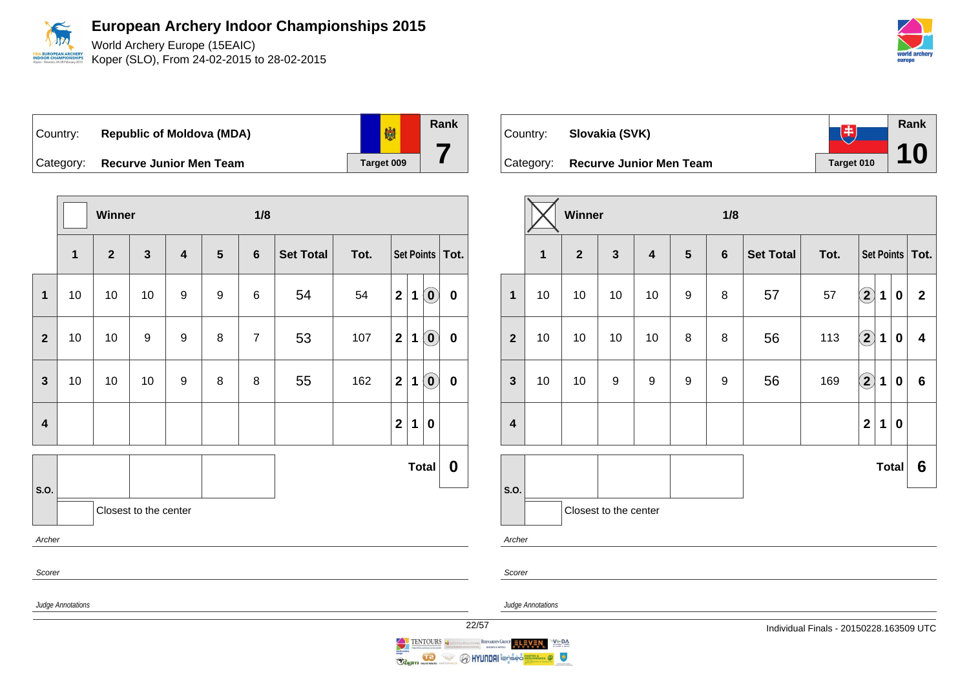

Koper (SLO), From 24-02-2015 to 28-02-2015



劇 Country: **Republic of Moldova (MDA)** Category: **Recurve Junior Men Team Tanget 009** 



| Country:  | Slovakia (SVK)                 | 中          | Rank |
|-----------|--------------------------------|------------|------|
|           |                                |            |      |
| Category: | <b>Recurve Junior Men Team</b> | Target 010 | 10   |

|                         |              | Winner         |                       |                         |   | 1/8            |                  |      |                   |             |              |                         |  |
|-------------------------|--------------|----------------|-----------------------|-------------------------|---|----------------|------------------|------|-------------------|-------------|--------------|-------------------------|--|
|                         | $\mathbf{1}$ | $\overline{2}$ | $\mathbf{3}$          | $\overline{\mathbf{4}}$ | 5 | $6\phantom{a}$ | <b>Set Total</b> | Tot. |                   |             |              | Set Points   Tot.       |  |
| 1                       | 10           | 10             | 10                    | 10                      | 9 | 8              | 57               | 57   | $\bf{(2)}$        | $\mathbf 1$ | 0            | $\mathbf{2}$            |  |
| $\overline{2}$          | 10           | 10             | 10                    | 10                      | 8 | 8              | 56               | 113  | $\left( 2\right)$ | $\mathbf 1$ | $\bf{0}$     | $\overline{\mathbf{4}}$ |  |
| $\mathbf{3}$            | 10           | 10             | 9                     | 9                       | 9 | 9              | 56               | 169  | $\bigcirc$        | $\mathbf 1$ | $\bf{0}$     | $6\phantom{1}$          |  |
| $\overline{\mathbf{4}}$ |              |                |                       |                         |   |                |                  |      | $\mathbf{2}$      | 1           | $\bf{0}$     |                         |  |
|                         |              |                |                       |                         |   |                |                  |      |                   |             | <b>Total</b> | 6                       |  |
| S.O.                    |              |                | Closest to the center |                         |   |                |                  |      |                   |             |              |                         |  |
| Archer                  |              |                |                       |                         |   |                |                  |      |                   |             |              |                         |  |

**OR CHAMPIC** 

Judge Annotations

Scorer



**Rank**

**7**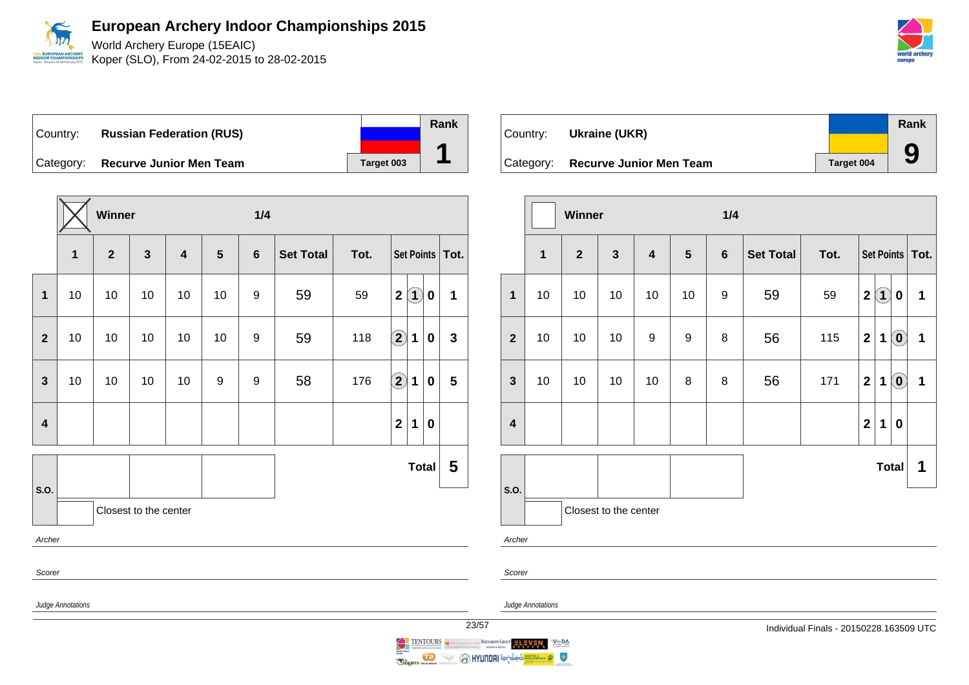

World Archery Europe (15EAIC) Koper (SLO), From 24-02-2015 to 28-02-2015

Country: **Russian Federation (RUS)** Category: **Recurve Junior Men Team Tanget 003** 

|                         |                                      | Winner       |                       |                         |    | 1/4            |                  |      |                                |             |              |  |
|-------------------------|--------------------------------------|--------------|-----------------------|-------------------------|----|----------------|------------------|------|--------------------------------|-------------|--------------|--|
|                         | 1                                    | $\mathbf{2}$ | $\mathbf{3}$          | $\overline{\mathbf{4}}$ | 5  | $6\phantom{1}$ | <b>Set Total</b> | Tot. | Set Points                     |             | Tot.         |  |
| 1                       | 10                                   | 10           | 10                    | 10                      | 10 | 9              | 59               | 59   | $\bf(1)$<br>$\mathbf{2}$       | $\bf{0}$    | $\mathbf{1}$ |  |
| $\overline{\mathbf{2}}$ | 10                                   | 10           | 10                    | 10                      | 10 | 9              | 59               | 118  | $\bigcirc$<br>$\mathbf 1$      | 0           | $\mathbf{3}$ |  |
| 3                       | 10                                   | 10           | 10                    | 10                      | 9  | 9              | 58               | 176  | $\mathbf{2}$<br>1              | 0           | 5            |  |
| $\overline{\mathbf{4}}$ |                                      |              |                       |                         |    |                |                  |      | $\overline{2}$<br>$\mathbf{1}$ | $\mathbf 0$ |              |  |
| S.O.                    |                                      |              |                       |                         |    |                |                  |      |                                | Total       | 5            |  |
|                         |                                      |              | Closest to the center |                         |    |                |                  |      |                                |             |              |  |
|                         | Archer                               |              |                       |                         |    |                |                  |      |                                |             |              |  |
|                         | Scorer                               |              |                       |                         |    |                |                  |      |                                |             |              |  |
|                         | Judge Annotations<br>$\overline{23}$ |              |                       |                         |    |                |                  |      |                                |             |              |  |

| Country: | Ukraine (UKR)                     |                   | Rank |
|----------|-----------------------------------|-------------------|------|
|          |                                   |                   |      |
|          | Category: Recurve Junior Men Team | <b>Target 004</b> | 9    |

|                               |              | Winner         |                         |                         |                  | 1/4 |                  |      |                                                                                          |              |  |  |
|-------------------------------|--------------|----------------|-------------------------|-------------------------|------------------|-----|------------------|------|------------------------------------------------------------------------------------------|--------------|--|--|
|                               | $\mathbf{1}$ | $\overline{2}$ | $\overline{\mathbf{3}}$ | $\overline{\mathbf{4}}$ | $5\phantom{.0}$  | 6   | <b>Set Total</b> | Tot. | Set Points   Tot.                                                                        |              |  |  |
| $\mathbf{1}$                  | 10           | 10             | 10                      | 10                      | 10               | 9   | 59               | 59   | $\bf(1)$<br>$\mathbf 2$<br>0                                                             | 1            |  |  |
| $\overline{2}$                | 10           | 10             | 10                      | $\boldsymbol{9}$        | $\boldsymbol{9}$ | 8   | 56               | 115  | $\left( \mathbf{0}\right)$<br>$\mathbf{2}$<br>1                                          | 1            |  |  |
| $\mathbf{3}$                  | 10           | 10             | 10                      | 10                      | 8                | 8   | 56               | 171  | $\left( \begin{matrix} 0 \end{matrix} \right)$<br>$\overline{\mathbf{2}}$<br>$\mathbf 1$ | $\mathbf{1}$ |  |  |
| $\overline{\mathbf{4}}$       |              |                |                         |                         |                  |     |                  |      | $\mathbf 2$<br>$\mathbf 1$<br>$\mathbf 0$                                                |              |  |  |
| Total                         |              |                |                         |                         |                  |     |                  |      | 1                                                                                        |              |  |  |
| S.O.<br>Closest to the center |              |                |                         |                         |                  |     |                  |      |                                                                                          |              |  |  |
| Archer                        |              |                |                         |                         |                  |     |                  |      |                                                                                          |              |  |  |

Scorer

 $V \subseteq BA$ 

 $\bullet$ 

Judge Annotations



**O HYUNDAI** Ton<mark>-</mark>

 $\iff$ 

Ragin **ID** 

**Rank**

**1**

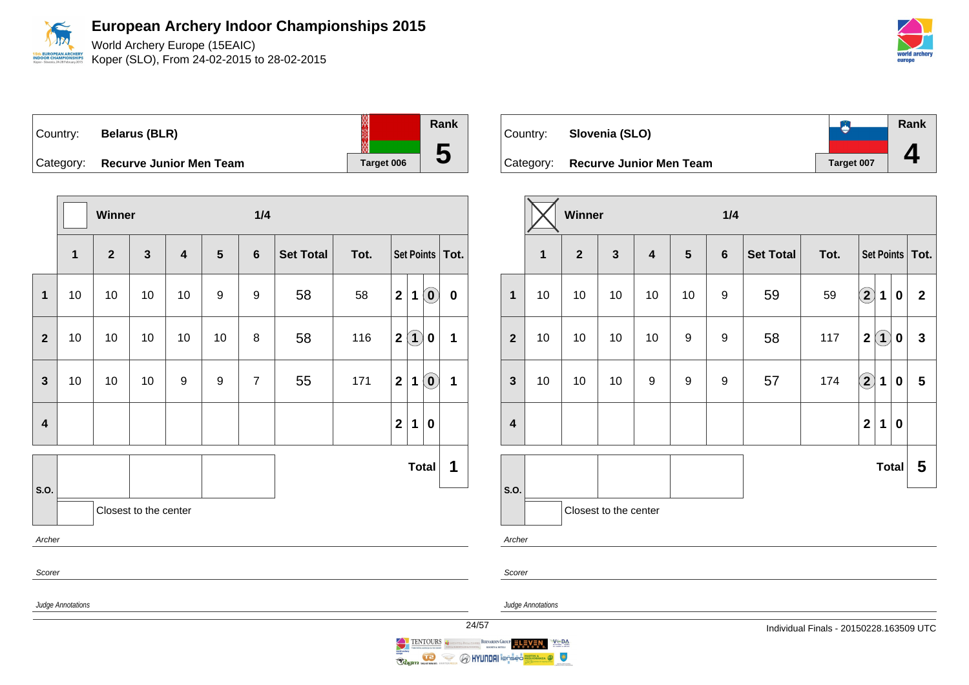World Archery Europe (15EAIC) Koper (SLO), From 24-02-2015 to 28-02-2015

| Country:  | <b>Belarus (BLR)</b>           |            | Rank |
|-----------|--------------------------------|------------|------|
|           |                                |            |      |
| Category: | <b>Recurve Junior Men Team</b> | Target 006 | J    |

|                         |                   | Winner       |                       |                         |                | 1/4              |                  |      |                                                                               |                 |
|-------------------------|-------------------|--------------|-----------------------|-------------------------|----------------|------------------|------------------|------|-------------------------------------------------------------------------------|-----------------|
|                         | $\mathbf{1}$      | $\mathbf{2}$ | $\mathbf{3}$          | $\overline{\mathbf{4}}$ | $5\phantom{1}$ | $6\phantom{1}$   | <b>Set Total</b> | Tot. | Set Points   Tot.                                                             |                 |
| $\mathbf{1}$            | 10                | $10$         | $10$                  | 10                      | 9              | $\boldsymbol{9}$ | 58               | 58   | $\mathbf{2}$<br>$\left( \begin{matrix} 0 \end{matrix} \right)$<br>$\mathbf 1$ | $\pmb{0}$       |
| $\overline{2}$          | 10                | 10           | 10                    | 10                      | 10             | 8                | 58               | 116  | $\left( 1\right)$<br>$\mathbf{2}$<br>$\bf{0}$                                 | 1               |
| $\mathbf{3}$            | 10                | $10$         | $10$                  | $\boldsymbol{9}$        | 9              | $\overline{7}$   | 55               | 171  | $\left[ \begin{matrix} 0 \end{matrix} \right]$<br>$\boldsymbol{2}$<br>1       | 1               |
| $\overline{\mathbf{4}}$ |                   |              |                       |                         |                |                  |                  |      | $\overline{2}$<br>$\mathbf{1}$<br>$\bf{0}$                                    |                 |
| S.O.                    |                   |              |                       |                         |                |                  |                  |      | <b>Total</b>                                                                  | 1               |
|                         |                   |              | Closest to the center |                         |                |                  |                  |      |                                                                               |                 |
| Archer                  |                   |              |                       |                         |                |                  |                  |      |                                                                               |                 |
| Scorer                  |                   |              |                       |                         |                |                  |                  |      |                                                                               |                 |
|                         | Judge Annotations |              |                       |                         |                |                  |                  |      |                                                                               | $\overline{24}$ |

| Country: | Slovenia (SLO)                    |            | <b>Rank</b> |
|----------|-----------------------------------|------------|-------------|
|          | Category: Recurve Junior Men Team | Target 007 |             |

|                         |                                     | Winner |                       |                         |                  | 1/4              |                  |      |                         |     |          |                   |  |
|-------------------------|-------------------------------------|--------|-----------------------|-------------------------|------------------|------------------|------------------|------|-------------------------|-----|----------|-------------------|--|
|                         | $\mathbf{3}$<br>1<br>$\overline{2}$ |        |                       | $\overline{\mathbf{4}}$ | $5\phantom{.0}$  | $6\phantom{1}$   | <b>Set Total</b> | Tot. |                         |     |          | Set Points   Tot. |  |
| $\overline{\mathbf{1}}$ | 10                                  | 10     | 10                    | 10                      | 10               | $\boldsymbol{9}$ | 59               | 59   | $\bf{(2)}$              | 1   | 0        | $\mathbf{2}$      |  |
| $\overline{2}$          | 10                                  | 10     | 10                    | 10                      | 9                | 9                | 58               | 117  | $\overline{2}$          | (1) | 0        | $\mathbf{3}$      |  |
| $\mathbf{3}$            | 10                                  | 10     | 10                    | 9                       | $\boldsymbol{9}$ | 9                | 57               | 174  | $\mathbf{2}$            | 1   | $\bf{0}$ | 5                 |  |
| $\overline{\mathbf{4}}$ |                                     |        |                       |                         |                  |                  |                  |      | $\overline{\mathbf{2}}$ | 1   | $\bf{0}$ |                   |  |
|                         |                                     |        |                       |                         |                  |                  |                  |      |                         |     | Total    | 5                 |  |
| S.O.                    |                                     |        | Closest to the center |                         |                  |                  |                  |      |                         |     |          |                   |  |

Archer

Scorer

Judge Annotations

TENTOURS BERNARDIN GROUP ELEVEN  $V^{\text{th}}$  DA éá. **Coginn MENT DE LA SERVICE SE**  $\bullet$ Ş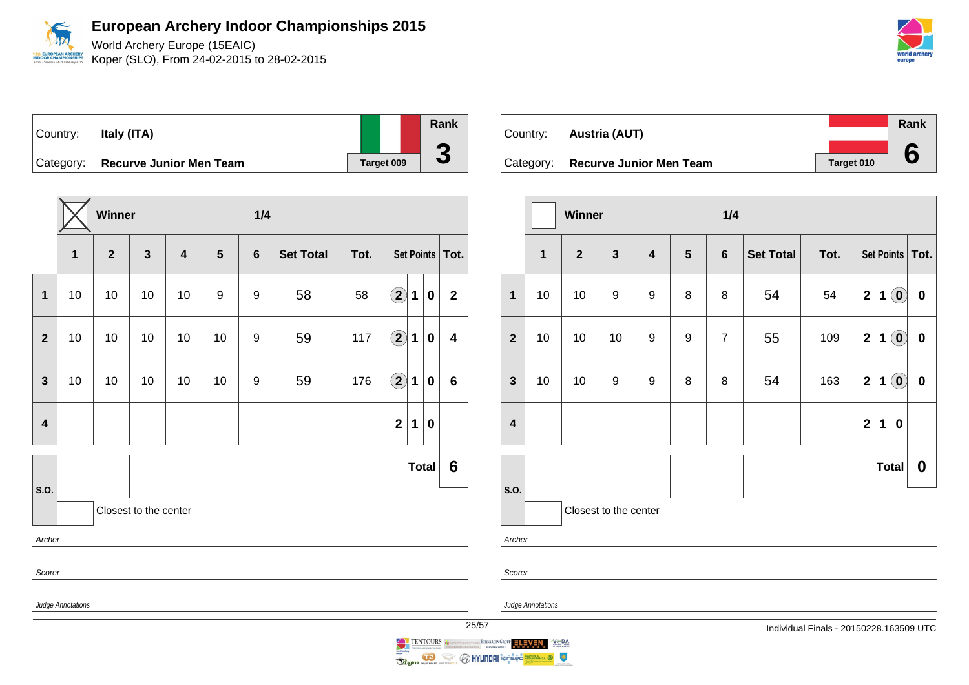World Archery Europe (15EAIC) Koper (SLO), From 24-02-2015 to 28-02-2015



| Country:  | Italy (ITA)                    |            | Rank |
|-----------|--------------------------------|------------|------|
|           |                                |            |      |
| Category: | <b>Recurve Junior Men Team</b> | Target 009 |      |

|                         |                         | Winner         |                       |                         |    | 1/4            |                  |      |                            |                   |              |                         |
|-------------------------|-------------------------|----------------|-----------------------|-------------------------|----|----------------|------------------|------|----------------------------|-------------------|--------------|-------------------------|
|                         | $\mathbf{1}$            | $\overline{2}$ | $\mathbf{3}$          | $\overline{\mathbf{4}}$ | 5  | $6\phantom{1}$ | <b>Set Total</b> | Tot. |                            | Set Points   Tot. |              |                         |
| 1                       | 10                      | 10             | 10                    | 10                      | 9  | 9              | 58               | 58   | $\bigcirc$                 | $\mathbf 1$       | $\mathbf 0$  | $\overline{\mathbf{2}}$ |
| $\overline{2}$          | 10                      | 10             | 10                    | 10                      | 10 | 9              | 59               | 117  | $\left( \mathbf{2}\right)$ | 1                 | 0            | $\overline{\mathbf{4}}$ |
| 3                       | 10                      | 10             | 10                    | 10                      | 10 | 9              | 59               | 176  | $\Large{\textbf{2}}$       | 1                 | 0            | $6\phantom{1}$          |
| $\overline{\mathbf{4}}$ |                         |                |                       |                         |    |                |                  |      | $\overline{2}$             | $\mathbf 1$       | $\mathbf 0$  |                         |
|                         |                         |                |                       |                         |    |                |                  |      |                            |                   | <b>Total</b> | 6                       |
| S.O.                    |                         |                | Closest to the center |                         |    |                |                  |      |                            |                   |              |                         |
| Archer                  |                         |                |                       |                         |    |                |                  |      |                            |                   |              |                         |
| Scorer                  |                         |                |                       |                         |    |                |                  |      |                            |                   |              |                         |
|                         | Judge Annotations<br>25 |                |                       |                         |    |                |                  |      |                            |                   |              |                         |

| Country: <b>Austria (AUT)</b>     |            | Rank |
|-----------------------------------|------------|------|
|                                   |            |      |
| Category: Recurve Junior Men Team | Target 010 |      |

|                         |                                                           | <b>Winner</b> |                         |                           |   | 1/4              |      |                   |                         |             |                             |           |  |
|-------------------------|-----------------------------------------------------------|---------------|-------------------------|---------------------------|---|------------------|------|-------------------|-------------------------|-------------|-----------------------------|-----------|--|
|                         | $\overline{\mathbf{1}}$<br>$\mathbf{3}$<br>$\overline{2}$ |               | $\overline{\mathbf{4}}$ | $5\phantom{1}$<br>$\bf 6$ |   | <b>Set Total</b> | Tot. | Set Points   Tot. |                         |             |                             |           |  |
| $\overline{\mathbf{1}}$ | 10                                                        | 10            | $\boldsymbol{9}$        | $\boldsymbol{9}$          | 8 | $\bf 8$          | 54   | 54                | $\mathbf{2}$            | 1           | $\left( \mathbf{0}\right)$  | $\pmb{0}$ |  |
| $\overline{\mathbf{2}}$ | 10                                                        | 10            | 10                      | 9                         | 9 | $\overline{7}$   | 55   | 109               | $\mathbf{2}$            | $\mathbf 1$ | $\textcolor{blue}{\bullet}$ | $\bf{0}$  |  |
| $\mathbf{3}$            | 10                                                        | 10            | 9                       | 9                         | 8 | 8                | 54   | 163               | $\mathbf 2$             | 1           | $\left( \mathbf{0}\right)$  | $\pmb{0}$ |  |
| $\overline{\mathbf{4}}$ |                                                           |               |                         |                           |   |                  |      |                   | $\overline{\mathbf{2}}$ | 1           | $\bf{0}$                    |           |  |
|                         |                                                           |               |                         |                           |   |                  |      |                   |                         |             | Total                       | 0         |  |
| S.O.<br>Archer          |                                                           |               | Closest to the center   |                           |   |                  |      |                   |                         |             |                             |           |  |

Scorer

Judge Annotations

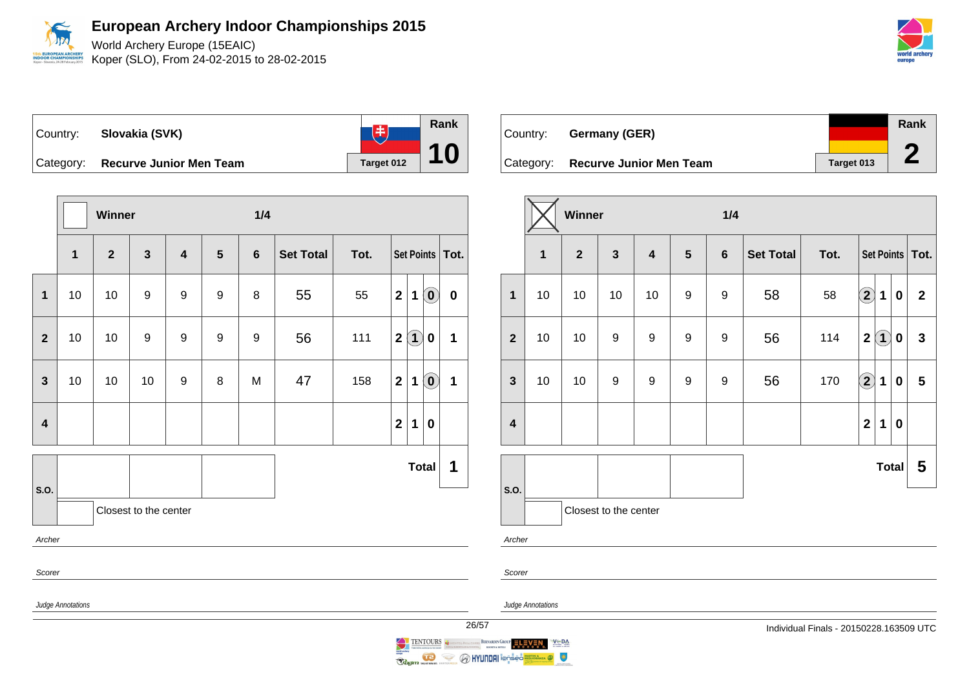World Archery Europe (15EAIC) Koper (SLO), From 24-02-2015 to 28-02-2015

| Country:  | Slovakia (SVK)                 |                   | Rank |
|-----------|--------------------------------|-------------------|------|
| Category: | <b>Recurve Junior Men Team</b> | <b>Target 012</b> |      |

|                         |                   | Winner                  |                       |                         |                  | 1/4              |                  |      |                     |                                                         |           |
|-------------------------|-------------------|-------------------------|-----------------------|-------------------------|------------------|------------------|------------------|------|---------------------|---------------------------------------------------------|-----------|
|                         | $\mathbf{1}$      | $\overline{\mathbf{2}}$ | $\mathbf{3}$          | $\overline{\mathbf{4}}$ | 5                | $\bf 6$          | <b>Set Total</b> | Tot. | Set Points   Tot.   |                                                         |           |
| $\mathbf{1}$            | 10                | $10$                    | $\boldsymbol{9}$      | 9                       | $\boldsymbol{9}$ | 8                | 55               | 55   | $\mathbf{2}$<br>1   | $\left( \begin{matrix} \textbf{0} \end{matrix} \right)$ | $\pmb{0}$ |
| $\mathbf{2}$            | 10                | 10                      | $\boldsymbol{9}$      | 9                       | 9                | $\boldsymbol{9}$ | 56               | 111  | $\mathbf{2}$        | $\left( 1\right)$<br>$\bf{0}$                           | 1         |
| $\mathbf{3}$            | 10                | 10                      | 10                    | 9                       | 8                | M                | 47               | 158  | $\mathbf{2}$<br>1   | $\left( \mathbf{0}\right)$                              | 1         |
| $\overline{\mathbf{4}}$ |                   |                         |                       |                         |                  |                  |                  |      | $\overline{2}$<br>1 | $\bf{0}$                                                |           |
| S.O.                    |                   |                         |                       |                         |                  |                  |                  |      |                     | <b>Total</b>                                            | 1         |
|                         |                   |                         | Closest to the center |                         |                  |                  |                  |      |                     |                                                         |           |
| Archer                  |                   |                         |                       |                         |                  |                  |                  |      |                     |                                                         |           |
| Scorer                  |                   |                         |                       |                         |                  |                  |                  |      |                     |                                                         |           |
|                         | Judge Annotations |                         |                       |                         |                  |                  |                  |      |                     |                                                         | 26        |

| Country: | Germany (GER)                     |            | Rank |
|----------|-----------------------------------|------------|------|
|          |                                   |            |      |
|          | Category: Recurve Junior Men Team | Target 013 |      |

|                         |                                                           | Winner |                  |                         |                                   | 1/4              |                  |      |                   |             |          |                |
|-------------------------|-----------------------------------------------------------|--------|------------------|-------------------------|-----------------------------------|------------------|------------------|------|-------------------|-------------|----------|----------------|
|                         | $\overline{2}$<br>$\overline{\mathbf{3}}$<br>$\mathbf{1}$ |        |                  | $\overline{\mathbf{4}}$ | $5\phantom{.0}$<br>$6\phantom{a}$ |                  | <b>Set Total</b> | Tot. | Set Points   Tot. |             |          |                |
| $\mathbf{1}$            | 10                                                        | 10     | 10               | 10                      | $\boldsymbol{9}$                  | 9                | 58               | 58   | $\bf{(2)}$        | 1           | $\bf{0}$ | $\overline{2}$ |
| $\overline{2}$          | $10$                                                      | 10     | $\boldsymbol{9}$ | $\boldsymbol{9}$        | 9                                 | $\boldsymbol{9}$ | 56               | 114  | $\mathbf 2$       | $\bf(1)$    | 0        | $\mathbf{3}$   |
| $\mathbf{3}$            | 10                                                        | 10     | $\boldsymbol{9}$ | $\boldsymbol{9}$        | 9                                 | 9                | 56               | 170  | $\bigcirc$        | $\mathbf 1$ | 0        | 5              |
| $\overline{\mathbf{4}}$ |                                                           |        |                  |                         |                                   |                  |                  |      | $\overline{2}$    | 1           | $\bf{0}$ |                |
|                         |                                                           |        |                  |                         |                                   |                  |                  |      |                   |             | Total    | 5              |
| S.O.                    | Closest to the center                                     |        |                  |                         |                                   |                  |                  |      |                   |             |          |                |
| Archer                  |                                                           |        |                  |                         |                                   |                  |                  |      |                   |             |          |                |

Judge Annotations

Scorer

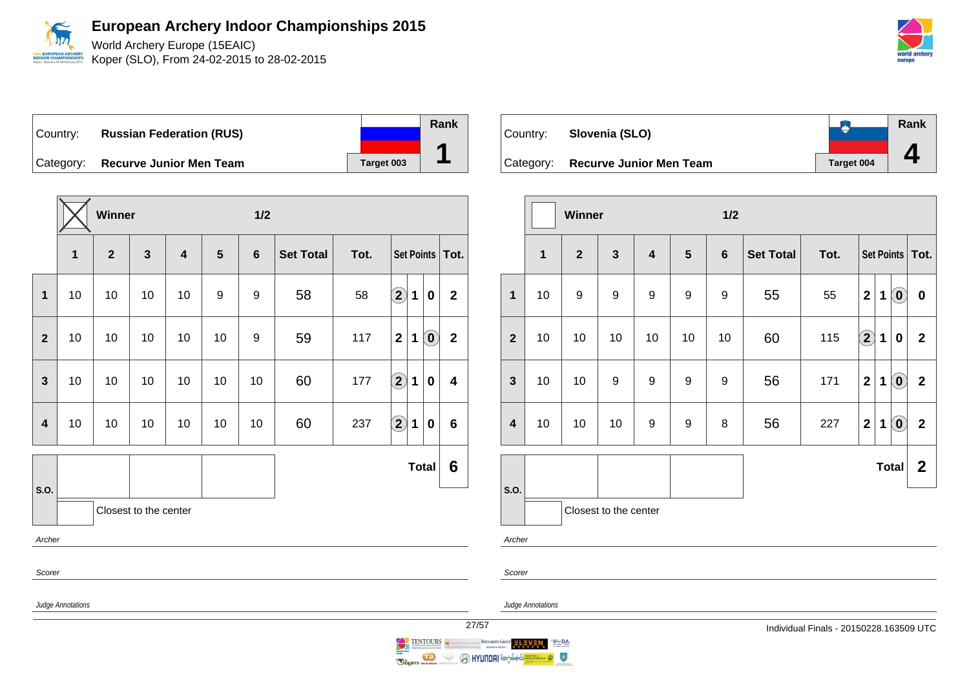

World Archery Europe (15EAIC) Koper (SLO), From 24-02-2015 to 28-02-2015

Country: **Russian Federation (RUS)** Category: **Recurve Junior Men Team Tanget 003** 

|                         |                          | Winner                  |                       |                         |                  | 1/2              |                  |      |                                                                                         |                         |
|-------------------------|--------------------------|-------------------------|-----------------------|-------------------------|------------------|------------------|------------------|------|-----------------------------------------------------------------------------------------|-------------------------|
|                         | 1                        | $\overline{\mathbf{2}}$ | $\mathbf{3}$          | $\overline{\mathbf{4}}$ | 5                | $\bf 6$          | <b>Set Total</b> | Tot. | Set Points                                                                              | Tot.                    |
| $\mathbf{1}$            | 10                       | 10                      | 10                    | 10                      | $\boldsymbol{9}$ | $\boldsymbol{9}$ | 58               | 58   | $\bigcirc$<br>1<br>0                                                                    | $\overline{\mathbf{2}}$ |
| $\overline{2}$          | 10                       | 10                      | 10                    | 10                      | 10               | 9                | 59               | 117  | $\left( \begin{matrix} \textbf{0} \end{matrix} \right)$<br>$\overline{\mathbf{2}}$<br>1 | $\mathbf{2}$            |
| $\overline{\mathbf{3}}$ | 10                       | 10                      | 10                    | 10                      | 10               | 10               | 60               | 177  | $\bf \left(2\right)$<br>1<br>0                                                          | 4                       |
| 4                       | $10\,$                   | 10                      | 10                    | 10                      | 10               | 10               | 60               | 237  | $\bigcirc$<br>1<br>0                                                                    | 6                       |
|                         |                          |                         |                       |                         |                  |                  |                  |      | <b>Total</b>                                                                            | 6                       |
| S.O.                    |                          |                         | Closest to the center |                         |                  |                  |                  |      |                                                                                         |                         |
| Archer                  |                          |                         |                       |                         |                  |                  |                  |      |                                                                                         |                         |
| Scorer                  |                          |                         |                       |                         |                  |                  |                  |      |                                                                                         |                         |
|                         | <b>Judge Annotations</b> |                         |                       |                         |                  |                  |                  |      |                                                                                         | 27                      |



|                         |                       | Winner           |              |                         |                  | 1/2            |                  |      |                |                   |                                                |                |  |
|-------------------------|-----------------------|------------------|--------------|-------------------------|------------------|----------------|------------------|------|----------------|-------------------|------------------------------------------------|----------------|--|
|                         | 1                     | $\overline{2}$   | $\mathbf{3}$ | $\overline{\mathbf{4}}$ | $5\phantom{1}$   | $6\phantom{1}$ | <b>Set Total</b> | Tot. |                | Set Points   Tot. |                                                |                |  |
| $\mathbf{1}$            | 10                    | $\boldsymbol{9}$ | 9            | $\boldsymbol{9}$        | $\boldsymbol{9}$ | 9              | 55               | 55   | $\mathbf{2}$   | $\mathbf 1$       | $\left( \begin{matrix} 0 \end{matrix} \right)$ | $\pmb{0}$      |  |
| $\overline{2}$          | 10                    | 10               | 10           | 10                      | 10               | 10             | 60               | 115  | $\bf{(2)}$     | $\mathbf 1$       | 0                                              | $\mathbf{2}$   |  |
| $\mathbf{3}$            | 10                    | 10               | 9            | $\boldsymbol{9}$        | $\boldsymbol{9}$ | 9              | 56               | 171  | $\overline{2}$ | $\mathbf 1$       | $\left( \mathbf{0}\right)$                     | $\overline{2}$ |  |
| $\overline{\mathbf{4}}$ | 10                    | 10               | 10           | $\boldsymbol{9}$        | $\boldsymbol{9}$ | 8              | 56               | 227  | $\mathbf{2}$   | $\mathbf 1$       | $\left( \begin{matrix} 0 \end{matrix} \right)$ | $\overline{2}$ |  |
|                         |                       |                  |              |                         |                  |                |                  |      |                |                   | Total                                          | $\mathbf{2}$   |  |
| S.O.                    | Closest to the center |                  |              |                         |                  |                |                  |      |                |                   |                                                |                |  |
| Archer                  |                       |                  |              |                         |                  |                |                  |      |                |                   |                                                |                |  |
| Scorer                  |                       |                  |              |                         |                  |                |                  |      |                |                   |                                                |                |  |



**Rank**

**1**

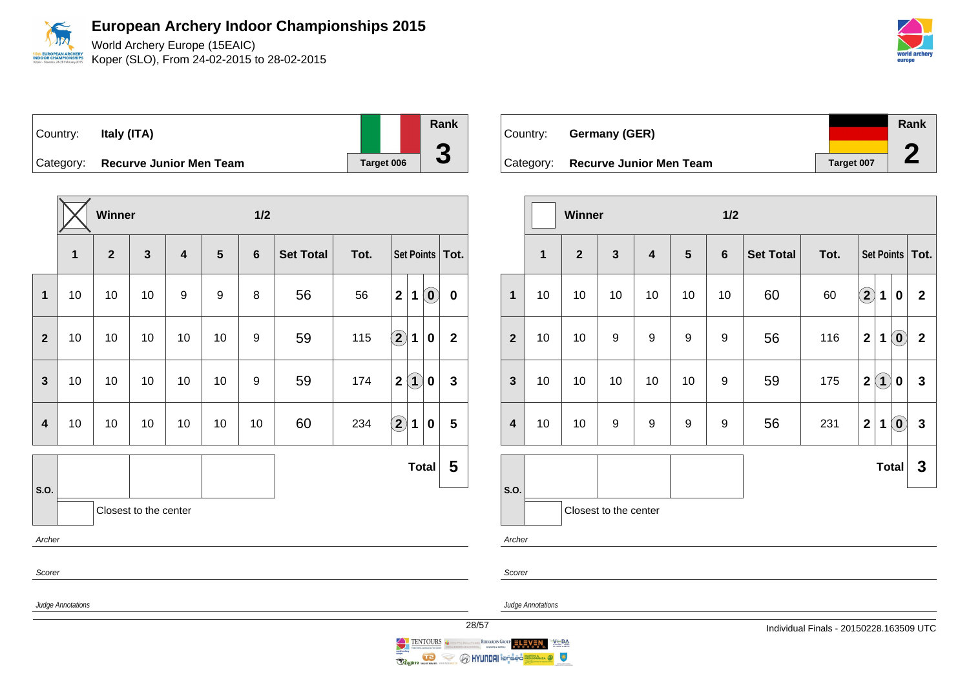World Archery Europe (15EAIC) Koper (SLO), From 24-02-2015 to 28-02-2015



| Country:  | Italy (ITA)                    |            | Rank |
|-----------|--------------------------------|------------|------|
|           |                                |            |      |
| Category: | <b>Recurve Junior Men Team</b> | Target 006 |      |

|                          |              | Winner                  |                       |                         |                  | $1/2$           |                  |      |                                                                                       |              |  |  |
|--------------------------|--------------|-------------------------|-----------------------|-------------------------|------------------|-----------------|------------------|------|---------------------------------------------------------------------------------------|--------------|--|--|
|                          | $\mathbf{1}$ | $\overline{\mathbf{2}}$ | $\mathbf{3}$          | $\overline{\mathbf{4}}$ | $5\phantom{1}$   | $6\phantom{1}6$ | <b>Set Total</b> | Tot. | Set Points   Tot.                                                                     |              |  |  |
| $\mathbf{1}$             | 10           | 10                      | 10                    | 9                       | $\boldsymbol{9}$ | 8               | 56               | 56   | $\left( \begin{matrix} \textbf{0} \end{matrix} \right)$<br>$\mathbf 2$<br>$\mathbf 1$ | $\mathbf 0$  |  |  |
| $\mathbf{2}$             | 10           | 10                      | 10                    | 10                      | 10               | 9               | 59               | 115  | $\Large 2$<br>$\mathbf 1$<br>$\bf{0}$                                                 | $\mathbf{2}$ |  |  |
| $\mathbf{3}$             | 10           | 10                      | 10                    | 10                      | 10               | 9               | 59               | 174  | $\bf(1)$<br>$\mathbf 2$<br>$\pmb{0}$                                                  | $\mathbf{3}$ |  |  |
| $\overline{\mathbf{4}}$  | 10           | 10                      | 10                    | 10                      | 10               | 10              | 60               | 234  | $\bf \overline{2}$<br>1<br>$\bf{0}$                                                   | 5            |  |  |
|                          |              |                         |                       |                         |                  |                 |                  |      | <b>Total</b>                                                                          | 5            |  |  |
| S.O.                     |              |                         | Closest to the center |                         |                  |                 |                  |      |                                                                                       |              |  |  |
| Archer                   |              |                         |                       |                         |                  |                 |                  |      |                                                                                       |              |  |  |
| Scorer                   |              |                         |                       |                         |                  |                 |                  |      |                                                                                       |              |  |  |
| Judge Annotations<br>28/ |              |                         |                       |                         |                  |                 |                  |      |                                                                                       |              |  |  |

| Country: | Germany (GER)                     |            | Rank |
|----------|-----------------------------------|------------|------|
|          |                                   |            |      |
|          | Category: Recurve Junior Men Team | Target 007 |      |

|                         |                       | Winner         |                  |                         |                | 1/2            |                  |      |                            |             |                            |                         |
|-------------------------|-----------------------|----------------|------------------|-------------------------|----------------|----------------|------------------|------|----------------------------|-------------|----------------------------|-------------------------|
|                         | $\mathbf{1}$          | $\overline{2}$ | $\mathbf{3}$     | $\overline{\mathbf{4}}$ | $5\phantom{1}$ | $6\phantom{1}$ | <b>Set Total</b> | Tot. | Set Points   Tot.          |             |                            |                         |
| 1                       | 10                    | 10             | 10               | 10                      | 10             | 10             | 60               | 60   | $\left( \mathbf{2}\right)$ | $\mathbf 1$ | $\bf{0}$                   | $\mathbf{2}$            |
| $\overline{2}$          | 10                    | 10             | 9                | 9                       | 9              | 9              | 56               | 116  | $\mathbf{2}$               | 1           | $\left( \mathbf{0}\right)$ | $\overline{\mathbf{2}}$ |
| $\mathbf{3}$            | 10                    | 10             | 10               | 10                      | 10             | 9              | 59               | 175  | $\overline{2}$             | $\bf(1)$    | 0                          | $\mathbf{3}$            |
| $\overline{\mathbf{4}}$ | 10                    | 10             | $\boldsymbol{9}$ | $\boldsymbol{9}$        | 9              | 9              | 56               | 231  | $\overline{2}$             | $\mathbf 1$ | $\left( \mathbf{0}\right)$ | $\mathbf{3}$            |
|                         |                       |                |                  |                         |                |                |                  |      |                            |             | <b>Total</b>               | $\mathbf{3}$            |
| S.O.                    | Closest to the center |                |                  |                         |                |                |                  |      |                            |             |                            |                         |
| Archer                  |                       |                |                  |                         |                |                |                  |      |                            |             |                            |                         |

Scorer

Judge Annotations

28/57 Individual Finals - 20150228.163509 UTC

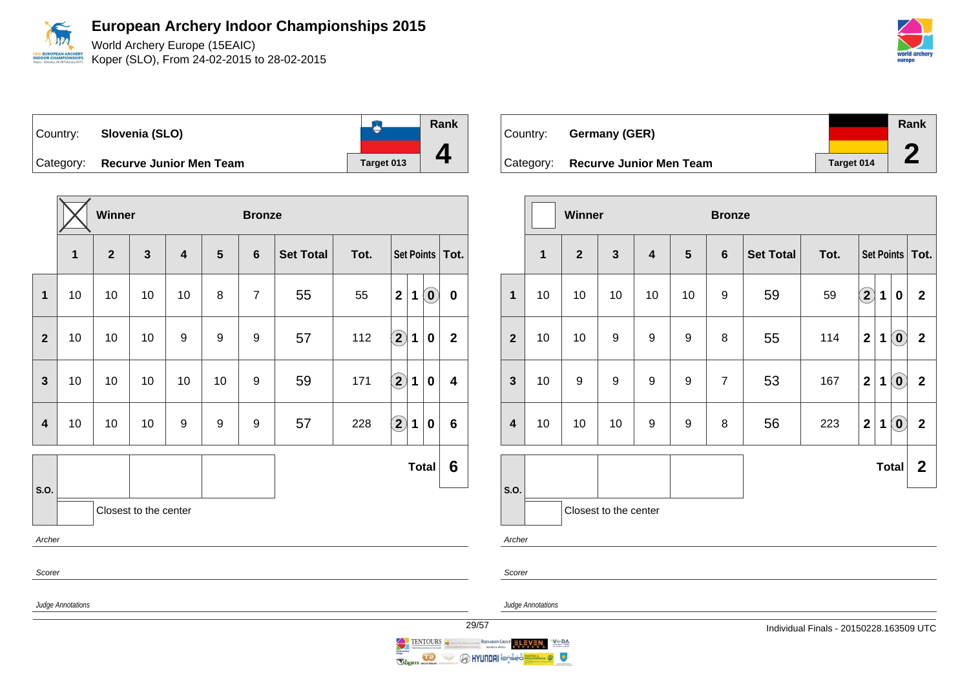World Archery Europe (15EAIC) Koper (SLO), From 24-02-2015 to 28-02-2015

| world archery<br>europe |
|-------------------------|
|                         |

 $\overline{\phantom{a}}$ 

 $\bullet$ Country: **Slovenia (SLO)** Category: **Recurve Junior Men Team Target 013** 

|                         |                   | Winner         |                       |                         |    | <b>Bronze</b>  |                  |      |                           |                            |                         |  |
|-------------------------|-------------------|----------------|-----------------------|-------------------------|----|----------------|------------------|------|---------------------------|----------------------------|-------------------------|--|
|                         | $\mathbf{1}$      | $\overline{2}$ | $\mathbf{3}$          | $\overline{\mathbf{4}}$ | 5  | $6\phantom{1}$ | <b>Set Total</b> | Tot. |                           |                            | Set Points   Tot.       |  |
| $\mathbf{1}$            | 10                | 10             | 10                    | 10                      | 8  | $\overline{7}$ | 55               | 55   | $\mathbf{2}$<br>1         | $\left( \mathbf{0}\right)$ | $\bf{0}$                |  |
| $\overline{2}$          | 10                | 10             | 10                    | 9                       | 9  | 9              | 57               | 112  | $\bigcirc$<br>1           | $\boldsymbol{0}$           | $\mathbf 2$             |  |
| $\mathbf{3}$            | 10                | 10             | 10                    | 10                      | 10 | 9              | 59               | 171  | $\Large{\textbf{2}}$<br>1 | $\pmb{0}$                  | $\overline{\mathbf{4}}$ |  |
| $\overline{\mathbf{4}}$ | 10                | 10             | 10                    | 9                       | 9  | 9              | 57               | 228  | $\bigcirc \!\! \! 2$<br>1 | $\bf{0}$                   | $6\phantom{1}6$         |  |
| S.O.                    |                   |                |                       |                         |    |                |                  |      |                           | <b>Total</b>               | 6                       |  |
|                         |                   |                | Closest to the center |                         |    |                |                  |      |                           |                            |                         |  |
| Archer                  |                   |                |                       |                         |    |                |                  |      |                           |                            |                         |  |
|                         | Scorer            |                |                       |                         |    |                |                  |      |                           |                            |                         |  |
|                         | Judge Annotations |                |                       |                         |    |                |                  |      |                           |                            |                         |  |



|                         |              | Winner       |                       |    |                | <b>Bronze</b>  |                  |      |                         |             |                                   |                |  |
|-------------------------|--------------|--------------|-----------------------|----|----------------|----------------|------------------|------|-------------------------|-------------|-----------------------------------|----------------|--|
|                         | $\mathbf{1}$ | $\mathbf{2}$ | $\mathbf{3}$          | 4  | $5\phantom{1}$ | $6\phantom{1}$ | <b>Set Total</b> | Tot. | Set Points   Tot.       |             |                                   |                |  |
| $\mathbf{1}$            | 10           | 10           | 10                    | 10 | 10             | 9              | 59               | 59   | $\bf (2)$               | $\mathbf 1$ | 0                                 | $\mathbf{2}$   |  |
| $\overline{2}$          | 10           | 10           | 9                     | 9  | 9              | 8              | 55               | 114  | $\overline{\mathbf{2}}$ | $\mathbf 1$ | $\left( \mathbf{0}\right)$        | $\mathbf{2}$   |  |
| $\mathbf{3}$            | 10           | 9            | 9                     | 9  | 9              | $\overline{7}$ | 53               | 167  | $\mathbf{2}$            | 1           | $\left( \mathbf{0}\right)$        | $\overline{2}$ |  |
| $\overline{\mathbf{4}}$ | $10$         | 10           | 10                    | 9  | 9              | 8              | 56               | 223  | $\mathbf 2$             | 1           | $\left( \text{\textbf{0}}\right)$ | $\mathbf{2}$   |  |
|                         |              |              |                       |    |                |                |                  |      |                         |             | <b>Total</b>                      | $\mathbf{2}$   |  |
| S.O.                    |              |              | Closest to the center |    |                |                |                  |      |                         |             |                                   |                |  |
| Archer                  |              |              |                       |    |                |                |                  |      |                         |             |                                   |                |  |
| Scorer                  |              |              |                       |    |                |                |                  |      |                         |             |                                   |                |  |

Judge Annotations

**Rank**

**4**

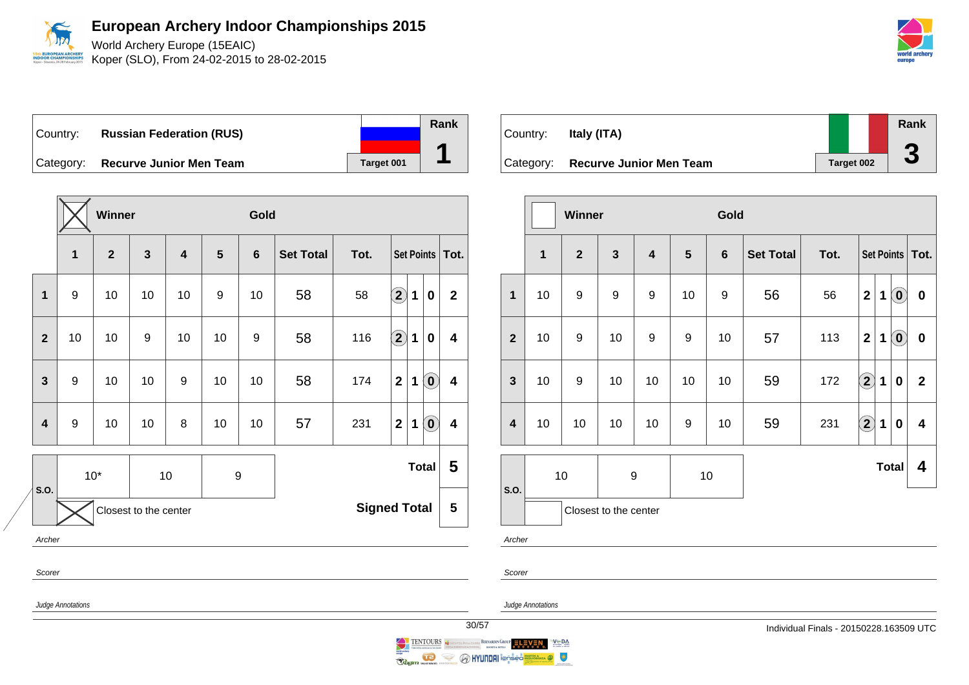

World Archery Europe (15EAIC) Koper (SLO), From 24-02-2015 to 28-02-2015

Country: **Russian Federation (RUS)** Category: **Recurve Junior Men Team Tanget 001** 

|                         |                                              | Winner       |    |                         |                  | Gold            |                  |      |                         |                                                |                         |  |  |
|-------------------------|----------------------------------------------|--------------|----|-------------------------|------------------|-----------------|------------------|------|-------------------------|------------------------------------------------|-------------------------|--|--|
|                         | 1                                            | $\mathbf{2}$ | 3  | $\overline{\mathbf{4}}$ | $5\phantom{1}$   | $6\phantom{1}6$ | <b>Set Total</b> | Tot. | Set Points              | Tot.                                           |                         |  |  |
| 1                       | 9                                            | 10           | 10 | 10                      | 9                | 10              | 58               | 58   | $\mathbf{2}$<br>1       | $\bf{0}$                                       | $\mathbf{2}$            |  |  |
| $\overline{2}$          | 10                                           | 10           | 9  | 10                      | 10               | 9               | 58               | 116  | $\bf \overline{2}$<br>1 | $\bf{0}$                                       | 4                       |  |  |
| $\overline{\mathbf{3}}$ | 9                                            | 10           | 10 | 9                       | 10               | 10              | 58               | 174  | $\mathbf{2}$<br>1       | $\left( \begin{matrix} 0 \end{matrix} \right)$ | $\overline{\mathbf{4}}$ |  |  |
| 4                       | $\boldsymbol{9}$                             | 10           | 10 | 8                       | 10               | 10              | 57               | 231  | $\overline{2}$<br>1     | $\left( \begin{matrix} 0 \end{matrix} \right)$ | $\overline{\mathbf{4}}$ |  |  |
| S.O.                    |                                              | $10*$        |    | $10$                    | $\boldsymbol{9}$ |                 |                  |      | <b>Total</b>            |                                                | 5                       |  |  |
|                         | <b>Signed Total</b><br>Closest to the center |              |    |                         |                  |                 |                  |      |                         |                                                | 5                       |  |  |
| Archer                  |                                              |              |    |                         |                  |                 |                  |      |                         |                                                |                         |  |  |
| Scorer                  |                                              |              |    |                         |                  |                 |                  |      |                         |                                                |                         |  |  |

Country: **Italy (ITA)** Category: **Recurve Junior Men Team Target 002 Rank 3**

|                         |                       | Winner           |                  |                         |                | Gold           |                  |      |                                      |             |                                   |                         |  |
|-------------------------|-----------------------|------------------|------------------|-------------------------|----------------|----------------|------------------|------|--------------------------------------|-------------|-----------------------------------|-------------------------|--|
|                         | $\mathbf 1$           | $\overline{2}$   | $\mathbf{3}$     | $\overline{\mathbf{4}}$ | $5\phantom{1}$ | $6\phantom{1}$ | <b>Set Total</b> | Tot. | Set Points   Tot.                    |             |                                   |                         |  |
| $\mathbf 1$             | 10                    | $\boldsymbol{9}$ | $\boldsymbol{9}$ | $\boldsymbol{9}$        | 10             | 9              | 56               | 56   | $\overline{2}$                       | $\mathbf 1$ | $\left( \text{\o}\right)$         | $\pmb{0}$               |  |
| $\overline{2}$          | 10                    | $\boldsymbol{9}$ | 10               | $\boldsymbol{9}$        | 9              | 10             | 57               | 113  | $\overline{2}$                       | 1           | $\left( \text{\textbf{0}}\right)$ | $\pmb{0}$               |  |
| $\mathbf{3}$            | 10                    | $\boldsymbol{9}$ | 10               | 10                      | 10             | 10             | 59               | 172  | $\left( \mathbf{2}\right)$           | $\mathbf 1$ | $\bf{0}$                          | $\mathbf{2}$            |  |
| $\overline{\mathbf{4}}$ | 10                    | 10               | 10               | 10                      | 9              | 10             | 59               | 231  | $\left( \widehat{\mathbf{2}}\right)$ | $\mathbf 1$ | $\pmb{0}$                         | $\overline{\mathbf{4}}$ |  |
| S.O.                    | $10$<br>9             |                  |                  | 10                      |                |                |                  |      | <b>Total</b>                         | 4           |                                   |                         |  |
|                         | Closest to the center |                  |                  |                         |                |                |                  |      |                                      |             |                                   |                         |  |
| Archer                  |                       |                  |                  |                         |                |                |                  |      |                                      |             |                                   |                         |  |
| Scorer                  |                       |                  |                  |                         |                |                |                  |      |                                      |             |                                   |                         |  |

Judge Annotations

Judge Annotations



**Raginn** was and

**Rank**

**1**





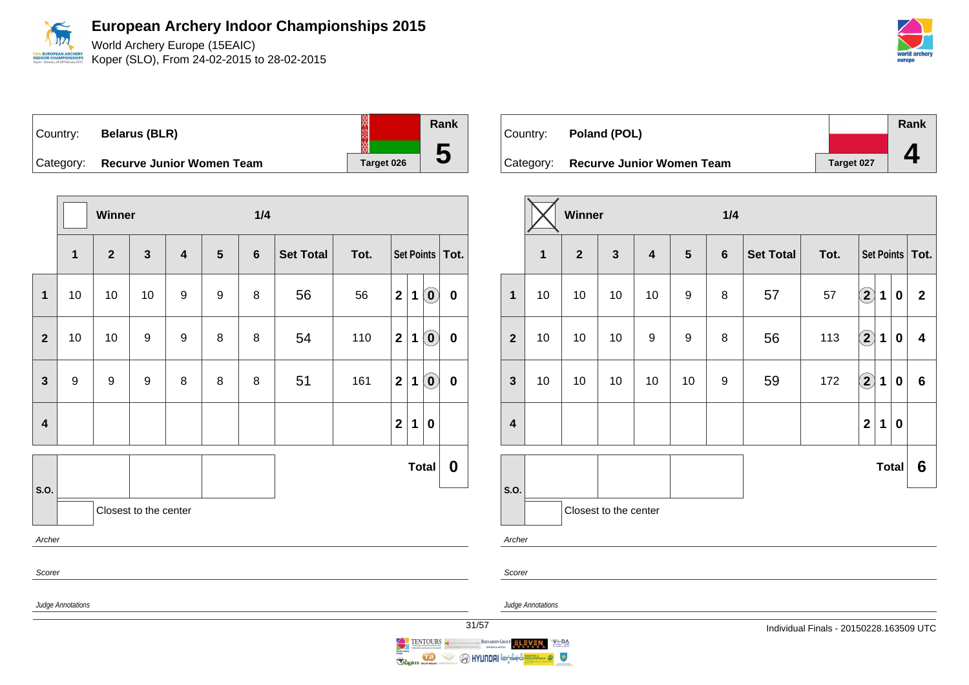

Koper (SLO), From 24-02-2015 to 28-02-2015



Country: **Belarus (BLR)** Category: **Recurve Junior Women Team** | Target 026

|                         |                                                | Winner                  |                       |                  |                  | 1/4            |                  |      |                         |             |                                                |           |
|-------------------------|------------------------------------------------|-------------------------|-----------------------|------------------|------------------|----------------|------------------|------|-------------------------|-------------|------------------------------------------------|-----------|
|                         | 1                                              | $\overline{\mathbf{2}}$ | $\mathbf{3}$          | 4                | $5\phantom{1}$   | $6\phantom{1}$ | <b>Set Total</b> | Tot. | Set Points   Tot.       |             |                                                |           |
| $\overline{\mathbf{1}}$ | 10                                             | $10$                    | $10$                  | $\boldsymbol{9}$ | $\boldsymbol{9}$ | 8              | 56               | 56   | $\mathbf{2}$            | $\mathbf 1$ | $\left( \begin{matrix} 0 \end{matrix} \right)$ | $\pmb{0}$ |
| $\overline{2}$          | 10                                             | 10                      | 9                     | 9                | 8                | 8              | 54               | 110  | $\overline{\mathbf{2}}$ | 1           | $\left( \begin{matrix} 0 \end{matrix} \right)$ | $\pmb{0}$ |
| $\mathbf{3}$            | $\boldsymbol{9}$                               | 9                       | $\boldsymbol{9}$      | 8                | 8                | 8              | 51               | 161  | $\mathbf{2}$            | 1           | $\left( \begin{matrix} 0 \end{matrix} \right)$ | $\pmb{0}$ |
| $\overline{\mathbf{4}}$ |                                                |                         |                       |                  |                  |                |                  |      | $\mathbf 2$             | $\mathbf 1$ | $\bf{0}$                                       |           |
|                         |                                                |                         |                       |                  |                  |                |                  |      |                         |             | <b>Total</b>                                   | 0         |
| S.O.                    |                                                |                         | Closest to the center |                  |                  |                |                  |      |                         |             |                                                |           |
| Archer                  |                                                |                         |                       |                  |                  |                |                  |      |                         |             |                                                |           |
| Scorer                  |                                                |                         |                       |                  |                  |                |                  |      |                         |             |                                                |           |
|                         | Judge Annotations<br>$\overline{\overline{3}}$ |                         |                       |                  |                  |                |                  |      |                         |             |                                                |           |

| Country: <b>Poland (POL)</b>        |            | Rank |
|-------------------------------------|------------|------|
|                                     |            |      |
| Category: Recurve Junior Women Team | Target 027 |      |

|                         |                | Winner         |                       |                         |                  | 1/4            |                  |      |                            |             |                  |                   |
|-------------------------|----------------|----------------|-----------------------|-------------------------|------------------|----------------|------------------|------|----------------------------|-------------|------------------|-------------------|
|                         | $\overline{1}$ | $\overline{2}$ | $\mathbf{3}$          | $\overline{\mathbf{4}}$ | $5\phantom{1}$   | $6\phantom{1}$ | <b>Set Total</b> | Tot. |                            |             |                  | Set Points   Tot. |
| $\mathbf{1}$            | 10             | 10             | 10                    | 10                      | $\boldsymbol{9}$ | 8              | 57               | 57   | $\bf{(2)}$                 | $\mathbf 1$ | $\boldsymbol{0}$ | $\overline{2}$    |
| $\overline{2}$          | 10             | 10             | 10                    | 9                       | $\boldsymbol{9}$ | 8              | 56               | 113  | $\left( \mathbf{2}\right)$ | $\mathbf 1$ | $\mathbf 0$      | 4                 |
| $\mathbf{3}$            | 10             | 10             | 10                    | 10                      | 10               | 9              | 59               | 172  | $\bigcirc \!\! 2$          | $\mathbf 1$ | 0                | $6\phantom{1}$    |
| $\overline{\mathbf{4}}$ |                |                |                       |                         |                  |                |                  |      | $\overline{\mathbf{2}}$    | 1           | $\bf{0}$         |                   |
|                         |                |                |                       |                         |                  |                |                  |      |                            |             | Total            | 6                 |
| S.O.                    |                |                | Closest to the center |                         |                  |                |                  |      |                            |             |                  |                   |
| Archer                  |                |                |                       |                         |                  |                |                  |      |                            |             |                  |                   |

Scorer

Judge Annotations

**Rank**

**5**

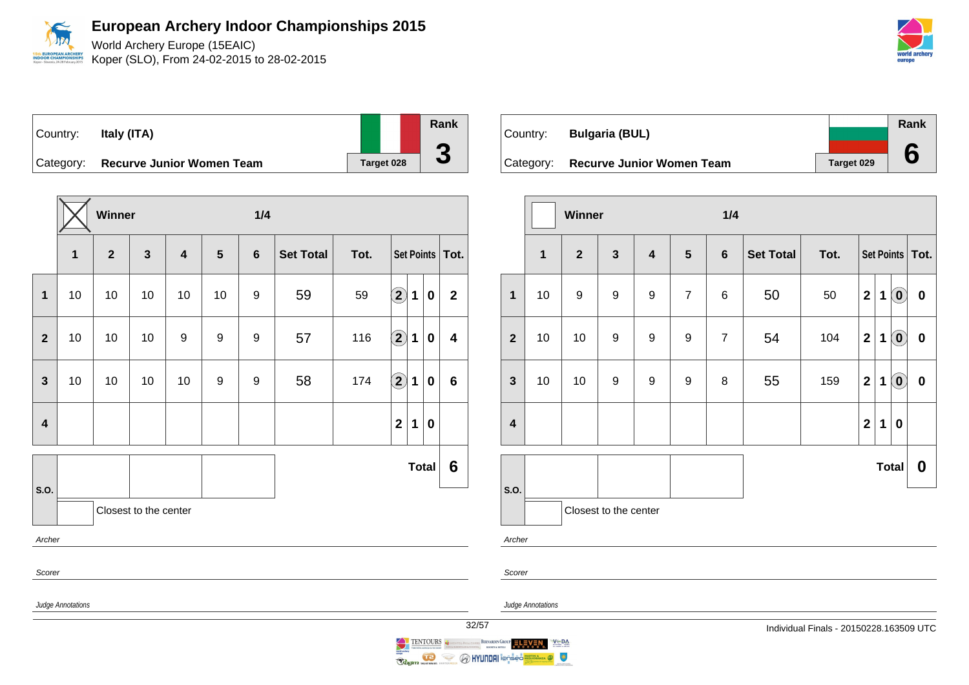World Archery Europe (15EAIC) **EUROPEAN ARCHER** Koper (SLO), From 24-02-2015 to 28-02-2015 **OR CHAMPIO** 



Country: **Italy (ITA)** Category: **Recurve Junior Women Team** | Target 028

**Winner 1/4 1 2 3 4 5 6 Set Total Tot. Set Points Tot. 1** | 10 | 10 | 10 | 10 | 9 | 59 | 59 | 2 | 1 | 0 | 2 **2** 10 10 10 9 9 9 57 116 **2 1 0 4 3** | 10 | 10 | 10 | 10 | 9 | 9 | 58 | 174  $\boxed{2}$  **1** | 0 | 6 **4 2 1 0 S.O. Total 6** Closest to the center Archer Scorer Judge Annotations

| Country:  | <b>Bulgaria (BUL)</b>            |            | Rank |
|-----------|----------------------------------|------------|------|
|           |                                  |            |      |
| Category: | <b>Recurve Junior Women Team</b> | Target 029 |      |

|                         |                                                           | Winner |                       |                         |                  | 1/4            |                  |      |                         |   |                                                |                  |
|-------------------------|-----------------------------------------------------------|--------|-----------------------|-------------------------|------------------|----------------|------------------|------|-------------------------|---|------------------------------------------------|------------------|
|                         | $\overline{\mathbf{1}}$<br>$\overline{2}$<br>$\mathbf{3}$ |        |                       | $\overline{\mathbf{4}}$ | $5\phantom{1}$   | $6\phantom{1}$ | <b>Set Total</b> | Tot. | Set Points   Tot.       |   |                                                |                  |
| $\mathbf{1}$            | 10                                                        | 9      | 9                     | 9                       | $\overline{7}$   | 6              | 50               | 50   | $\overline{2}$          | 1 | $\left( \mathbf{0}\right)$                     | $\pmb{0}$        |
| $\overline{2}$          | 10                                                        | 10     | $\boldsymbol{9}$      | 9                       | $\boldsymbol{9}$ | $\overline{7}$ | 54               | 104  | $\mathbf 2$             | 1 | $\left( \begin{matrix} 0 \end{matrix} \right)$ | $\pmb{0}$        |
| $\mathbf{3}$            | 10                                                        | 10     | $\boldsymbol{9}$      | $\boldsymbol{9}$        | 9                | 8              | 55               | 159  | $\mathbf{2}$            | 1 | $\odot$                                        | $\boldsymbol{0}$ |
| $\overline{\mathbf{4}}$ |                                                           |        |                       |                         |                  |                |                  |      | $\overline{\mathbf{2}}$ | 1 | $\bf{0}$                                       |                  |
|                         |                                                           |        |                       |                         |                  |                |                  |      |                         |   | <b>Total</b>                                   | $\bf{0}$         |
| S.O.                    |                                                           |        | Closest to the center |                         |                  |                |                  |      |                         |   |                                                |                  |

Archer

Scorer

Judge Annotations

**Rank**

**3**

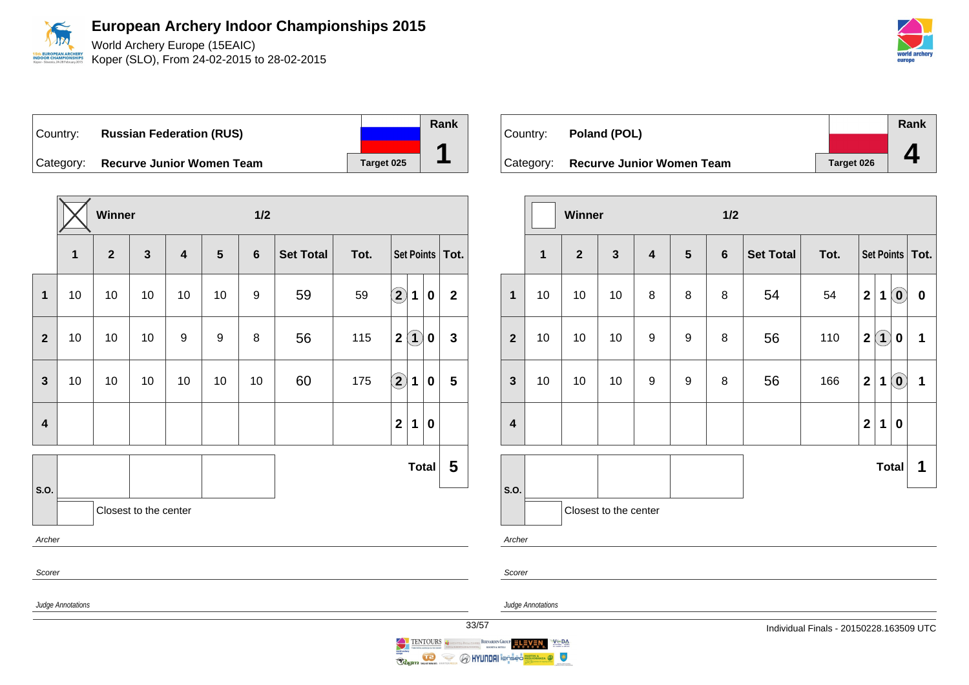

World Archery Europe (15EAIC) Koper (SLO), From 24-02-2015 to 28-02-2015

Country: **Russian Federation (RUS)** Category: **Recurve Junior Women Team** | Target 025

|                         |                   | Winner         |                       |                         |                | 1/2 |                  |      |                                   |              |                |
|-------------------------|-------------------|----------------|-----------------------|-------------------------|----------------|-----|------------------|------|-----------------------------------|--------------|----------------|
|                         | 1                 | $\overline{2}$ | $\mathbf{3}$          | $\overline{\mathbf{4}}$ | $5\phantom{1}$ | 6   | <b>Set Total</b> | Tot. | Set Points   Tot.                 |              |                |
| $\mathbf{1}$            | 10                | 10             | 10                    | 10                      | 10             | 9   | 59               | 59   | $\Large{\textbf{2}}$<br>1         | $\bf{0}$     | $\overline{2}$ |
| $\overline{2}$          | 10                | 10             | 10                    | 9                       | 9              | 8   | 56               | 115  | $\left( 1\right)$<br>$\mathbf{2}$ | 0            | $\mathbf{3}$   |
| $\mathbf{3}$            | 10                | 10             | 10                    | 10                      | 10             | 10  | 60               | 175  | $\bigcirc$<br>$\mathbf 1$         | $\pmb{0}$    | 5              |
| $\overline{\mathbf{4}}$ |                   |                |                       |                         |                |     |                  |      | $\mathbf{2}$<br>1                 | $\bf{0}$     |                |
|                         |                   |                |                       |                         |                |     |                  |      |                                   | <b>Total</b> | 5              |
| S.O.                    |                   |                | Closest to the center |                         |                |     |                  |      |                                   |              |                |
| Archer                  |                   |                |                       |                         |                |     |                  |      |                                   |              |                |
| Scorer                  |                   |                |                       |                         |                |     |                  |      |                                   |              |                |
|                         | Judge Annotations |                |                       |                         |                |     |                  |      |                                   |              | 3              |



|                         |                       | Winner                         |    |                         |                                  | 1/2 |                  |      |                   |     |                            |           |  |
|-------------------------|-----------------------|--------------------------------|----|-------------------------|----------------------------------|-----|------------------|------|-------------------|-----|----------------------------|-----------|--|
|                         | $\mathbf{1}$          | $\overline{2}$<br>$\mathbf{3}$ |    | $\overline{\mathbf{4}}$ | $5\phantom{1}$<br>$6\phantom{1}$ |     | <b>Set Total</b> | Tot. | Set Points   Tot. |     |                            |           |  |
| $\mathbf 1$             | 10                    | 10                             | 10 | 8                       | 8                                | 8   | 54               | 54   | $\overline{2}$    | 1   | $\left( \mathbf{0}\right)$ | $\pmb{0}$ |  |
| $\overline{2}$          | 10                    | 10                             | 10 | 9                       | $\boldsymbol{9}$                 | 8   | 56               | 110  | $\mathbf{2}$      | (1) | $\bf{0}$                   | 1         |  |
| $\mathbf{3}$            | 10                    | 10                             | 10 | 9                       | 9                                | 8   | 56               | 166  | $\mathbf{2}$      | 1   | $\left( \mathbf{0}\right)$ | 1         |  |
| $\overline{\mathbf{4}}$ |                       |                                |    |                         |                                  |     |                  |      | $\mathbf{2}$      | 1   | $\bf{0}$                   |           |  |
|                         |                       |                                |    |                         |                                  |     |                  |      |                   |     | Total                      | 1         |  |
| S.O.                    | Closest to the center |                                |    |                         |                                  |     |                  |      |                   |     |                            |           |  |
| Archer                  |                       |                                |    |                         |                                  |     |                  |      |                   |     |                            |           |  |

Scorer

Judge Annotations

 $V \subseteq BA$ 

 $\bullet$ 



**O HYUNDAI** Ton<mark>-</mark>

Ragin Marian

 $\iff$ 

**Rank**

**1**

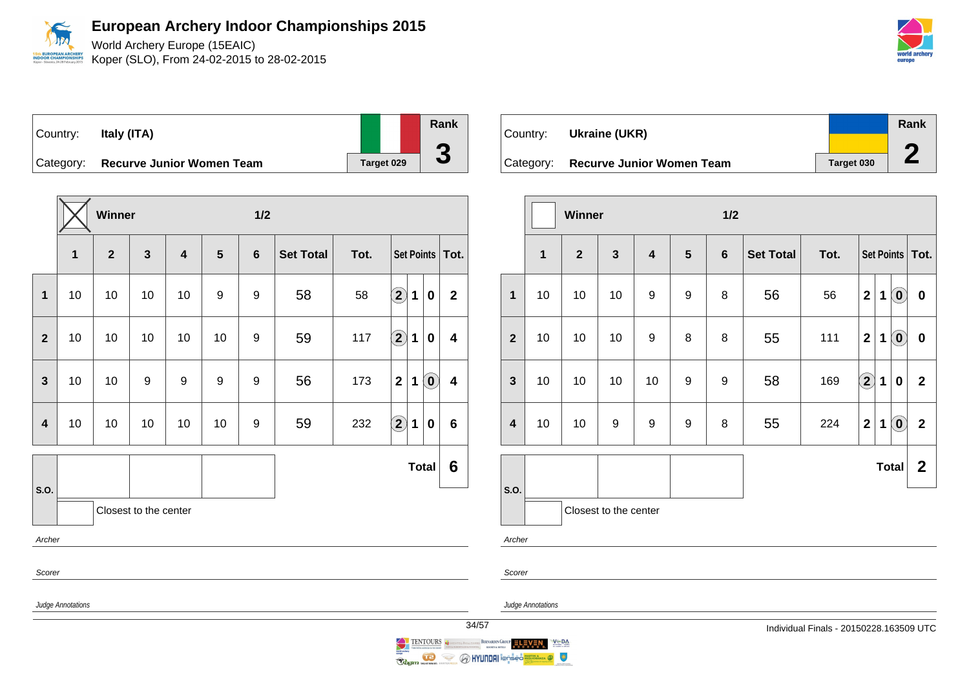World Archery Europe (15EAIC) **PEAN ARCHER** Koper (SLO), From 24-02-2015 to 28-02-2015 **OR CHAMPIO** 



| Country:  | Italy (ITA)                      |            |
|-----------|----------------------------------|------------|
| Category: | <b>Recurve Junior Women Team</b> | Target 029 |

**Winner 1/2 1 2 3 4 5 6 Set Total Tot. Set Points Tot. 1** 10 10 10 10 9 9 58 58 **2 1 0 2 2** 10 10 10 10 10 9 59 117 **2 1 0 4 3** 10 10 9 9 9 9 56 173 **2 1 0 4 4** 10 10 10 10 10 9 59 232 **2 1 0 6 S.O. Total 6** Closest to the center Archer Scorer Judge Annotations

| Country:  | Ukraine (UKR)                    |            | Rank |
|-----------|----------------------------------|------------|------|
|           |                                  |            |      |
| Category: | <b>Recurve Junior Women Team</b> | Target 030 |      |

|                         |    | Winner                         |                       |    |                | 1/2            |                  |      |                         |   |                            |                   |
|-------------------------|----|--------------------------------|-----------------------|----|----------------|----------------|------------------|------|-------------------------|---|----------------------------|-------------------|
|                         | 1  | $\overline{2}$<br>$\mathbf{3}$ |                       |    | $5\phantom{1}$ | $6\phantom{1}$ | <b>Set Total</b> | Tot. |                         |   |                            | Set Points   Tot. |
| $\mathbf{1}$            | 10 | 10                             | 10                    | 9  | 9              | 8              | 56               | 56   | $\overline{\mathbf{2}}$ | 1 | $\left( \mathbf{0}\right)$ | $\pmb{0}$         |
| $\overline{2}$          | 10 | 10                             | 10                    | 9  | 8              | 8              | 55               | 111  | $\overline{2}$          | 1 | $\left( \mathbf{0}\right)$ | $\pmb{0}$         |
| $\mathbf{3}$            | 10 | 10                             | 10                    | 10 | 9              | 9              | 58               | 169  | $\Large 2$              | 1 | 0                          | $\overline{2}$    |
| $\overline{\mathbf{4}}$ | 10 | 10                             | 9                     | 9  | 9              | 8              | 55               | 224  | $\overline{2}$          | 1 | $\left( \mathbf{0}\right)$ | $\mathbf{2}$      |
|                         |    |                                |                       |    |                |                |                  |      |                         |   | <b>Total</b>               | $\boldsymbol{2}$  |
| S.O.                    |    |                                | Closest to the center |    |                |                |                  |      |                         |   |                            |                   |
| Archer                  |    |                                |                       |    |                |                |                  |      |                         |   |                            |                   |

Scorer

Judge Annotations



**Rank**

**3**

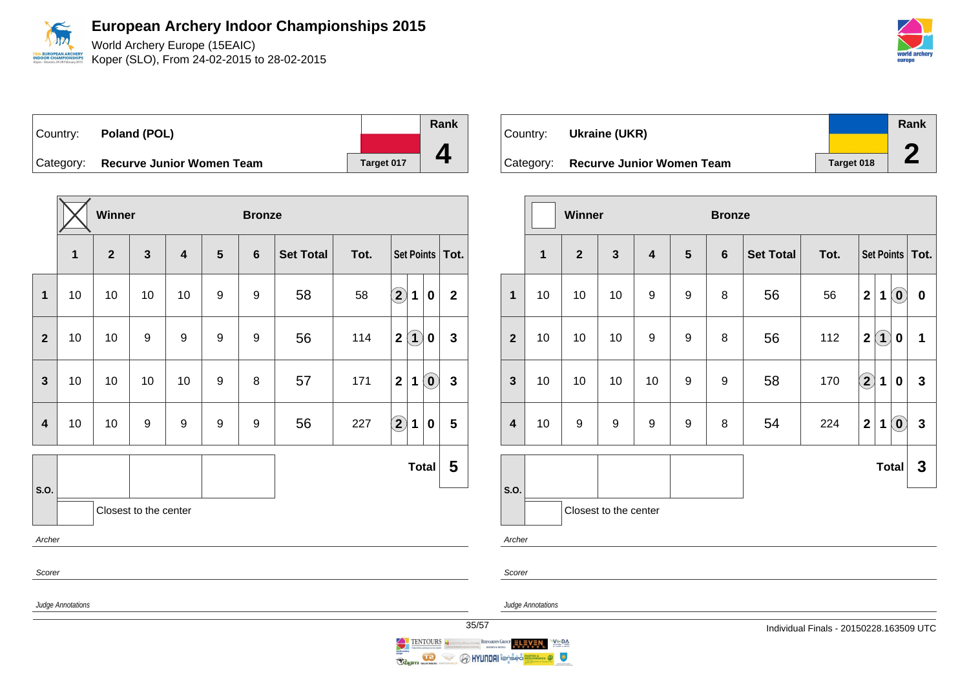

Koper (SLO), From 24-02-2015 to 28-02-2015

Country: **Poland (POL)** Category: **Recurve Junior Women Team** | Target 017 **Rank 4**

**Winner Bronze 1 2 3 4 5 6 Set Total Tot. Set Points Tot. 1** 10 10 10 10 9 9 58 58 **2 1 0 2 2** 10 10 9 9 9 9 56 114 **2 1 0 3 3** | 10 | 10 | 10 | 10 | 9 | 8 | 57 | 171 | 2 | 1 | **0** | 3 **4** 10 10 9 9 9 9 56 227 **2 1 0 5 S.O. Total 5** Closest to the center Archer Scorer Judge Annotations

| Country: | Ukraine (UKR)                       |            | Rank |
|----------|-------------------------------------|------------|------|
|          |                                     |            |      |
|          | Category: Recurve Junior Women Team | Target 018 |      |

|                         |                                                                      | Winner |    |                     |   | <b>Bronze</b>    |      |                   |                                                 |                |  |  |
|-------------------------|----------------------------------------------------------------------|--------|----|---------------------|---|------------------|------|-------------------|-------------------------------------------------|----------------|--|--|
|                         | $\overline{\mathbf{1}}$<br>$\overline{2}$<br>$\overline{\mathbf{3}}$ |        | 4  | $5\phantom{1}$<br>6 |   | <b>Set Total</b> | Tot. | Set Points   Tot. |                                                 |                |  |  |
| $\mathbf 1$             | 10                                                                   | 10     | 10 | 9                   | 9 | 8                | 56   | 56                | $\left( \mathbf{0}\right)$<br>$\mathbf{2}$<br>1 | $\pmb{0}$      |  |  |
| $\overline{2}$          | 10                                                                   | 10     | 10 | $\boldsymbol{9}$    | 9 | 8                | 56   | 112               | $\left( 1\right)$<br>$\overline{2}$<br>$\bf{0}$ | 1              |  |  |
| $\mathbf{3}$            | 10                                                                   | 10     | 10 | 10                  | 9 | 9                | 58   | 170               | $\odot$<br>$\mathbf 1$<br>$\bf{0}$              | $\mathbf{3}$   |  |  |
| $\overline{\mathbf{4}}$ | 10                                                                   | 9      | 9  | 9                   | 9 | 8                | 54   | 224               | $\left( \mathbf{0}\right)$<br>$\mathbf{2}$<br>1 | $\overline{3}$ |  |  |
|                         |                                                                      |        |    |                     |   |                  |      |                   | <b>Total</b>                                    | $\mathbf{3}$   |  |  |
| S.O.                    | Closest to the center                                                |        |    |                     |   |                  |      |                   |                                                 |                |  |  |
| Archer                  |                                                                      |        |    |                     |   |                  |      |                   |                                                 |                |  |  |

Scorer

Judge Annotations



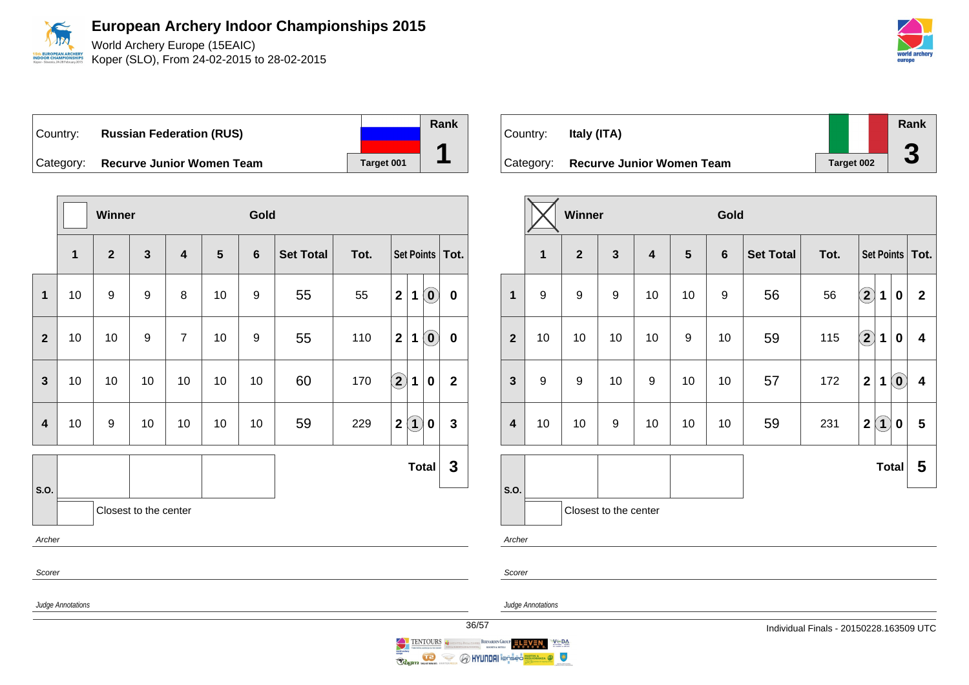

World Archery Europe (15EAIC) Koper (SLO), From 24-02-2015 to 28-02-2015

Country: **Russian Federation (RUS)** Category: **Recurve Junior Women Team** | Target 001

|                         |                   | Winner         |                       |                         |    | Gold             |                  |      |                                                                             |                 |  |  |
|-------------------------|-------------------|----------------|-----------------------|-------------------------|----|------------------|------------------|------|-----------------------------------------------------------------------------|-----------------|--|--|
|                         | 1                 | $\overline{2}$ | $\mathbf{3}$          | $\overline{\mathbf{4}}$ | 5  | $6\phantom{1}$   | <b>Set Total</b> | Tot. | Set Points   Tot.                                                           |                 |  |  |
| $\mathbf{1}$            | 10                | 9              | $\boldsymbol{9}$      | 8                       | 10 | $\boldsymbol{9}$ | 55               | 55   | $\mathbf 2$<br>$\left( \begin{matrix} \textbf{0} \end{matrix} \right)$<br>1 | $\mathbf 0$     |  |  |
| $\overline{2}$          | 10                | 10             | $\boldsymbol{9}$      | $\overline{7}$          | 10 | $\boldsymbol{9}$ | 55               | 110  | $\mathbf 2$<br>$\left( \begin{matrix} 0 \end{matrix} \right)$<br>1          | $\mathbf 0$     |  |  |
| 3                       | 10                | 10             | 10                    | 10                      | 10 | 10               | 60               | 170  | $\mathbf{2}$<br>1<br>0                                                      | $\mathbf 2$     |  |  |
| $\overline{\mathbf{4}}$ | 10                | 9              | 10                    | 10                      | 10 | 10               | 59               | 229  | $\mathbf 2$<br>$\left( 1\right)$<br>0                                       | $\mathbf{3}$    |  |  |
|                         |                   |                |                       |                         |    |                  |                  |      | <b>Total</b>                                                                | $\mathbf 3$     |  |  |
| S.O.                    |                   |                | Closest to the center |                         |    |                  |                  |      |                                                                             |                 |  |  |
| Archer                  |                   |                |                       |                         |    |                  |                  |      |                                                                             |                 |  |  |
| Scorer                  |                   |                |                       |                         |    |                  |                  |      |                                                                             |                 |  |  |
|                         | Judge Annotations |                |                       |                         |    |                  |                  |      |                                                                             | $\overline{36}$ |  |  |



|                         |                                                | Winner           |                  |                                                             |                  | Gold             |      |                   |                                 |                            |                         |
|-------------------------|------------------------------------------------|------------------|------------------|-------------------------------------------------------------|------------------|------------------|------|-------------------|---------------------------------|----------------------------|-------------------------|
|                         | $\mathbf{3}$<br>$\overline{2}$<br>$\mathbf{1}$ |                  |                  | $\overline{\mathbf{4}}$<br>$5\phantom{1}$<br>$6\phantom{1}$ |                  | <b>Set Total</b> | Tot. | Set Points   Tot. |                                 |                            |                         |
| $\mathbf{1}$            | 9                                              | $\boldsymbol{9}$ | $\boldsymbol{9}$ | 10                                                          | 10               | 9                | 56   | 56                | $\bf \Omega$<br>1               | 0                          | $\mathbf{2}$            |
| $\overline{\mathbf{2}}$ | 10                                             | 10               | 10               | 10                                                          | $\boldsymbol{9}$ | 10               | 59   | 115               | $\left( \mathbf{2}\right)$<br>1 | 0                          | $\overline{\mathbf{4}}$ |
| $\mathbf{3}$            | $\boldsymbol{9}$                               | 9                | 10               | $\boldsymbol{9}$                                            | 10               | 10               | 57   | 172               | $\overline{2}$<br>$\mathbf 1$   | $\left( \mathbf{0}\right)$ | $\boldsymbol{4}$        |
| $\overline{\mathbf{4}}$ | 10                                             | 10               | 9                | 10                                                          | 10               | 10               | 59   | 231               | $\bf(1)$<br>$\mathbf{2}$        | $\bf{0}$                   | 5                       |
|                         |                                                |                  |                  |                                                             |                  |                  |      |                   | <b>Total</b>                    |                            | 5                       |
| S.O.                    | Closest to the center                          |                  |                  |                                                             |                  |                  |      |                   |                                 |                            |                         |
| Archer                  |                                                |                  |                  |                                                             |                  |                  |      |                   |                                 |                            |                         |

Scorer

Judge Annotations

**Rank**

**1**



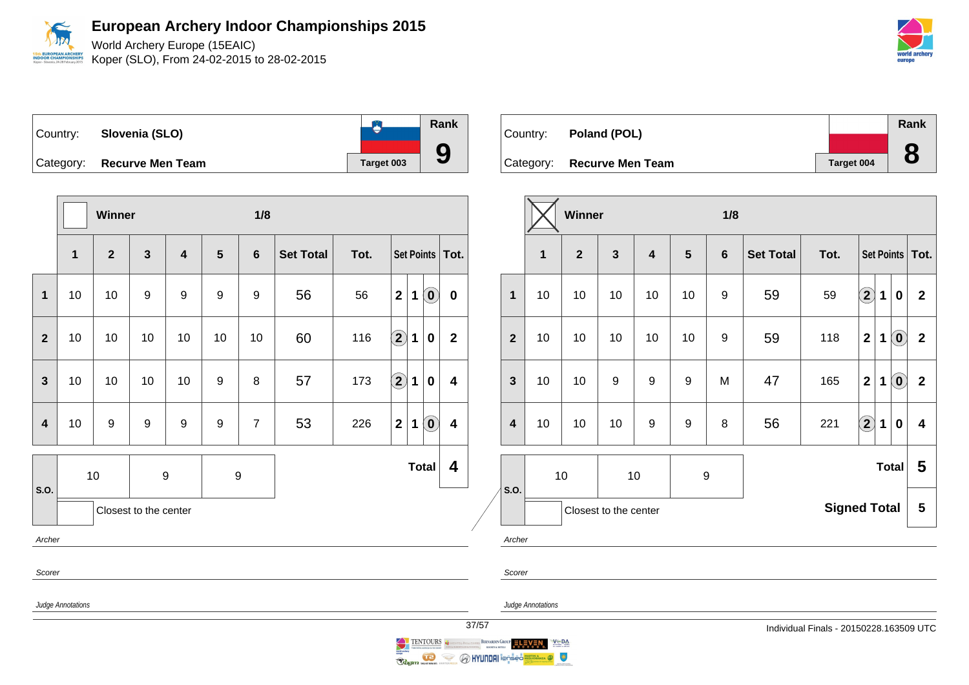World Archery Europe (15EAIC) **OPEAN ARCHER** Koper (SLO), From 24-02-2015 to 28-02-2015 **OR CHAMPIO** 

| world archery |  |
|---------------|--|
| eurone        |  |

| Country: Slovenia (SLO)    |            | Rank |
|----------------------------|------------|------|
| Category: Recurve Men Team | Target 003 |      |

**Winner 1/8 1 2 3 4 5 6 Set Total Tot. Set Points Tot. 1** 10 10 9 9 9 9 56 56 **2 1 0 0 2** | 10 | 10 | 10 | 10 | 10 | 10 | 60 | 116  $\boxed{2}$  **1** | **0** | **2 3** 10 10 10 10 9 8 57 173 **2 1 0 4 4** 10 9 9 9 9 7 53 226 **2 1 0 4 S.O.** 10 9 9 9 **Total 4** Closest to the center Archer Scorer Judge Annotations

| Country: Poland (POL)      |            | Rank |
|----------------------------|------------|------|
|                            |            |      |
| Category: Recurve Men Team | Target 004 | 8    |

|                         |             | <b>Winner</b> |                       |                         |         | 1/8             |                     |      |                         |   |                            |                         |
|-------------------------|-------------|---------------|-----------------------|-------------------------|---------|-----------------|---------------------|------|-------------------------|---|----------------------------|-------------------------|
|                         | $\mathbf 1$ | $\mathbf{2}$  | $\mathbf{3}$          | $\overline{\mathbf{4}}$ | $\bf 5$ | $6\phantom{1}6$ | <b>Set Total</b>    | Tot. |                         |   | Set Points                 | Tot.                    |
| 1                       | 10          | 10            | 10                    | 10                      | 10      | 9               | 59                  | 59   | $\bf \overline{2}$      | 1 | $\bf{0}$                   | $\overline{2}$          |
| $\overline{2}$          | 10          | 10            | 10                    | 10                      | 10      | 9               | 59                  | 118  | $\overline{\mathbf{2}}$ | 1 | $\left( \textbf{0}\right)$ | $\overline{\mathbf{2}}$ |
| $\mathbf{3}$            | 10          | 10            | 9                     | $\boldsymbol{9}$        | 9       | M               | 47                  | 165  | $\overline{\mathbf{2}}$ | 1 | $\left( \mathbf{0}\right)$ | $\overline{2}$          |
| $\overline{\mathbf{4}}$ | 10          | 10            | 10                    | 9                       | 9       | 8               | 56                  | 221  | $\mathbf{2}$            | 1 | $\bf{0}$                   | $\overline{\mathbf{4}}$ |
|                         |             | 10            | 10                    |                         |         | 9               | <b>Total</b>        |      |                         |   |                            | 5                       |
| S.O.                    |             |               | Closest to the center |                         |         |                 | <b>Signed Total</b> |      |                         |   |                            | 5                       |

Archer



Judge Annotations



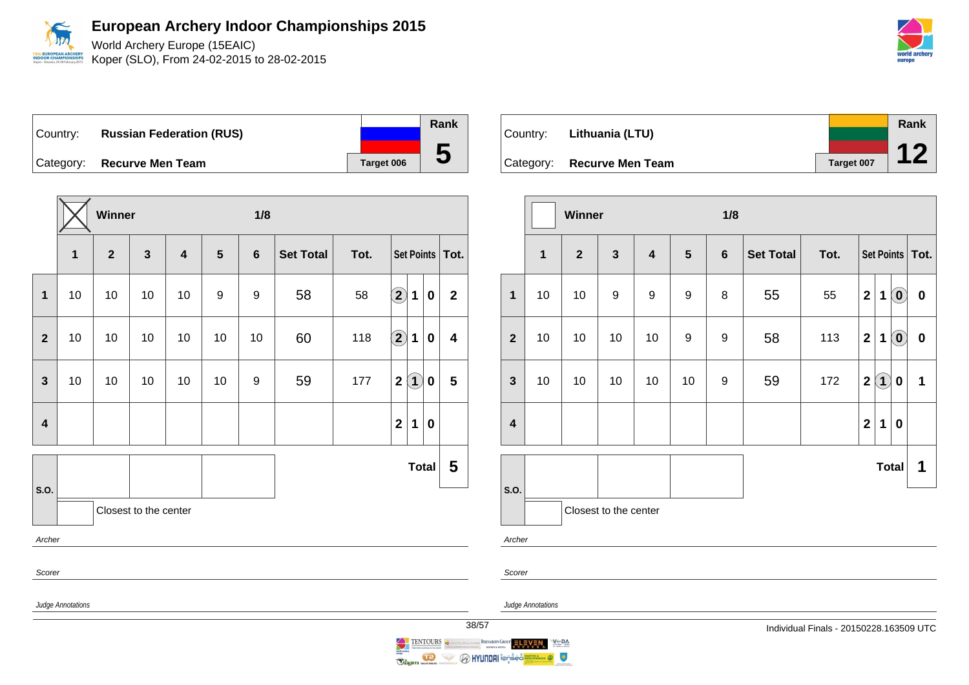

World Archery Europe (15EAIC) **EUROPEAN ARCHER** Koper (SLO), From 24-02-2015 to 28-02-2015



**Winner 1/8 1 2 3 4 5 6 Set Total Tot. Set Points Tot. 1** 10 10 10 10 9 9 58 58 **2 1 0 2 2** 10 10 10 10 10 10 60 118 **2 1 0 4 3** 10 10 10 10 10 9 59 177 **2 1 0 5 4 2 1 0 S.O. Total 5** Closest to the center Archer Scorer Judge Annotations

|          |                            |            | <b>Rank</b> |  |
|----------|----------------------------|------------|-------------|--|
| Country: | Lithuania (LTU)            |            |             |  |
|          |                            |            |             |  |
|          | Category: Recurve Men Team | Target 007 |             |  |

|                         |                         | Winner         |                  |                         |                                   | 1/8 |                  |      |                         |     |                                                         |           |
|-------------------------|-------------------------|----------------|------------------|-------------------------|-----------------------------------|-----|------------------|------|-------------------------|-----|---------------------------------------------------------|-----------|
|                         | $\overline{\mathbf{1}}$ | $\overline{2}$ | $\mathbf{3}$     | $\overline{\mathbf{4}}$ | $5\phantom{.0}$<br>$6\phantom{1}$ |     | <b>Set Total</b> | Tot. | Set Points   Tot.       |     |                                                         |           |
| $\overline{1}$          | 10                      | 10             | $\boldsymbol{9}$ | 9                       | 9                                 | 8   | 55               | 55   | $\mathbf{2}$            | 1   | $\left( \mathbf{0}\right)$                              | $\pmb{0}$ |
| $\overline{2}$          | 10                      | 10             | 10               | 10                      | 9                                 | 9   | 58               | 113  | $\overline{\mathbf{2}}$ | 1   | $\left( \begin{matrix} \textbf{0} \end{matrix} \right)$ | $\pmb{0}$ |
| $\mathbf{3}$            | 10                      | 10             | 10               | 10                      | 10                                | 9   | 59               | 172  | $\mathbf{2}$            | (1) | 0                                                       | 1         |
| $\overline{\mathbf{4}}$ |                         |                |                  |                         |                                   |     |                  |      | $\overline{2}$          | 1   | $\bf{0}$                                                |           |
|                         |                         | <b>Total</b>   |                  |                         |                                   |     |                  |      |                         | 1   |                                                         |           |
| S.O.<br>Archer          | Closest to the center   |                |                  |                         |                                   |     |                  |      |                         |     |                                                         |           |

**OR CHAMPIC** 

Judge Annotations

Scorer

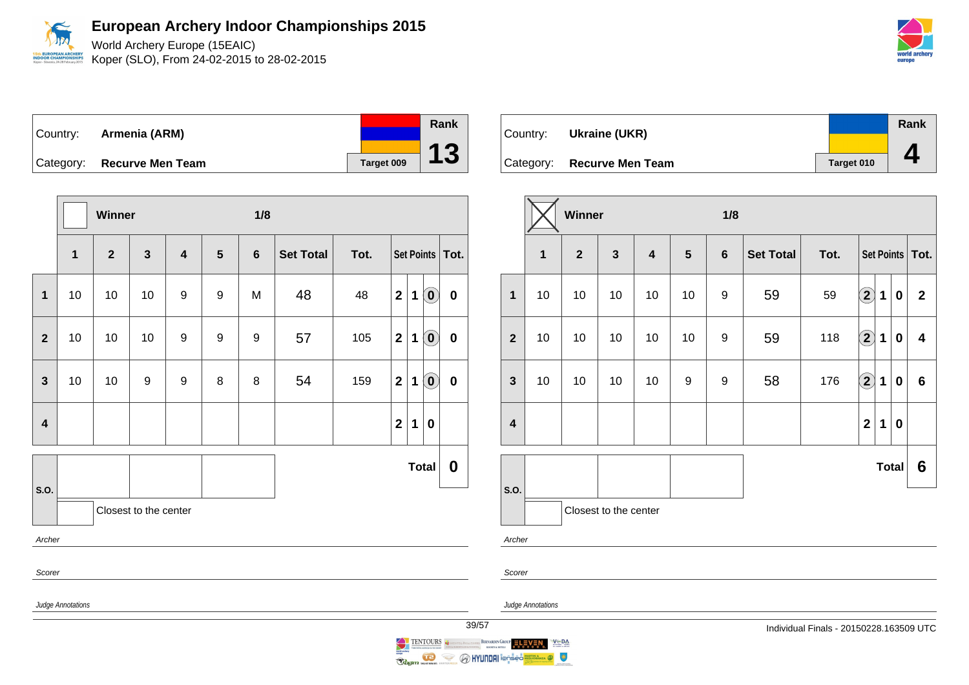World Archery Europe (15EAIC) Koper (SLO), From 24-02-2015 to 28-02-2015

| world archery<br>europe |  |
|-------------------------|--|

| Country: <b>Armenia (ARM)</b> |            | Rank |
|-------------------------------|------------|------|
| Category: Recurve Men Team    | Target 009 | 13   |

|                         |                   | Winner                                                             |                       |   |                  | 1/8            |                  |      |              |             |                            |                   |
|-------------------------|-------------------|--------------------------------------------------------------------|-----------------------|---|------------------|----------------|------------------|------|--------------|-------------|----------------------------|-------------------|
|                         | $\mathbf 1$       | $\overline{\mathbf{2}}$<br>$\mathbf{3}$<br>$\overline{\mathbf{4}}$ |                       |   | $5\phantom{1}$   | $6\phantom{1}$ | <b>Set Total</b> | Tot. |              |             |                            | Set Points   Tot. |
| $\mathbf{1}$            | 10                | $10$                                                               | $10$                  | 9 | $\boldsymbol{9}$ | M              | 48               | 48   | $\mathbf{2}$ | $\mathbf 1$ | $\left( \mathbf{0}\right)$ | $\pmb{0}$         |
| $\mathbf{2}$            | 10                | 10                                                                 | 10                    | 9 | 9                | 9              | 57               | 105  | $\mathbf{2}$ | 1           | $\left( \mathbf{0}\right)$ | $\mathbf 0$       |
| $\mathbf{3}$            | 10                | 10                                                                 | 9                     | 9 | 8                | 8              | 54               | 159  | $\mathbf{2}$ | 1           | $\left( \mathbf{0}\right)$ | $\bf{0}$          |
| $\overline{\mathbf{4}}$ |                   |                                                                    |                       |   |                  |                |                  |      | $\mathbf{2}$ | 1           | $\pmb{0}$                  |                   |
| S.O.                    |                   |                                                                    |                       |   |                  |                |                  |      |              |             | <b>Total</b>               | $\boldsymbol{0}$  |
|                         |                   |                                                                    | Closest to the center |   |                  |                |                  |      |              |             |                            |                   |
| Archer                  |                   |                                                                    |                       |   |                  |                |                  |      |              |             |                            |                   |
| Scorer                  |                   |                                                                    |                       |   |                  |                |                  |      |              |             |                            |                   |
|                         | Judge Annotations |                                                                    |                       |   |                  |                |                  |      |              |             |                            | 39 <sub>l</sub>   |

| Country: | Ukraine (UKR)              |            | <b>Rank</b> |
|----------|----------------------------|------------|-------------|
|          | Category: Recurve Men Team | Target 010 |             |

|                         |                                                           | Winner |    |                                                              |    | 1/8              |                  |      |                   |             |          |                |
|-------------------------|-----------------------------------------------------------|--------|----|--------------------------------------------------------------|----|------------------|------------------|------|-------------------|-------------|----------|----------------|
|                         | $\overline{2}$<br>$\overline{\mathbf{3}}$<br>$\mathbf{1}$ |        |    | $\overline{\mathbf{4}}$<br>$5\phantom{.0}$<br>$6\phantom{a}$ |    |                  | <b>Set Total</b> | Tot. | Set Points   Tot. |             |          |                |
| $\mathbf{1}$            | 10                                                        | 10     | 10 | 10                                                           | 10 | 9                | 59               | 59   | $\bf{(2)}$        | 1           | 0        | $\overline{2}$ |
| $\overline{2}$          | 10                                                        | 10     | 10 | 10                                                           | 10 | $\boldsymbol{9}$ | 59               | 118  | $\left( 2\right)$ | 1           | $\bf{0}$ | 4              |
| $\mathbf{3}$            | 10                                                        | 10     | 10 | 10                                                           | 9  | 9                | 58               | 176  | $\bigcirc$        | 1           | 0        | $6\phantom{1}$ |
| $\overline{\mathbf{4}}$ |                                                           |        |    |                                                              |    |                  |                  |      | $\overline{2}$    | $\mathbf 1$ | $\bf{0}$ |                |
|                         |                                                           |        |    |                                                              |    |                  |                  |      |                   | Total       | 6        |                |
| S.O.                    | Closest to the center                                     |        |    |                                                              |    |                  |                  |      |                   |             |          |                |
| Archer                  |                                                           |        |    |                                                              |    |                  |                  |      |                   |             |          |                |

Scorer

BERNARDIN GROUP ELEVEN

TENTOURS CONTINUES

**Reginal Company of the Company of the Company of the Company of the Company of the Company of the Company of the Company of the Company of the Company of the Company of the Company of the Company of the Company of the Com** 

Judge Annotations

 $V = DA$ 

 $\bullet$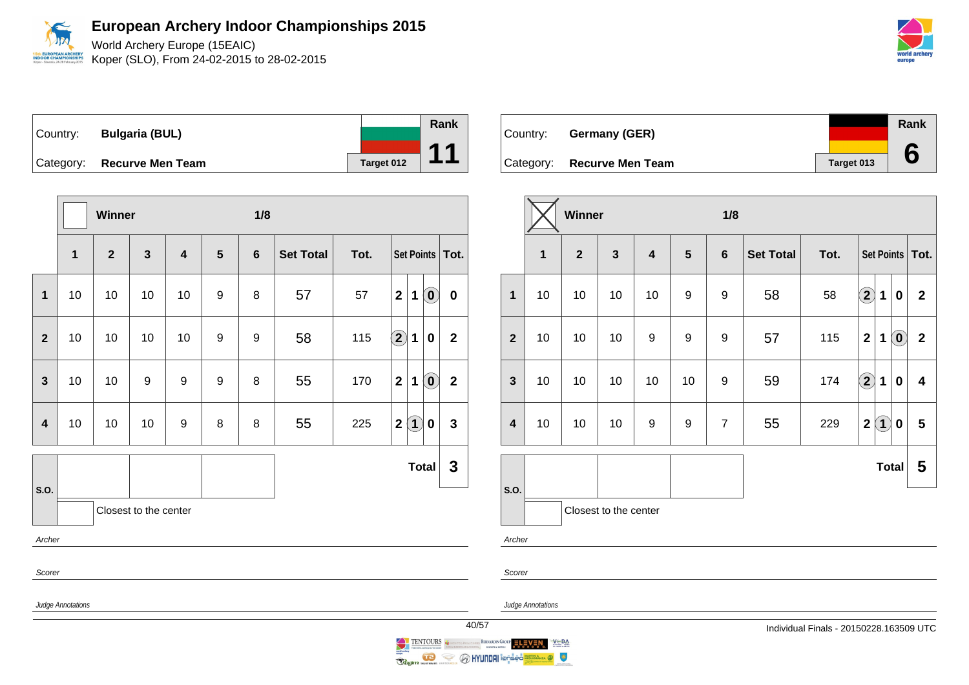

Koper (SLO), From 24-02-2015 to 28-02-2015



Country: **Bulgaria (BUL)** Category: **Recurve Men Team Target 012 Rank 11**

|                |                                             | Winner |                         |                  |                  | 1/8              |      |            |                                                          |                |  |  |
|----------------|---------------------------------------------|--------|-------------------------|------------------|------------------|------------------|------|------------|----------------------------------------------------------|----------------|--|--|
|                | $\mathbf{2}$<br>$\mathbf{3}$<br>$\mathbf 1$ |        | $\overline{\mathbf{4}}$ | $5\phantom{1}$   | $6\phantom{1}$   | <b>Set Total</b> | Tot. | Set Points | Tot.                                                     |                |  |  |
| $\mathbf{1}$   | 10                                          | 10     | 10                      | 10               | $\boldsymbol{9}$ | 8                | 57   | 57         | $\left( \mathbf{0}\right)$<br>$\mathbf 2$<br>$\mathbf 1$ | $\pmb{0}$      |  |  |
| $\mathbf{2}$   | 10                                          | 10     | 10                      | 10               | 9                | 9                | 58   | 115        | $\bigcircled{2}$<br>$\mathbf 1$<br>0                     | $\overline{2}$ |  |  |
| $\mathbf{3}$   | 10                                          | 10     | $\boldsymbol{9}$        | $\boldsymbol{9}$ | $\boldsymbol{9}$ | 8                | 55   | 170        | $\left( \mathbf{0}\right)$<br>$\boldsymbol{2}$<br>1      | $\mathbf{2}$   |  |  |
| $\overline{4}$ | 10                                          | 10     | 10                      | 9                | 8                | 8                | 55   | 225        | $\bf(1)$<br>$\mathbf{2}$<br>0                            | 3              |  |  |
|                |                                             |        |                         |                  |                  |                  |      |            | <b>Total</b>                                             | $\mathbf 3$    |  |  |
| S.O.           |                                             |        | Closest to the center   |                  |                  |                  |      |            |                                                          |                |  |  |
| Archer         |                                             |        |                         |                  |                  |                  |      |            |                                                          |                |  |  |
| Scorer         |                                             |        |                         |                  |                  |                  |      |            |                                                          |                |  |  |
|                | Judge Annotations                           |        |                         |                  |                  |                  |      |            |                                                          | 40             |  |  |

|          |                            |            | Rank |
|----------|----------------------------|------------|------|
| Country: | <b>Germany (GER)</b>       |            |      |
|          | Category: Recurve Men Team | Target 013 |      |

|                         |              | <b>Winner</b>  |                         |                         |                | 1/8            |                  |      |                         |             |                            |                         |
|-------------------------|--------------|----------------|-------------------------|-------------------------|----------------|----------------|------------------|------|-------------------------|-------------|----------------------------|-------------------------|
|                         | $\mathbf{1}$ | $\overline{2}$ | $\overline{\mathbf{3}}$ | $\overline{\mathbf{4}}$ | $5\phantom{1}$ | $6\phantom{1}$ | <b>Set Total</b> | Tot. |                         |             |                            | Set Points   Tot.       |
| $\mathbf{1}$            | 10           | 10             | 10                      | 10                      | 9              | 9              | 58               | 58   | $\mathbf{2}$            | $\mathbf 1$ | $\bf{0}$                   | $\overline{2}$          |
| $\overline{2}$          | 10           | 10             | 10                      | 9                       | 9              | 9              | 57               | 115  | $\overline{\mathbf{2}}$ | $\mathbf 1$ | $\left( \mathbf{0}\right)$ | $\mathbf{2}$            |
| $\mathbf{3}$            | 10           | 10             | 10                      | 10                      | 10             | 9              | 59               | 174  | $\Large 2$              | 1           | $\bf{0}$                   | $\overline{\mathbf{4}}$ |
| $\overline{\mathbf{4}}$ | 10           | 10             | 10                      | 9                       | 9              | $\overline{7}$ | 55               | 229  | $\mathbf 2$             | $\bf(1)$    | 0                          | $5\phantom{1}$          |
|                         |              |                |                         |                         |                |                |                  |      |                         | Total       |                            | 5                       |
| S.O.                    |              |                | Closest to the center   |                         |                |                |                  |      |                         |             |                            |                         |
| Archer                  |              |                |                         |                         |                |                |                  |      |                         |             |                            |                         |

Scorer

Judge Annotations



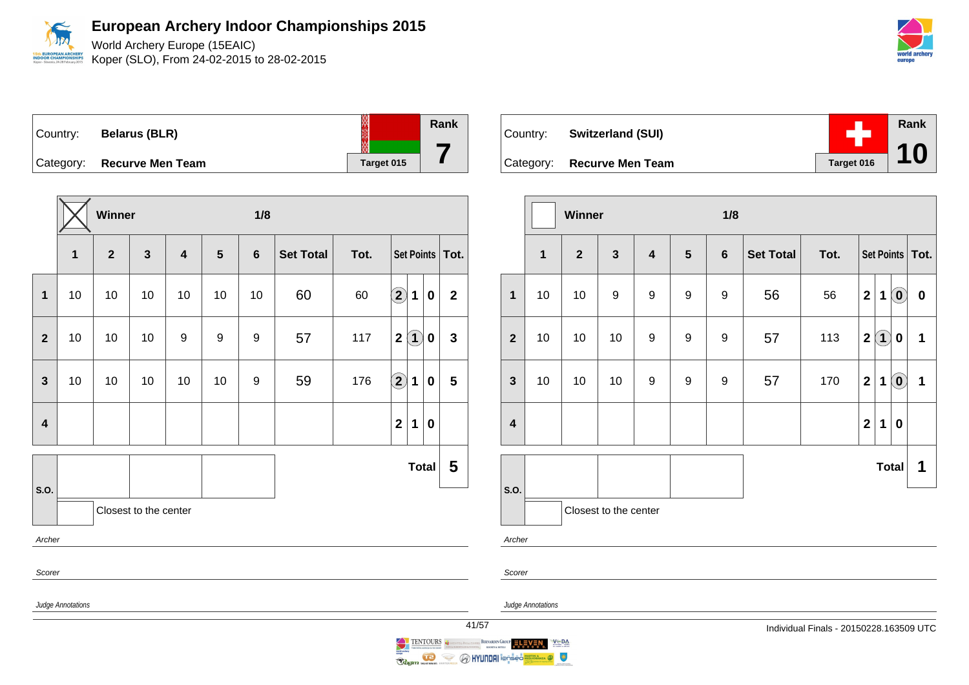

World Archery Europe (15EAIC) Koper (SLO), From 24-02-2015 to 28-02-2015



**Rank**

**10**

Country: **Belarus (BLR)** Category: **Recurve Men Team Target 015** 

|                         |                   | Winner         |                       |                         |                | 1/8              |                  |      |                                          |                         |
|-------------------------|-------------------|----------------|-----------------------|-------------------------|----------------|------------------|------------------|------|------------------------------------------|-------------------------|
|                         | $\mathbf{1}$      | $\overline{2}$ | $\mathbf{3}$          | $\overline{\mathbf{4}}$ | $5\phantom{1}$ | $\boldsymbol{6}$ | <b>Set Total</b> | Tot. | Set Points   Tot.                        |                         |
| $\mathbf{1}$            | 10                | 10             | 10                    | 10                      | 10             | 10               | 60               | 60   | $\bf \overline{2}$<br>1<br>$\mathbf 0$   | $\overline{\mathbf{2}}$ |
| $\mathbf{2}$            | 10                | 10             | 10                    | 9                       | 9              | 9                | 57               | 117  | $\left( 1\right)$<br>$\mathbf{2}$<br>0   | $\mathbf{3}$            |
| $\mathbf{3}$            | 10                | 10             | 10                    | 10                      | 10             | 9                | 59               | 176  | $\Large{\textbf{2}}$<br>1<br>$\mathbf 0$ | $\overline{\mathbf{5}}$ |
| $\overline{\mathbf{4}}$ |                   |                |                       |                         |                |                  |                  |      | $\mathbf{2}$<br>1<br>$\bf{0}$            |                         |
| S.O.                    |                   |                |                       |                         |                |                  |                  |      | <b>Total</b>                             | 5                       |
|                         |                   |                | Closest to the center |                         |                |                  |                  |      |                                          |                         |
| Archer                  |                   |                |                       |                         |                |                  |                  |      |                                          |                         |
| Scorer                  |                   |                |                       |                         |                |                  |                  |      |                                          |                         |
|                         | Judge Annotations |                |                       |                         |                |                  |                  |      |                                          | 41/                     |

| Country: Switzerland (SUI) |            |
|----------------------------|------------|
| Category: Recurve Men Team | Target 016 |

|                         |             | <b>Winner</b>  |                       |                         |                  | 1/8              |                  |      |              |          |                            |                   |
|-------------------------|-------------|----------------|-----------------------|-------------------------|------------------|------------------|------------------|------|--------------|----------|----------------------------|-------------------|
|                         | $\mathbf 1$ | $\overline{2}$ | $\mathbf{3}$          | $\overline{\mathbf{4}}$ | $5\phantom{1}$   | $\bf 6$          | <b>Set Total</b> | Tot. |              |          |                            | Set Points   Tot. |
| $\mathbf 1$             | 10          | 10             | $\boldsymbol{9}$      | $\boldsymbol{9}$        | $\boldsymbol{9}$ | 9                | 56               | 56   | $\mathbf{2}$ | 1        | $\left( \mathbf{0}\right)$ | $\boldsymbol{0}$  |
| $\overline{\mathbf{2}}$ | 10          | 10             | 10                    | $\boldsymbol{9}$        | $\boldsymbol{9}$ | $\boldsymbol{9}$ | 57               | 113  | $\mathbf 2$  | $\bf(1)$ | $\boldsymbol{0}$           | $\mathbf{1}$      |
| $\mathbf{3}$            | 10          | 10             | 10                    | 9                       | 9                | 9                | 57               | 170  | $\mathbf{2}$ | 1        | $\left( \mathbf{0}\right)$ | $\mathbf 1$       |
| $\overline{\mathbf{4}}$ |             |                |                       |                         |                  |                  |                  |      | $\mathbf{2}$ | 1        | 0                          |                   |
|                         |             |                |                       |                         |                  |                  |                  |      |              |          | <b>Total</b>               | 1                 |
| S.O.                    |             |                | Closest to the center |                         |                  |                  |                  |      |              |          |                            |                   |
| Archer                  |             |                |                       |                         |                  |                  |                  |      |              |          |                            |                   |

Scorer

Judge Annotations



**Rank**

**7**

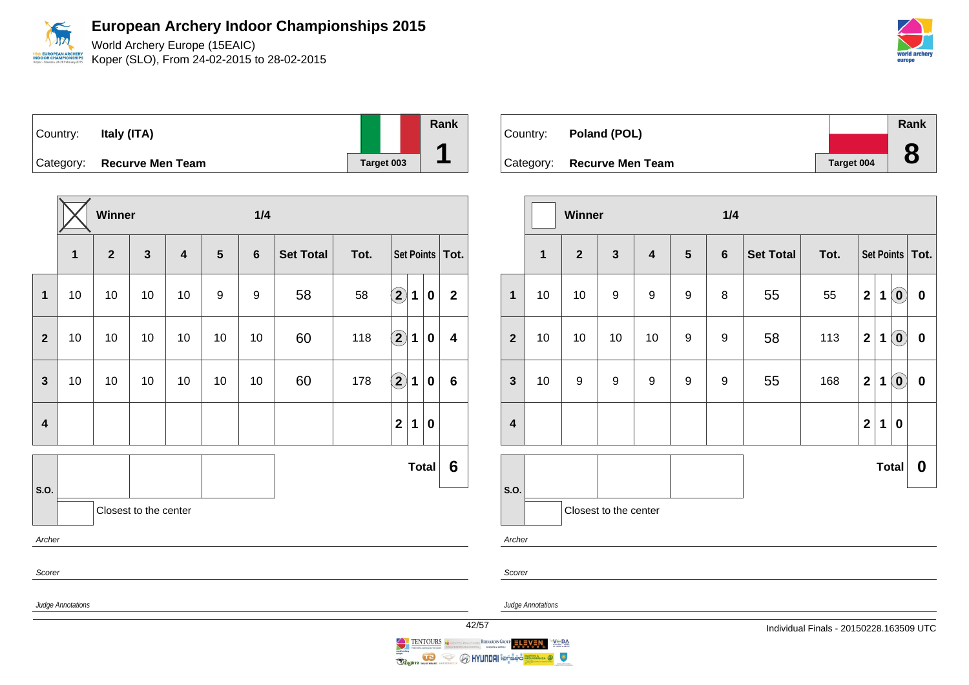World Archery Europe (15EAIC) Koper (SLO), From 24-02-2015 to 28-02-2015

|        | world archery |
|--------|---------------|
| eurone |               |

| Country:  | Italy (ITA)             |            | Rank |
|-----------|-------------------------|------------|------|
| Category: | <b>Recurve Men Team</b> | Target 003 |      |

|                         |                   | Winner         |                         |                         |                  | 1/4              |                  |      |                                           |              |                         |
|-------------------------|-------------------|----------------|-------------------------|-------------------------|------------------|------------------|------------------|------|-------------------------------------------|--------------|-------------------------|
|                         | $\mathbf{1}$      | $\overline{2}$ | $\overline{\mathbf{3}}$ | $\overline{\mathbf{4}}$ | 5                | $6\phantom{1}6$  | <b>Set Total</b> | Tot. |                                           |              | Set Points   Tot.       |
| $\mathbf{1}$            | 10                | 10             | 10                      | 10                      | $\boldsymbol{9}$ | $\boldsymbol{9}$ | 58               | 58   | $\bf \Omega$<br>$\mathbf 1$               | $\pmb{0}$    | $\mathbf{2}$            |
| $\mathbf{2}$            | $10$              | 10             | 10                      | 10                      | 10               | 10               | 60               | 118  | $\left( \mathbf{2}\right)$<br>$\mathbf 1$ | $\bf{0}$     | $\overline{\mathbf{4}}$ |
| $\mathbf{3}$            | 10                | 10             | 10                      | 10                      | 10               | 10               | 60               | 178  | $\bf \overline{2}$<br>1                   | $\bf{0}$     | $6\phantom{1}$          |
| $\overline{\mathbf{4}}$ |                   |                |                         |                         |                  |                  |                  |      | $\overline{\mathbf{2}}$<br>1              | $\bf{0}$     |                         |
| S.O.                    |                   |                |                         |                         |                  |                  |                  |      |                                           | <b>Total</b> | 6                       |
|                         |                   |                | Closest to the center   |                         |                  |                  |                  |      |                                           |              |                         |
| Archer                  |                   |                |                         |                         |                  |                  |                  |      |                                           |              |                         |
| Scorer                  |                   |                |                         |                         |                  |                  |                  |      |                                           |              |                         |
|                         | Judge Annotations |                |                         |                         |                  |                  |                  |      |                                           |              | 42/5                    |

| Country: Poland (POL)      |            | Rank |
|----------------------------|------------|------|
|                            |            | O    |
| Category: Recurve Men Team | Target 004 | O    |

|                         |                         | Winner           |                       |                         |                  | 1/4            |                  |      |                         |   |                                                |                   |
|-------------------------|-------------------------|------------------|-----------------------|-------------------------|------------------|----------------|------------------|------|-------------------------|---|------------------------------------------------|-------------------|
|                         | $\overline{\mathbf{1}}$ | $\overline{2}$   | $\mathbf{3}$          | $\overline{\mathbf{4}}$ | $5\phantom{1}$   | $6\phantom{1}$ | <b>Set Total</b> | Tot. |                         |   |                                                | Set Points   Tot. |
| $\mathbf{1}$            | 10                      | 10               | 9                     | $\boldsymbol{9}$        | $\boldsymbol{9}$ | 8              | 55               | 55   | $\boldsymbol{2}$        | 1 | $\left( \mathbf{0}\right)$                     | $\pmb{0}$         |
| $\mathbf{2}$            | 10                      | 10               | 10                    | 10                      | 9                | 9              | 58               | 113  | $\overline{2}$          | 1 | $\left[ \begin{matrix} 0 \end{matrix} \right]$ | $\pmb{0}$         |
| $\mathbf{3}$            | 10                      | $\boldsymbol{9}$ | 9                     | $\boldsymbol{9}$        | $\boldsymbol{9}$ | 9              | 55               | 168  | $\overline{\mathbf{2}}$ | 1 | $\left( \mathbf{0}\right)$                     | $\boldsymbol{0}$  |
| $\overline{\mathbf{4}}$ |                         |                  |                       |                         |                  |                |                  |      | $\mathbf{2}$            | 1 | $\bf{0}$                                       |                   |
|                         |                         |                  |                       |                         |                  |                |                  |      |                         |   | <b>Total</b>                                   | $\boldsymbol{0}$  |
| S.O.                    |                         |                  | Closest to the center |                         |                  |                |                  |      |                         |   |                                                |                   |

Archer

Scorer

Judge Annotations

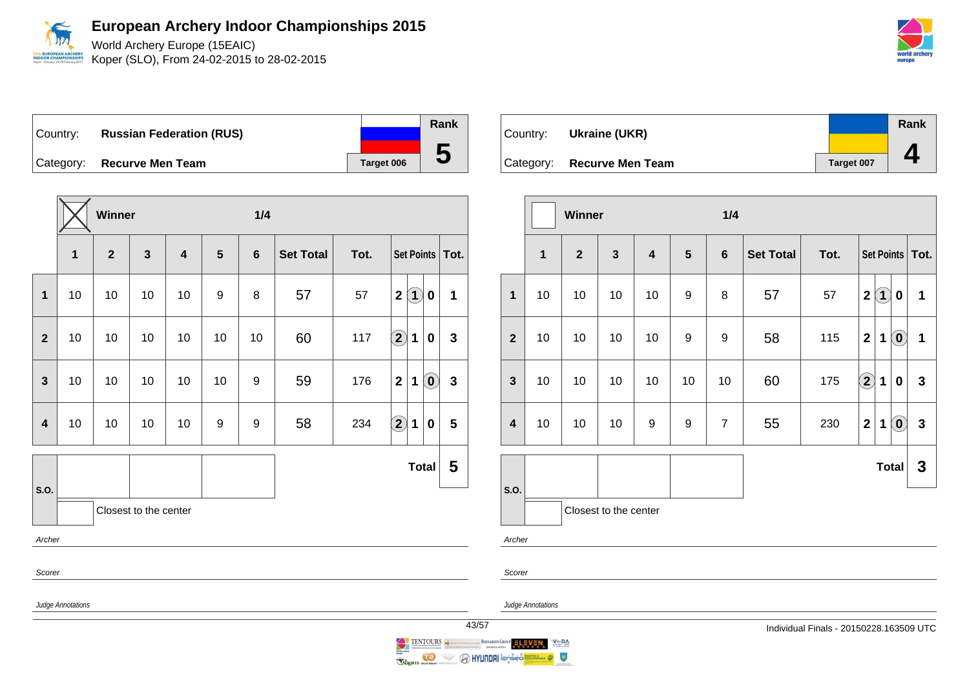

World Archery Europe (15EAIC) Koper (SLO), From 24-02-2015 to 28-02-2015

DOR CHAMPIC

Country: **Russian Federation (RUS)** Category: **Recurve Men Team Tanget 006** 

**Winner 1/4 1 2 3 4 5 6 Set Total Tot. Set Points Tot. 1** 10 10 10 10 9 8 57 57 **2 1 0 1 2** 10 10 10 10 10 10 60 117 **2 1 0 3 3** | 10 | 10 | 10 | 10 | 9 | 59 | 176 | 2 | 1 | 0 | 3 **4** 10 10 10 10 9 9 58 234 **2 1 0 5 S.O. Total 5** Closest to the center Archer Scorer Judge Annotations



|                         |                         | Winner         |                       |                         |                | 1/4            |                  |      |                   |             |                                                         |                   |
|-------------------------|-------------------------|----------------|-----------------------|-------------------------|----------------|----------------|------------------|------|-------------------|-------------|---------------------------------------------------------|-------------------|
|                         | $\overline{\mathbf{1}}$ | $\overline{2}$ | $\mathbf{3}$          | $\overline{\mathbf{4}}$ | $5\phantom{1}$ | $6\phantom{1}$ | <b>Set Total</b> | Tot. |                   |             |                                                         | Set Points   Tot. |
| $\mathbf{1}$            | 10                      | 10             | 10                    | 10                      | 9              | 8              | 57               | 57   | $\overline{2}$    | $\bf(1)$    | 0                                                       | 1                 |
| $\overline{2}$          | 10                      | 10             | 10                    | 10                      | 9              | 9              | 58               | 115  | $\overline{2}$    | 1           | $\left( \mathbf{0}\right)$                              | $\mathbf 1$       |
| $\mathbf{3}$            | 10                      | 10             | 10                    | 10                      | 10             | 10             | 60               | 175  | $\left( 2\right)$ | $\mathbf 1$ | $\bf{0}$                                                | $\mathbf{3}$      |
| $\overline{\mathbf{4}}$ | 10                      | 10             | 10                    | 9                       | 9              | $\overline{7}$ | 55               | 230  | $\mathbf 2$       | 1           | $\left( \begin{matrix} \textbf{0} \end{matrix} \right)$ | $\mathbf{3}$      |
|                         |                         |                |                       |                         |                |                |                  |      |                   |             | <b>Total</b>                                            | $\mathbf{3}$      |
| S.O.                    |                         |                | Closest to the center |                         |                |                |                  |      |                   |             |                                                         |                   |
| Archer                  |                         |                |                       |                         |                |                |                  |      |                   |             |                                                         |                   |
| Scorer                  |                         |                |                       |                         |                |                |                  |      |                   |             |                                                         |                   |

Judge Annotations

**Rank**

**5**

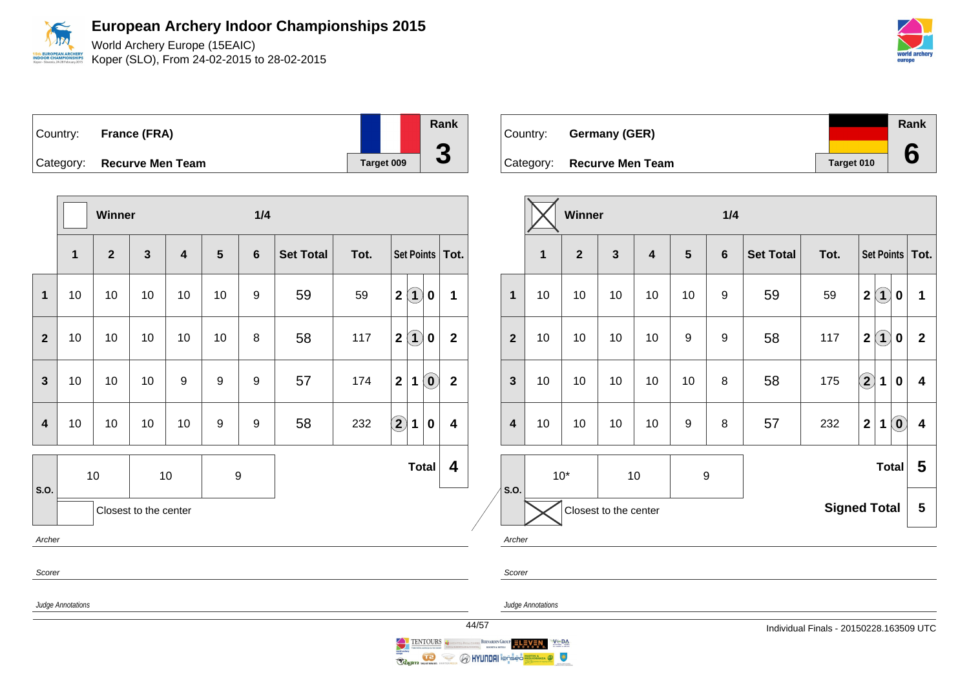World Archery Europe (15EAIC) Koper (SLO), From 24-02-2015 to 28-02-2015

| eurone | world archery |  |
|--------|---------------|--|

| Country: | France (FRA)               |            | <b>Rank</b>        |
|----------|----------------------------|------------|--------------------|
|          | Category: Recurve Men Team | Target 009 | $\mathbf{\bullet}$ |

|                |                   | Winner         |                         |                         |                | 1/4              |                  |      |                                                             |                         |
|----------------|-------------------|----------------|-------------------------|-------------------------|----------------|------------------|------------------|------|-------------------------------------------------------------|-------------------------|
|                | 1                 | $\overline{2}$ | $\overline{\mathbf{3}}$ | $\overline{\mathbf{4}}$ | $5\phantom{1}$ | $6\phantom{1}$   | <b>Set Total</b> | Tot. | Set Points   Tot.                                           |                         |
| $\mathbf{1}$   | 10                | 10             | 10                      | 10                      | 10             | $\boldsymbol{9}$ | 59               | 59   | $\bf(1)$<br>$\overline{\mathbf{2}}$<br>0                    | 1                       |
| $\overline{2}$ | 10                | 10             | 10                      | 10                      | 10             | 8                | 58               | 117  | $\bf(1)$<br>$\mathbf{2}$<br>0                               | $\overline{2}$          |
| $\overline{3}$ | 10                | 10             | 10                      | $\boldsymbol{9}$        | 9              | 9                | 57               | 174  | $\overline{2}$<br>$\left( \mathbf{0}\right)$<br>$\mathbf 1$ | $\overline{\mathbf{2}}$ |
| 4              | 10                | 10             | 10                      | 10                      | 9              | $\boldsymbol{9}$ | 58               | 232  | $\bf \overline{2}$<br>1<br>$\bf{0}$                         | $\overline{\mathbf{4}}$ |
| S.O.           |                   | 10             |                         | 10                      | 9              |                  |                  |      | <b>Total</b>                                                | 4                       |
|                |                   |                | Closest to the center   |                         |                |                  |                  |      |                                                             |                         |
| Archer         |                   |                |                         |                         |                |                  |                  |      |                                                             |                         |
| Scorer         |                   |                |                         |                         |                |                  |                  |      |                                                             |                         |
|                | Judge Annotations |                |                         |                         |                |                  |                  |      |                                                             |                         |



|                         |    | Winner         |                         |                         |                  | 1/4            |                          |      |                                                                                |                         |  |  |
|-------------------------|----|----------------|-------------------------|-------------------------|------------------|----------------|--------------------------|------|--------------------------------------------------------------------------------|-------------------------|--|--|
|                         | 1  | $\overline{2}$ | $\overline{\mathbf{3}}$ | $\overline{\mathbf{4}}$ | 5                | $6\phantom{1}$ | <b>Set Total</b>         | Tot. | Set Points   Tot.                                                              |                         |  |  |
| 1                       | 10 | 10             | 10                      | 10                      | 10               | 9              | 59                       | 59   | $\bf(1)$<br>$\boldsymbol{2}$<br>$\bf{0}$                                       | 1                       |  |  |
| $\overline{2}$          | 10 | 10             | 10                      | 10                      | 9                | 9              | 58                       | 117  | $\bf(1)$<br>$\boldsymbol{2}$<br>0                                              | $\overline{\mathbf{2}}$ |  |  |
| $\mathbf{3}$            | 10 | 10             | 10                      | 10                      | 10               | 8              | 58                       | 175  | $\left( 2\right)$<br>1<br>$\bf{0}$                                             | 4                       |  |  |
| $\overline{\mathbf{4}}$ | 10 | 10             | 10                      | 10                      | $\boldsymbol{9}$ | 8              | 57                       | 232  | $\left[ \begin{matrix} 0 \end{matrix} \right]$<br>$\overline{\mathbf{2}}$<br>1 | $\overline{\mathbf{4}}$ |  |  |
| S.O.                    |    | $10*$          |                         | 10                      | 9                |                | <b>Total</b>             |      |                                                                                |                         |  |  |
|                         |    |                | Closest to the center   |                         |                  |                | <b>Signed Total</b><br>5 |      |                                                                                |                         |  |  |
| Archer                  |    |                |                         |                         |                  |                |                          |      |                                                                                |                         |  |  |

Scorer

Judge Annotations

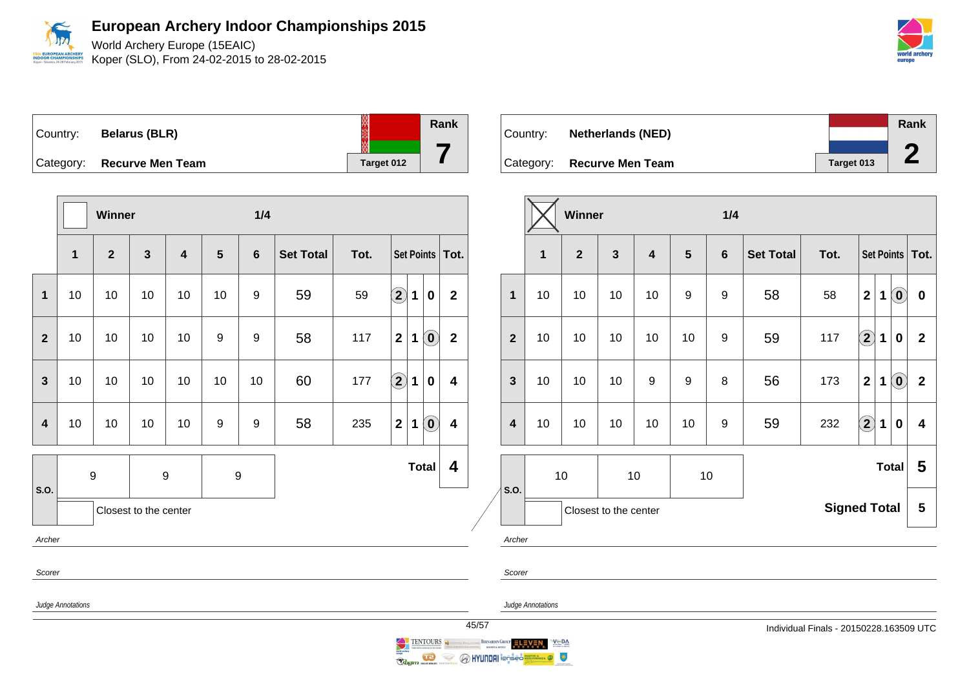World Archery Europe (15EAIC) Koper (SLO), From 24-02-2015 to 28-02-2015

| Country:  | <b>Belarus (BLR)</b>    |            | Rank |
|-----------|-------------------------|------------|------|
| Category: | <b>Recurve Men Team</b> | Target 012 |      |

|                         |                   | Winner           |                       |                         |                  | 1/4              |                  |      |                   |                   |                            |                         |
|-------------------------|-------------------|------------------|-----------------------|-------------------------|------------------|------------------|------------------|------|-------------------|-------------------|----------------------------|-------------------------|
|                         | $\mathbf{1}$      | $\overline{2}$   | $\mathbf{3}$          | $\overline{\mathbf{4}}$ | 5                | $6\phantom{1}$   | <b>Set Total</b> | Tot. |                   | Set Points   Tot. |                            |                         |
| 1                       | 10                | 10               | 10                    | 10                      | 10               | 9                | 59               | 59   | $\boxed{2}$       | 1                 | $\bf{0}$                   | $\overline{\mathbf{2}}$ |
| $\overline{2}$          | 10                | 10               | 10                    | 10                      | 9                | $\boldsymbol{9}$ | 58               | 117  | $\mathbf{2}$      | $\mathbf 1$       | $\left( \mathbf{0}\right)$ | $\overline{\mathbf{2}}$ |
| $\mathbf{3}$            | 10                | 10               | 10                    | 10                      | 10               | 10               | 60               | 177  | $\left( 2\right)$ | $\mathbf 1$       | $\bf{0}$                   | $\overline{\mathbf{4}}$ |
| $\overline{\mathbf{4}}$ | 10                | 10               | 10                    | 10                      | $\boldsymbol{9}$ | 9                | 58               | 235  | $\mathbf{2}$      | $\mathbf 1$       | $\left( \mathbf{0}\right)$ | $\overline{\mathbf{4}}$ |
| S.O.                    |                   | $\boldsymbol{9}$ |                       | 9                       |                  | 9                |                  |      |                   |                   | <b>Total</b>               | 4                       |
|                         |                   |                  | Closest to the center |                         |                  |                  |                  |      |                   |                   |                            |                         |
| Archer                  |                   |                  |                       |                         |                  |                  |                  |      |                   |                   |                            |                         |
| Scorer                  |                   |                  |                       |                         |                  |                  |                  |      |                   |                   |                            |                         |
|                         | Judge Annotations |                  |                       |                         |                  |                  |                  |      |                   |                   |                            |                         |

|          |                            |            | Rank |
|----------|----------------------------|------------|------|
| Country: | <b>Netherlands (NED)</b>   |            |      |
|          |                            |            |      |
|          | Category: Recurve Men Team | Target 013 |      |

|                         |              | <b>Winner</b><br>1/4                                                                                                               |                       |                  |                  |    |    |                     |                             |                            |                         |
|-------------------------|--------------|------------------------------------------------------------------------------------------------------------------------------------|-----------------------|------------------|------------------|----|----|---------------------|-----------------------------|----------------------------|-------------------------|
|                         | $\mathbf{1}$ | $\mathbf{3}$<br>$\overline{2}$<br>5<br>$6\phantom{1}6$<br>$\overline{\mathbf{4}}$<br><b>Set Total</b><br>Tot.<br>Set Points   Tot. |                       |                  |                  |    |    |                     |                             |                            |                         |
| $\overline{1}$          | 10           | 10                                                                                                                                 | 10                    | 10               | 9                | 9  | 58 | 58                  | $\mathbf{2}$<br>1           | $\left( \mathbf{0}\right)$ | $\bf{0}$                |
| $\overline{2}$          | 10           | 10                                                                                                                                 | 10                    | 10               | 10               | 9  | 59 | 117                 | $\bf \Omega$<br>$\mathbf 1$ | $\boldsymbol{0}$           | $\mathbf{2}$            |
| 3                       | 10           | 10                                                                                                                                 | 10                    | $\boldsymbol{9}$ | $\boldsymbol{9}$ | 8  | 56 | 173                 | $\overline{2}$<br>1         | $\left( \mathbf{0}\right)$ | $\overline{\mathbf{2}}$ |
| $\overline{\mathbf{4}}$ | 10           | 10                                                                                                                                 | 10                    | 10               | 10               | 9  | 59 | 232                 | $\bf \overline{2}$<br>1     | $\bf{0}$                   | $\overline{\mathbf{4}}$ |
| S.O.                    |              | 10                                                                                                                                 |                       | 10               |                  | 10 |    |                     |                             | <b>Total</b>               | 5                       |
|                         |              |                                                                                                                                    | Closest to the center |                  |                  |    |    | <b>Signed Total</b> |                             |                            | 5                       |

Archer

Scorer

Judge Annotations

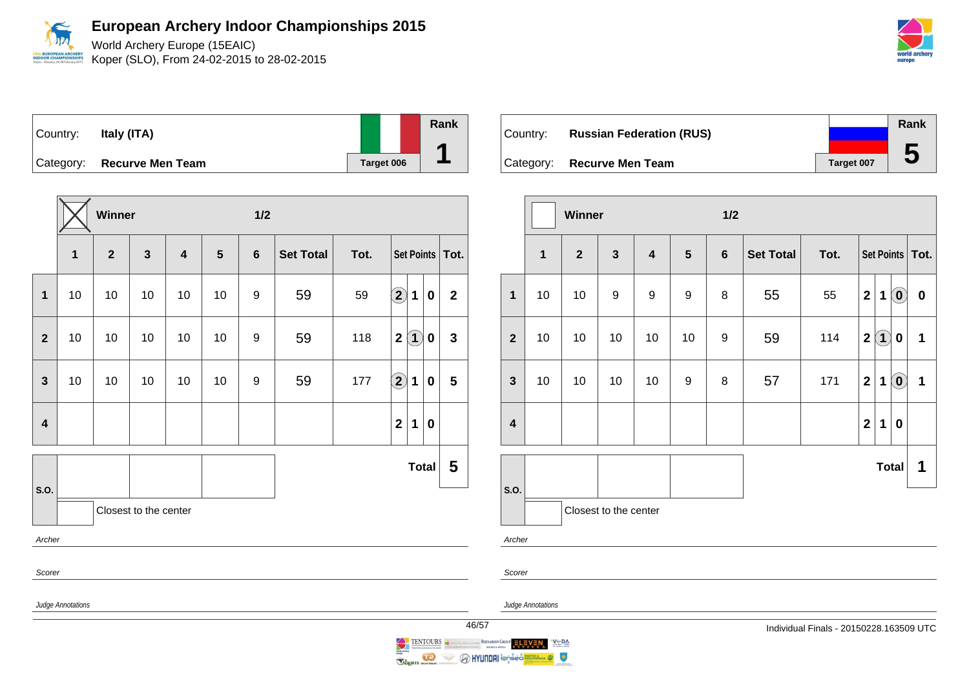World Archery Europe (15EAIC) Koper (SLO), From 24-02-2015 to 28-02-2015



| Country: | ltaly (ITA)                |            | Rank |
|----------|----------------------------|------------|------|
|          | Category: Recurve Men Team | Target 006 |      |

|                         |                   | Winner       |                       |                         |    | 1/2              |                  |      |                                        |                           |                |  |
|-------------------------|-------------------|--------------|-----------------------|-------------------------|----|------------------|------------------|------|----------------------------------------|---------------------------|----------------|--|
|                         | 1                 | $\mathbf{2}$ | $\mathbf{3}$          | $\overline{\mathbf{4}}$ | 5  | $6\phantom{1}$   | <b>Set Total</b> | Tot. |                                        | <b>Set Points</b><br>Tot. |                |  |
| $\mathbf{1}$            | 10                | 10           | 10                    | 10                      | 10 | $\boldsymbol{9}$ | 59               | 59   | $\widehat{\mathbf{2}}$<br>$\mathbf 1$  | $\pmb{0}$                 | $\mathbf 2$    |  |
| $\mathbf{2}$            | 10                | 10           | 10                    | 10                      | 10 | 9                | 59               | 118  | $\left( 1\right)$<br>$\mathbf 2$       | $\pmb{0}$                 | $\mathbf{3}$   |  |
| 3                       | 10                | 10           | 10                    | 10                      | 10 | 9                | 59               | 177  | $\hat{\mathbf{2}}$<br>1                | $\bf{0}$                  | $5\phantom{1}$ |  |
| $\overline{\mathbf{4}}$ |                   |              |                       |                         |    |                  |                  |      | $\overline{\mathbf{2}}$<br>$\mathbf 1$ | 0                         |                |  |
| S.O.                    |                   |              |                       |                         |    |                  |                  |      |                                        | <b>Total</b>              | 5              |  |
|                         |                   |              | Closest to the center |                         |    |                  |                  |      |                                        |                           |                |  |
| Archer                  |                   |              |                       |                         |    |                  |                  |      |                                        |                           |                |  |
| Scorer                  |                   |              |                       |                         |    |                  |                  |      |                                        |                           |                |  |
|                         | Judge Annotations |              |                       |                         |    |                  |                  |      |                                        |                           | 46/            |  |

| Country: | <b>Russian Federation (RUS)</b> |            | Rank |
|----------|---------------------------------|------------|------|
|          | Category: Recurve Men Team      | Target 007 |      |

|                         |              | Winner<br>1/2  |                       |                         |                  |                |                  |      |                |          |                            |              |
|-------------------------|--------------|----------------|-----------------------|-------------------------|------------------|----------------|------------------|------|----------------|----------|----------------------------|--------------|
|                         | $\mathbf{1}$ | $\overline{2}$ | $\mathbf{3}$          | $\overline{\mathbf{4}}$ | $5\phantom{.0}$  | $6\phantom{1}$ | <b>Set Total</b> | Tot. |                |          | Set Points   Tot.          |              |
| $\mathbf{1}$            | 10           | 10             | $\boldsymbol{9}$      | $\boldsymbol{9}$        | $\boldsymbol{9}$ | 8              | 55               | 55   | $\overline{2}$ | 1        | $\left( \mathbf{0}\right)$ | $\pmb{0}$    |
| $\overline{2}$          | 10           | 10             | 10                    | 10                      | 10               | 9              | 59               | 114  | $\mathbf 2$    | $\bf(1)$ | $\bf{0}$                   | 1            |
| $\mathbf{3}$            | 10           | 10             | 10                    | 10                      | 9                | 8              | 57               | 171  | $\overline{2}$ | 1        | $\left( \mathbf{0}\right)$ | $\mathbf{1}$ |
| $\overline{\mathbf{4}}$ |              |                |                       |                         |                  |                |                  |      | $\overline{2}$ | 1        | $\bf{0}$                   |              |
|                         |              |                |                       |                         |                  |                |                  |      |                |          | Total                      | 1            |
| S.O.                    |              |                | Closest to the center |                         |                  |                |                  |      |                |          |                            |              |
|                         | Archer       |                |                       |                         |                  |                |                  |      |                |          |                            |              |

Scorer

Judge Annotations

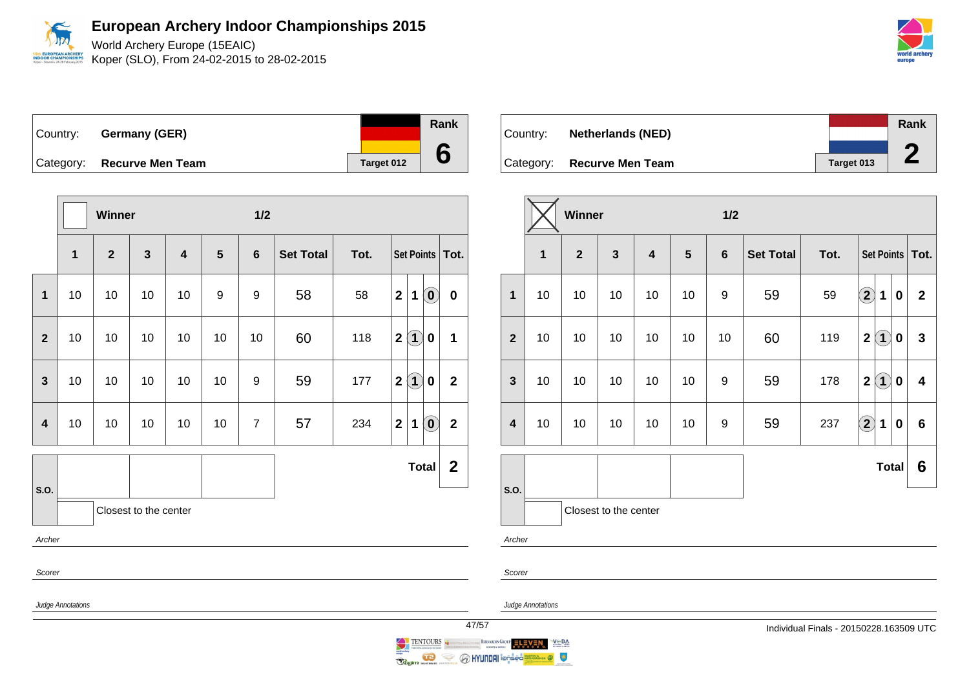World Archery Europe (15EAIC) Koper (SLO), From 24-02-2015 to 28-02-2015

| ∣Country: ⊥ | Germany (GER)              |                   | Rank |
|-------------|----------------------------|-------------------|------|
|             |                            |                   |      |
|             | Category: Recurve Men Team | <b>Target 012</b> |      |

|                         |                                                                                                                                                                                                                                                 | Winner                  |                       |                         |                                         | 1/2            |    |      |                                                         |                |  |  |  |
|-------------------------|-------------------------------------------------------------------------------------------------------------------------------------------------------------------------------------------------------------------------------------------------|-------------------------|-----------------------|-------------------------|-----------------------------------------|----------------|----|------|---------------------------------------------------------|----------------|--|--|--|
|                         | 1                                                                                                                                                                                                                                               | $\overline{\mathbf{2}}$ | $\mathbf{3}$          | $\overline{\mathbf{4}}$ | 5<br><b>Set Total</b><br>$6\phantom{1}$ |                |    | Tot. | Set Points   Tot.                                       |                |  |  |  |
| $\mathbf{1}$            | 10                                                                                                                                                                                                                                              | 10                      | 10                    | 10                      | 9                                       | 9              | 58 | 58   | $\mathbf{2}$<br>$\left( \mathbf{0}\right)$<br>1         | $\mathbf 0$    |  |  |  |
| $\overline{2}$          | 10                                                                                                                                                                                                                                              | 10                      | 10                    | 10                      | 10                                      | 10             | 60 | 118  | $\left( 1\right)$<br>$\mathbf 2$<br>$\mathbf 0$         | 1              |  |  |  |
| 3                       | 10                                                                                                                                                                                                                                              | 10                      | 10                    | 10                      | 10                                      | 9              | 59 | 177  | $\left( \mathbf{1}\right)$<br>$\mathbf{2}$<br>$\pmb{0}$ | $\mathbf{2}$   |  |  |  |
| $\overline{\mathbf{4}}$ | 10                                                                                                                                                                                                                                              | 10                      | 10                    | 10                      | 10                                      | $\overline{7}$ | 57 | 234  | $\mathbf 2$<br>$\left( \mathbf{0}\right)$<br>1          | $\overline{2}$ |  |  |  |
|                         |                                                                                                                                                                                                                                                 |                         |                       |                         |                                         |                |    |      | <b>Total</b>                                            | $\mathbf 2$    |  |  |  |
| S.O.                    |                                                                                                                                                                                                                                                 |                         | Closest to the center |                         |                                         |                |    |      |                                                         |                |  |  |  |
| Archer                  |                                                                                                                                                                                                                                                 |                         |                       |                         |                                         |                |    |      |                                                         |                |  |  |  |
| Scorer                  |                                                                                                                                                                                                                                                 |                         |                       |                         |                                         |                |    |      |                                                         |                |  |  |  |
| Judge Annotations       |                                                                                                                                                                                                                                                 |                         |                       |                         |                                         |                |    |      |                                                         |                |  |  |  |
|                         | $\overline{4}$<br>$\underset{\scriptscriptstyle{\text{transmissionness}}}{\text{TEMTOURS}} \underset{\scriptscriptstyle{\text{transmissionness}}}{\leftarrow} \underset{\scriptscriptstyle{\text{transmissionness}}}{\leftarrow}$<br>$\bigcirc$ |                         |                       |                         |                                         |                |    |      |                                                         |                |  |  |  |

| Country: | <b>Netherlands (NED)</b>   |            | Rank |
|----------|----------------------------|------------|------|
|          |                            |            | £    |
|          | Category: Recurve Men Team | Target 013 |      |

|                         |                                                | Winner |    |                         |                                  | 1/2 |                  |      |                                                 |                         |  |  |
|-------------------------|------------------------------------------------|--------|----|-------------------------|----------------------------------|-----|------------------|------|-------------------------------------------------|-------------------------|--|--|
|                         | $\overline{2}$<br>$\mathbf{3}$<br>$\mathbf{1}$ |        |    | $\overline{\mathbf{4}}$ | $5\phantom{1}$<br>$6\phantom{1}$ |     | <b>Set Total</b> | Tot. | Set Points   Tot.                               |                         |  |  |
| $\mathbf{1}$            | 10                                             | 10     | 10 | 10                      | 10                               | 9   | 59               | 59   | $\bf{(2)}$<br>$\mathbf 1$<br>0                  | $\mathbf{2}$            |  |  |
| $\overline{2}$          | 10                                             | 10     | 10 | 10                      | 10                               | 10  | 60               | 119  | $\bf(1)$<br>$\overline{\mathbf{2}}$<br>$\bf{0}$ | $\mathbf{3}$            |  |  |
| $\mathbf{3}$            | 10                                             | 10     | 10 | 10                      | 10                               | 9   | 59               | 178  | $\bf(1)$<br>$\mathbf{2}$<br>0                   | $\overline{\mathbf{4}}$ |  |  |
| $\overline{\mathbf{4}}$ | 10                                             | 10     | 10 | 10                      | 10                               | 9   | 59               | 237  | $\bigcirc \!\! \! 2$<br>$\mathbf 1$<br>$\bf{0}$ | 6                       |  |  |
|                         |                                                |        |    |                         |                                  |     |                  |      | <b>Total</b>                                    | 6                       |  |  |
| S.O.                    | Closest to the center                          |        |    |                         |                                  |     |                  |      |                                                 |                         |  |  |
| Archer                  |                                                |        |    |                         |                                  |     |                  |      |                                                 |                         |  |  |
|                         |                                                |        |    |                         |                                  |     |                  |      |                                                 |                         |  |  |

Scorer

BERNARDIN GROUP ELEVEN

Judge Annotations

 $V^{\text{th}}$  DA

 $\bullet$ 

**Reginal Company of Company of the Second Second Company of the Second Second Company of the Second Second Second Second Second Second Second Second Second Second Second Second Second Second Second Second Second Second Sec** 



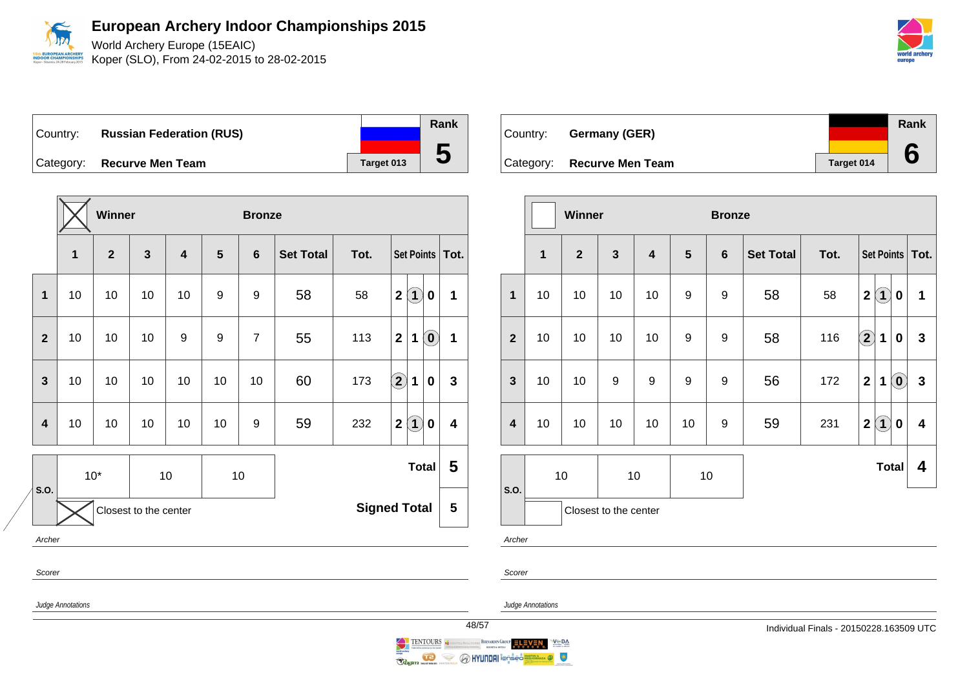

Koper (SLO), From 24-02-2015 to 28-02-2015

Country: **Russian Federation (RUS)** Category: **Recurve Men Team Tanget 013** 

|                                                      |        | <b>Winner</b> |              |    |    | <b>Bronze</b>  |                  |      |                                                                            |                         |  |
|------------------------------------------------------|--------|---------------|--------------|----|----|----------------|------------------|------|----------------------------------------------------------------------------|-------------------------|--|
|                                                      | 1      | $\mathbf{2}$  | $\mathbf{3}$ | 4  | 5  | $6\phantom{1}$ | <b>Set Total</b> | Tot. | Set Points                                                                 | Tot.                    |  |
| $\mathbf 1$                                          | 10     | 10            | 10           | 10 | 9  | 9              | 58               | 58   | $\left( 1\right)$<br>$\mathbf 2$<br>$\mathbf 0$                            | 1                       |  |
| $\overline{2}$                                       | 10     | 10            | 10           | 9  | 9  | $\overline{7}$ | 55               | 113  | $\left( \begin{matrix} 0 \\ 0 \end{matrix} \right)$<br>$\overline{2}$<br>1 | 1                       |  |
| 3                                                    | 10     | 10            | 10           | 10 | 10 | 10             | 60               | 173  | $\bigcirc$<br>1<br>0                                                       | 3                       |  |
| 4                                                    | 10     | 10            | 10           | 10 | 10 | 9              | 59               | 232  | $\left( 1\right)$<br>$\overline{\mathbf{2}}$<br>0                          | $\overline{\mathbf{4}}$ |  |
|                                                      | $10*$  |               |              | 10 |    | 10             |                  |      | <b>Total</b>                                                               | 5                       |  |
| S.O.<br><b>Signed Total</b><br>Closest to the center |        |               |              |    |    |                |                  |      |                                                                            | 5                       |  |
|                                                      | Archer |               |              |    |    |                |                  |      |                                                                            |                         |  |
| Scorer                                               |        |               |              |    |    |                |                  |      |                                                                            |                         |  |

Country: **Germany (GER)** Category: **Recurve Men Team Tanget 014 Rank 6**

|                         |              | Winner                |                  |                         |                  | <b>Bronze</b>      |                  |      |              |                                 |              |  |  |
|-------------------------|--------------|-----------------------|------------------|-------------------------|------------------|--------------------|------------------|------|--------------|---------------------------------|--------------|--|--|
|                         | $\mathbf{1}$ | $\overline{2}$        | $\mathbf{3}$     | $\overline{\mathbf{4}}$ | $5\phantom{.0}$  | $6\phantom{1}6$    | <b>Set Total</b> | Tot. |              | Set Points   Tot.               |              |  |  |
| $\mathbf{1}$            | 10           | 10                    | 10               | 10                      | 9                | 9                  | 58               | 58   | $\mathbf{2}$ | $\bf(1)$<br>0                   | 1            |  |  |
| $\overline{2}$          | 10           | 10                    | 10               | 10                      | $\boldsymbol{9}$ | $\boldsymbol{9}$   | 58               | 116  | $\mathbf{2}$ | 1<br>0                          | $\mathbf 3$  |  |  |
| $\mathbf{3}$            | 10           | 10                    | $\boldsymbol{9}$ | 9                       | 9                | 9                  | 56               | 172  | $\mathbf 2$  | $\left( \mathbf{0}\right)$<br>1 | $\mathbf{3}$ |  |  |
| $\overline{\mathbf{4}}$ | 10           | 10                    | 10               | 10                      | 10               | 9                  | 59               | 231  | $\mathbf 2$  | $\overline{1}$<br>0             | 4            |  |  |
| S.O.                    |              | 10                    |                  | 10                      |                  | <b>Total</b><br>10 |                  |      |              |                                 | 4            |  |  |
|                         |              | Closest to the center |                  |                         |                  |                    |                  |      |              |                                 |              |  |  |
| Archer                  |              |                       |                  |                         |                  |                    |                  |      |              |                                 |              |  |  |

Judge Annotations

Judge Annotations

BERNARDIN GROUP ELEVEN

 $V \subseteq DA$ 

 $\bullet$ 

Scorer



**O HYUNDAI** i@nsed

TENTOURS 1

 $\sim$ 

Regim memorial

**Rank**

**5**



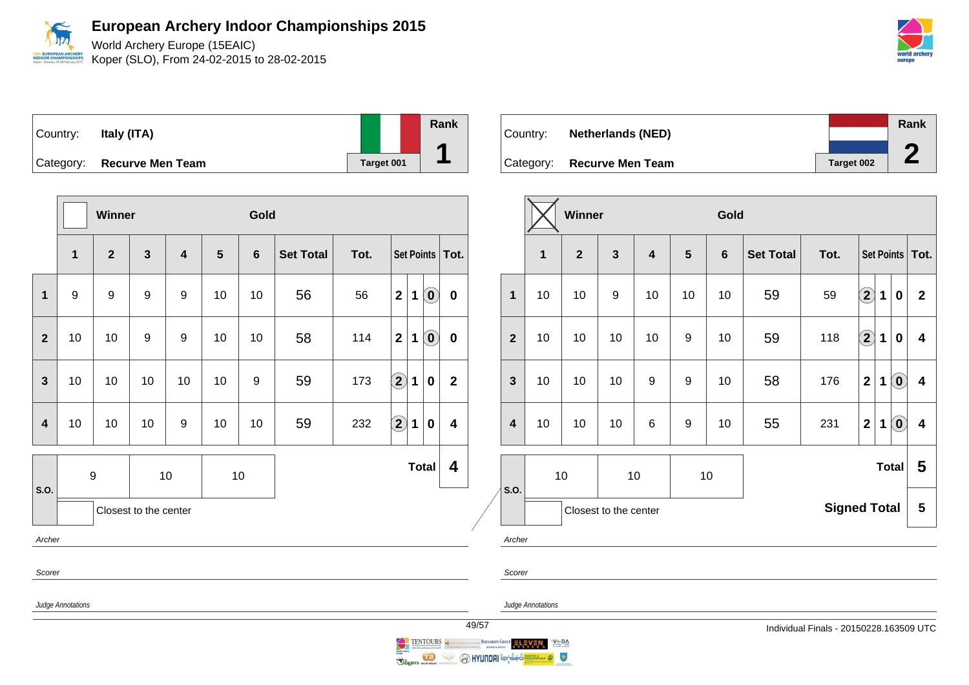World Archery Europe (15EAIC) Koper (SLO), From 24-02-2015 to 28-02-2015



| Country: | Italy (ITA)                |            | Rank |
|----------|----------------------------|------------|------|
|          | Category: Recurve Men Team | Target 001 |      |

|                         |                   | Winner           |                         |                                   |    | Gold |                  |      |                            |             |                            |                         |  |  |
|-------------------------|-------------------|------------------|-------------------------|-----------------------------------|----|------|------------------|------|----------------------------|-------------|----------------------------|-------------------------|--|--|
|                         | $\mathbf{1}$      | $\overline{2}$   | $\overline{\mathbf{3}}$ | $\overline{\mathbf{4}}$<br>5<br>6 |    |      | <b>Set Total</b> | Tot. |                            |             |                            | Set Points   Tot.       |  |  |
| $\overline{1}$          | $\boldsymbol{9}$  | 9                | $\boldsymbol{9}$        | $\boldsymbol{9}$                  | 10 | 10   | 56               | 56   | $\overline{2}$             | $\mathbf 1$ | $\left( \mathbf{0}\right)$ | $\mathbf 0$             |  |  |
| $\overline{2}$          | 10                | 10               | 9                       | 9                                 | 10 | 10   | 58               | 114  | $\overline{2}$             | 1           | $\left( \mathbf{0}\right)$ | $\mathbf 0$             |  |  |
| 3                       | 10                | 10               | 10                      | 10                                | 10 | 9    | 59               | 173  | $\left( \mathbf{2}\right)$ | 1           | $\bf{0}$                   | $\overline{\mathbf{2}}$ |  |  |
| $\overline{\mathbf{4}}$ | 10                | 10               | 10                      | 9                                 | 10 | 10   | 59               | 232  | $\boxed{2}$                | 1           | $\bf{0}$                   | $\overline{\mathbf{4}}$ |  |  |
| S.O.                    |                   | $\boldsymbol{9}$ |                         | 10                                |    | 10   |                  |      |                            |             | <b>Total</b>               | 4                       |  |  |
|                         |                   |                  | Closest to the center   |                                   |    |      |                  |      |                            |             |                            |                         |  |  |
| Archer                  |                   |                  |                         |                                   |    |      |                  |      |                            |             |                            |                         |  |  |
| Scorer                  |                   |                  |                         |                                   |    |      |                  |      |                            |             |                            |                         |  |  |
|                         | Judge Annotations |                  |                         |                                   |    |      |                  |      |                            |             |                            |                         |  |  |

| Country: | <b>Netherlands (NED)</b>   |                   | Rank |
|----------|----------------------------|-------------------|------|
|          |                            |                   |      |
|          | Category: Recurve Men Team | <b>Target 002</b> |      |

|                         |                                | <b>Winner</b>                  |                       |                  |                                                                                 | Gold |    |                     |                         |   |                            |                         |
|-------------------------|--------------------------------|--------------------------------|-----------------------|------------------|---------------------------------------------------------------------------------|------|----|---------------------|-------------------------|---|----------------------------|-------------------------|
|                         | 1                              | $\mathbf{3}$<br>$\overline{2}$ |                       |                  | $\overline{\mathbf{4}}$<br>$5\phantom{1}$<br>$6\phantom{1}$<br><b>Set Total</b> |      |    | Tot.                | Set Points              |   |                            | Tot.                    |
| $\mathbf{1}$            | 10                             | 10                             | 9                     | 10               | 10                                                                              | 10   | 59 | 59                  | $\Large \textbf{2}$     | 1 | $\bf{0}$                   | $\overline{2}$          |
| $\overline{2}$          | 10                             | 10                             | 10                    | 10               | 9                                                                               | 10   | 59 | 118                 | $\bf \overline{2}$      | 1 | $\bf{0}$                   | 4                       |
| $\mathbf{3}$            | 10                             | 10                             | 10                    | $\boldsymbol{9}$ | $\boldsymbol{9}$                                                                | 10   | 58 | 176                 | $\overline{\mathbf{2}}$ | 1 | $\left( \mathbf{0}\right)$ | $\overline{\mathbf{4}}$ |
| $\overline{\mathbf{4}}$ | 10                             | 10                             | 10                    | 6                | 9                                                                               | 10   | 55 | 231                 | $\overline{\mathbf{2}}$ | 1 | $\left( \mathbf{0}\right)$ | $\overline{\mathbf{4}}$ |
|                         | <b>Total</b><br>10<br>10<br>10 |                                |                       |                  |                                                                                 |      |    |                     |                         | 5 |                            |                         |
| S.O.                    |                                |                                | Closest to the center |                  |                                                                                 |      |    | <b>Signed Total</b> |                         |   |                            | $5\phantom{.0}$         |

Archer

Scorer

Judge Annotations

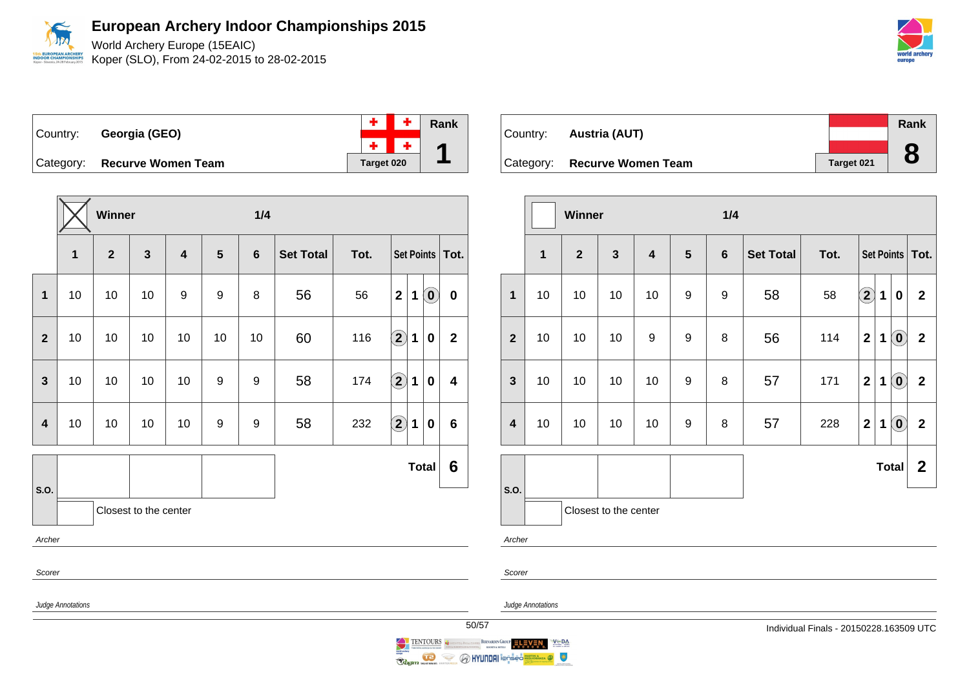World Archery Europe (15EAIC) **ROPEAN ARCHER** Koper (SLO), From 24-02-2015 to 28-02-2015 **OR CHAMPIO** 

|                              |            | $+ +$ | Rank |
|------------------------------|------------|-------|------|
| Country: Georgia (GEO)       |            |       |      |
| Category: Recurve Women Team | Target 020 |       |      |

**Winner 1/4 1 2 3 4 5 6 Set Total Tot. Set Points Tot. 1** 10 10 10 9 9 8 56 56 **2 1 0 0 2** 10 10 10 10 10 10 60 116 **2 1 0 2 3** | 10 | 10 | 10 | 10 | 9 | 9 | 58 | 174  $\boxed{2}$  **1** | 0 | 4 **4** 10 10 10 10 9 9 58 232 **2 1 0 6 S.O. Total 6** Closest to the center Archer Scorer Judge Annotations

|                               |            | Rank |
|-------------------------------|------------|------|
| Country: <b>Austria (AUT)</b> |            |      |
| Category: Recurve Women Team  | Target 021 |      |
|                               |            |      |

|                         |                       | Winner         |                 |                         |                  | 1/4              |                  |      |                         |   |                                                |                   |
|-------------------------|-----------------------|----------------|-----------------|-------------------------|------------------|------------------|------------------|------|-------------------------|---|------------------------------------------------|-------------------|
|                         | $\mathbf 1$           | $\overline{2}$ | $\mathbf{3}$    | $\overline{\mathbf{4}}$ | $5\phantom{1}$   | $6\phantom{1}$   | <b>Set Total</b> | Tot. |                         |   |                                                | Set Points   Tot. |
| $\mathbf{1}$            | 10                    | 10             | 10 <sup>1</sup> | 10                      | $\boldsymbol{9}$ | $\boldsymbol{9}$ | 58               | 58   | $\bf \Omega$            | 1 | $\mathbf 0$                                    | $\overline{2}$    |
| $\overline{2}$          | 10                    | 10             | 10              | 9                       | 9                | 8                | 56               | 114  | $\mathbf{2}$            | 1 | $\left[ \begin{matrix} 0 \end{matrix} \right]$ | $\overline{2}$    |
| $\mathbf{3}$            | 10                    | 10             | 10              | 10                      | 9                | 8                | 57               | 171  | $\overline{\mathbf{2}}$ | 1 | $\left( \mathbf{0}\right)$                     | $\mathbf{2}$      |
| $\overline{\mathbf{4}}$ | 10                    | 10             | 10              | 10                      | $\boldsymbol{9}$ | 8                | 57               | 228  | $\overline{2}$          | 1 | $\left( \mathbf{0}\right)$                     | $\overline{2}$    |
| S.O.                    |                       |                |                 |                         |                  |                  |                  |      |                         |   | Total                                          | $\mathbf{2}$      |
|                         | Closest to the center |                |                 |                         |                  |                  |                  |      |                         |   |                                                |                   |
| Archer                  |                       |                |                 |                         |                  |                  |                  |      |                         |   |                                                |                   |

Scorer

Judge Annotations



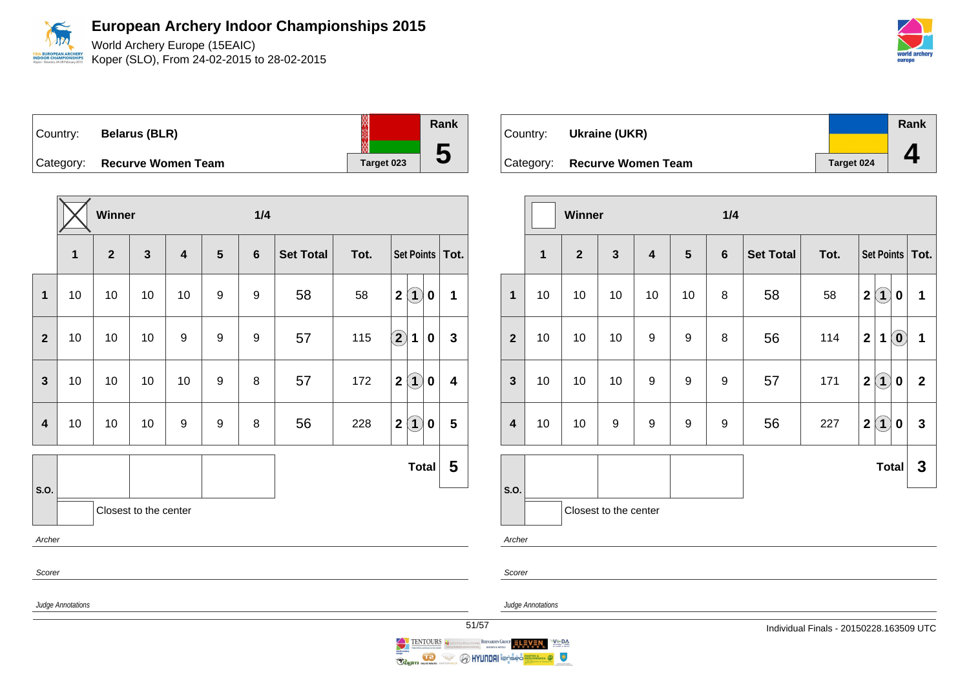

World Archery Europe (15EAIC) Koper (SLO), From 24-02-2015 to 28-02-2015



Country: **Belarus (BLR)** Category: **Recurve Women Team Target 023** 

|                         |                   | Winner       |                       |                         |                | 1/4              |                  |      |                    |                      |                         |  |
|-------------------------|-------------------|--------------|-----------------------|-------------------------|----------------|------------------|------------------|------|--------------------|----------------------|-------------------------|--|
|                         | 1                 | $\mathbf{2}$ | $\mathbf{3}$          | $\overline{\mathbf{4}}$ | $5\phantom{1}$ | $6\phantom{1}$   | <b>Set Total</b> | Tot. |                    |                      | Set Points   Tot.       |  |
| $\mathbf{1}$            | 10                | 10           | 10                    | 10                      | 9              | $\boldsymbol{9}$ | 58               | 58   | $\mathbf 2$        | $\bf(1)$<br>$\bf{0}$ | 1                       |  |
| $\mathbf{2}$            | 10                | 10           | 10                    | 9                       | 9              | 9                | 57               | 115  | $\bf \overline{2}$ | 1<br>$\bf{0}$        | $\mathbf{3}$            |  |
| $\mathbf{3}$            | 10                | 10           | 10                    | 10                      | 9              | 8                | 57               | 172  | $\mathbf 2$        | $\bf(1)$<br>$\bf{0}$ | $\overline{\mathbf{4}}$ |  |
| $\overline{\mathbf{4}}$ | 10                | 10           | 10                    | $\boldsymbol{9}$        | 9              | 8                | 56               | 228  | $\mathbf{2}$       | $\bf(1)$<br>$\bf{0}$ | 5                       |  |
| S.O.                    |                   |              |                       |                         |                |                  |                  |      |                    | <b>Total</b>         | 5                       |  |
|                         |                   |              | Closest to the center |                         |                |                  |                  |      |                    |                      |                         |  |
| Archer                  |                   |              |                       |                         |                |                  |                  |      |                    |                      |                         |  |
| Scorer                  |                   |              |                       |                         |                |                  |                  |      |                    |                      |                         |  |
|                         | Judge Annotations |              |                       |                         |                |                  |                  |      |                    |                      |                         |  |

| Country: <b>Ukraine (UKR)</b> |            | <b>Rank</b> |
|-------------------------------|------------|-------------|
| Category: Recurve Women Team  | Target 024 |             |

|                         |             | Winner                |              |                         |                  | 1/4            |                  |      |                                                 |                         |  |  |
|-------------------------|-------------|-----------------------|--------------|-------------------------|------------------|----------------|------------------|------|-------------------------------------------------|-------------------------|--|--|
|                         | $\mathbf 1$ | $\overline{2}$        | $\mathbf{3}$ | $\overline{\mathbf{4}}$ | $5\phantom{1}$   | $6\phantom{1}$ | <b>Set Total</b> | Tot. | Set Points   Tot.                               |                         |  |  |
| $\mathbf{1}$            | 10          | 10                    | 10           | 10                      | 10               | 8              | 58               | 58   | $\bf(1)$<br>$\overline{2}$<br>$\bf{0}$          | 1                       |  |  |
| $\overline{2}$          | 10          | 10                    | 10           | 9                       | 9                | 8              | 56               | 114  | $\left( \mathbf{0}\right)$<br>$\mathbf{2}$<br>1 | $\mathbf 1$             |  |  |
| $\mathbf{3}$            | 10          | 10                    | 10           | 9                       | $\boldsymbol{9}$ | 9              | 57               | 171  | $\mathbf{2}$<br>$\bf(1)$<br>0                   | $\overline{2}$          |  |  |
| $\overline{\mathbf{4}}$ | 10          | 10                    | 9            | 9                       | 9                | 9              | 56               | 227  | $\bf(1)$<br>$\mathbf{2}$<br>$\bf{0}$            | $\overline{\mathbf{3}}$ |  |  |
|                         |             |                       |              |                         |                  |                |                  |      | <b>Total</b>                                    | $\mathbf{3}$            |  |  |
| S.O.                    |             | Closest to the center |              |                         |                  |                |                  |      |                                                 |                         |  |  |
| Archer                  |             |                       |              |                         |                  |                |                  |      |                                                 |                         |  |  |
| Scorer                  |             |                       |              |                         |                  |                |                  |      |                                                 |                         |  |  |

Judge Annotations

**Rank**

**5**

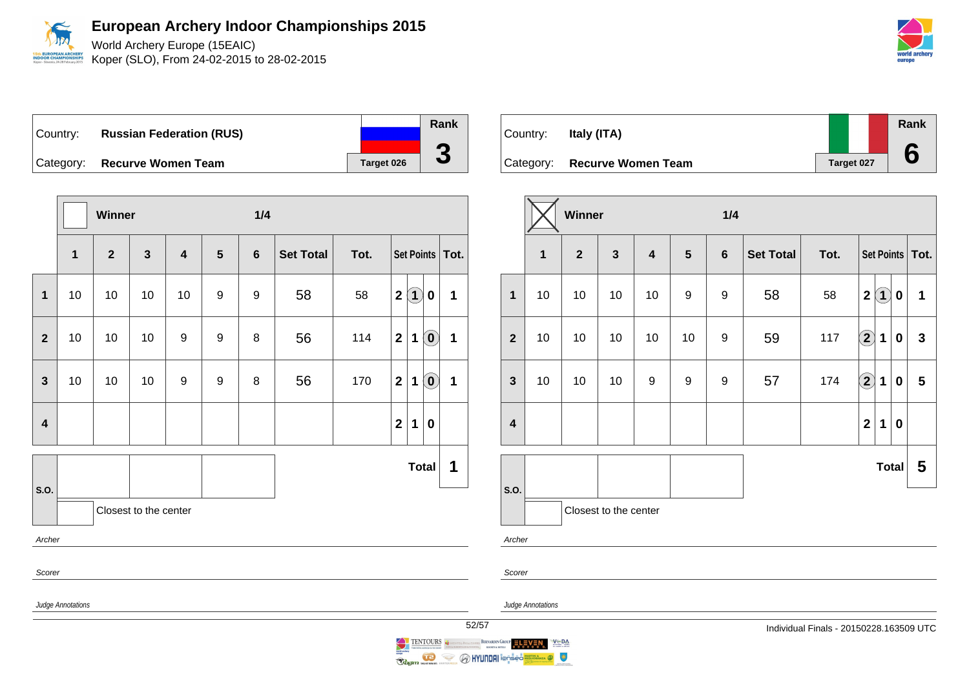

World Archery Europe (15EAIC) Koper (SLO), From 24-02-2015 to 28-02-2015

Country: **Russian Federation (RUS)** Category: **Recurve Women Team Target 026** 

|                         |                   | Winner       |                       |    |                  | 1/4              |                  |      |                                                                               |                 |
|-------------------------|-------------------|--------------|-----------------------|----|------------------|------------------|------------------|------|-------------------------------------------------------------------------------|-----------------|
|                         | $\mathbf 1$       | $\mathbf{2}$ | $\mathbf{3}$          | 4  | $5\phantom{1}$   | $6\phantom{1}6$  | <b>Set Total</b> | Tot. | Set Points                                                                    | Tot.            |
| $\mathbf{1}$            | $10$              | $10$         | 10                    | 10 | $\boldsymbol{9}$ | $\boldsymbol{9}$ | 58               | 58   | $\bf(1)$<br>$\mathbf 2$<br>$\bf{0}$                                           | 1               |
| $\overline{2}$          | 10                | 10           | 10                    | 9  | 9                | 8                | 56               | 114  | $\mathbf{2}$<br>$\left( \begin{matrix} 0 \end{matrix} \right)$<br>$\mathbf 1$ | $\mathbf 1$     |
| $\mathbf{3}$            | 10                | 10           | 10                    | 9  | 9                | 8                | 56               | 170  | $\left( \mathbf{0}\right)$<br>$\mathbf{2}$<br>1                               | 1               |
| $\overline{\mathbf{4}}$ |                   |              |                       |    |                  |                  |                  |      | $\mathbf 2$<br>$\mathbf 1$<br>$\mathbf 0$                                     |                 |
| S.O.                    |                   |              |                       |    |                  |                  |                  |      | <b>Total</b>                                                                  | 1               |
|                         |                   |              | Closest to the center |    |                  |                  |                  |      |                                                                               |                 |
| Archer                  |                   |              |                       |    |                  |                  |                  |      |                                                                               |                 |
| Scorer                  |                   |              |                       |    |                  |                  |                  |      |                                                                               |                 |
|                         | Judge Annotations |              |                       |    |                  |                  |                  |      |                                                                               | $\overline{52}$ |

| Country: | Italy (ITA)                  |            | Rank |
|----------|------------------------------|------------|------|
|          | Category: Recurve Women Team | Target 027 |      |

|                         |                     | Winner |                       |                         |                  | 1/4            |                  |      |                    |             |          |                   |
|-------------------------|---------------------|--------|-----------------------|-------------------------|------------------|----------------|------------------|------|--------------------|-------------|----------|-------------------|
|                         | 1<br>$\overline{2}$ |        | $\mathbf{3}$          | $\overline{\mathbf{4}}$ |                  | $6\phantom{1}$ | <b>Set Total</b> | Tot. |                    |             |          | Set Points   Tot. |
| $\mathbf{1}$            | 10                  | 10     | 10                    | 10                      | 9                | 9              | 58               | 58   | $\mathbf 2$        | $\bf(1)$    | 0        | 1                 |
| $\overline{2}$          | 10                  | 10     | 10                    | 10                      | 10               | 9              | 59               | 117  | $\bf \overline{2}$ | 1           | $\bf{0}$ | $\mathbf{3}$      |
| $\mathbf{3}$            | 10                  | 10     | 10                    | $\boldsymbol{9}$        | $\boldsymbol{9}$ | 9              | 57               | 174  | $\bf(2)$           | $\mathbf 1$ | $\bf{0}$ | 5                 |
| $\overline{\mathbf{4}}$ |                     |        |                       |                         |                  |                |                  |      | $\mathbf{2}$       | $\mathbf 1$ | $\bf{0}$ |                   |
|                         |                     |        |                       |                         |                  |                |                  |      |                    |             | Total    | 5                 |
| S.O.                    |                     |        | Closest to the center |                         |                  |                |                  |      |                    |             |          |                   |
| Archer                  |                     |        |                       |                         |                  |                |                  |      |                    |             |          |                   |



BERNARDIN GROUP ELEVEN

 $V \subseteq DA$ 

 $\circ$ 

Scorer

**O HYUNDAI** longed

 $\iff$ 

Ragin No

**Rank**

**3**

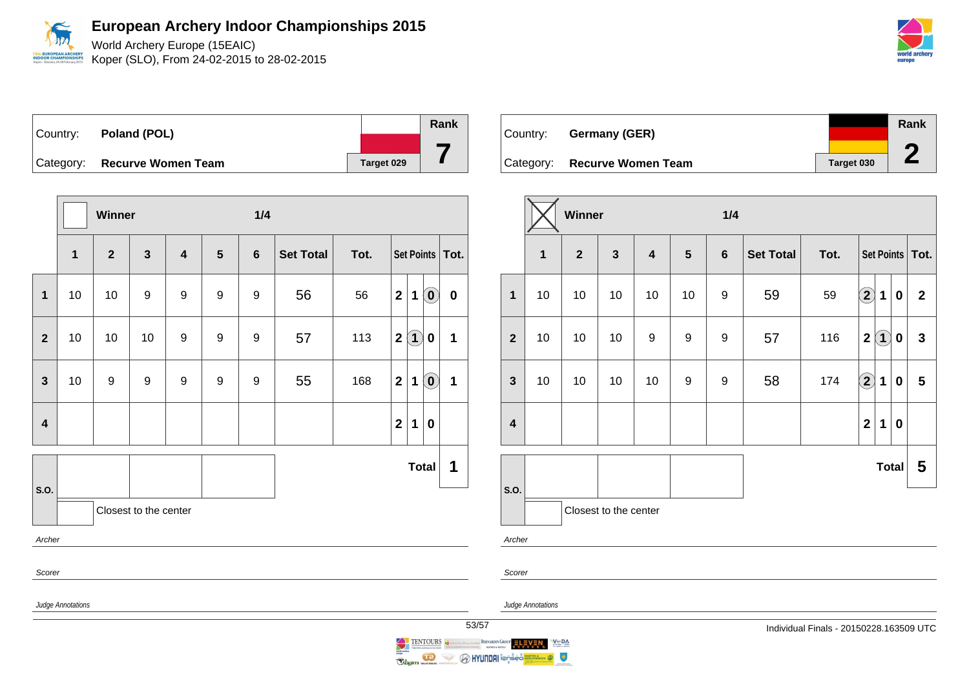World Archery Europe (15EAIC) Koper (SLO), From 24-02-2015 to 28-02-2015

| Country: <b>Poland (POL)</b> |            | Rank |
|------------------------------|------------|------|
|                              |            |      |
| Category: Recurve Women Team | Target 029 |      |

|                         |                   | <b>Winner</b>  |                       |                         |   | 1/4            |                  |      |                         |                   |                                                |                   |
|-------------------------|-------------------|----------------|-----------------------|-------------------------|---|----------------|------------------|------|-------------------------|-------------------|------------------------------------------------|-------------------|
|                         | $\mathbf{1}$      | $\overline{2}$ | $\mathbf{3}$          | $\overline{\mathbf{4}}$ | 5 | $6\phantom{1}$ | <b>Set Total</b> | Tot. |                         |                   |                                                | Set Points   Tot. |
| $\mathbf{1}$            | 10                | 10             | 9                     | $\boldsymbol{9}$        | 9 | 9              | 56               | 56   | $\overline{\mathbf{2}}$ | $\mathbf 1$       | $\left( \begin{matrix} 0 \end{matrix} \right)$ | $\mathbf 0$       |
| $\overline{2}$          | 10                | 10             | 10                    | 9                       | 9 | 9              | 57               | 113  | $\mathbf 2$             | $\left( 1\right)$ | 0                                              | $\mathbf{1}$      |
| $\overline{\mathbf{3}}$ | 10                | 9              | 9                     | 9                       | 9 | 9              | 55               | 168  | $\mathbf{2}$            | 1                 | $\left( \begin{matrix} 0 \end{matrix} \right)$ | $\mathbf{1}$      |
| $\overline{\mathbf{4}}$ |                   |                |                       |                         |   |                |                  |      | $\overline{\mathbf{2}}$ | 1                 | $\bf{0}$                                       |                   |
|                         |                   |                |                       |                         |   |                |                  |      |                         |                   | <b>Total</b>                                   | 1                 |
| S.O.                    |                   |                | Closest to the center |                         |   |                |                  |      |                         |                   |                                                |                   |
| Archer                  |                   |                |                       |                         |   |                |                  |      |                         |                   |                                                |                   |
| Scorer                  |                   |                |                       |                         |   |                |                  |      |                         |                   |                                                |                   |
|                         | Judge Annotations |                |                       |                         |   |                |                  |      |                         |                   |                                                | 5                 |

| Country:  | Germany (GER)             |            | Rank |
|-----------|---------------------------|------------|------|
| Category: | <b>Recurve Women Team</b> | Target 030 |      |

|                         |                                                | Winner                |    |                                                             |    | 1/4              |                          |     |                   |             |          |                 |
|-------------------------|------------------------------------------------|-----------------------|----|-------------------------------------------------------------|----|------------------|--------------------------|-----|-------------------|-------------|----------|-----------------|
|                         | $\overline{\mathbf{3}}$<br>$\overline{2}$<br>1 |                       |    | $\overline{\mathbf{4}}$<br>$5\phantom{1}$<br>$6\phantom{a}$ |    |                  | <b>Set Total</b><br>Tot. |     | Set Points   Tot. |             |          |                 |
| $\mathbf{1}$            | 10                                             | 10                    | 10 | 10                                                          | 10 | 9                | 59                       | 59  | $\bf(2)$          | 1           | $\bf{0}$ | $\overline{2}$  |
| $\overline{2}$          | 10                                             | 10                    | 10 | $\boldsymbol{9}$                                            | 9  | $\boldsymbol{9}$ | 57                       | 116 | $\mathbf{2}$      | $\bf(1)$    | 0        | $\mathbf{3}$    |
| $\mathbf{3}$            | 10                                             | 10                    | 10 | 10                                                          | 9  | 9                | 58                       | 174 | $\bf(2)$          | $\mathbf 1$ | 0        | $5\phantom{.0}$ |
| $\overline{\mathbf{4}}$ |                                                |                       |    |                                                             |    |                  |                          |     | $\boldsymbol{2}$  | 1           | 0        |                 |
|                         | Total                                          |                       |    |                                                             |    |                  |                          |     |                   |             |          | 5               |
| S.O.                    |                                                | Closest to the center |    |                                                             |    |                  |                          |     |                   |             |          |                 |
| Archer                  |                                                |                       |    |                                                             |    |                  |                          |     |                   |             |          |                 |

Judge Annotations

 $V = DA$ 

RÂNZA O

BERNARDIN GROUP ELEVEN

Scorer



**Example 1996** MYUNDAI Tensis

ENTOURS de

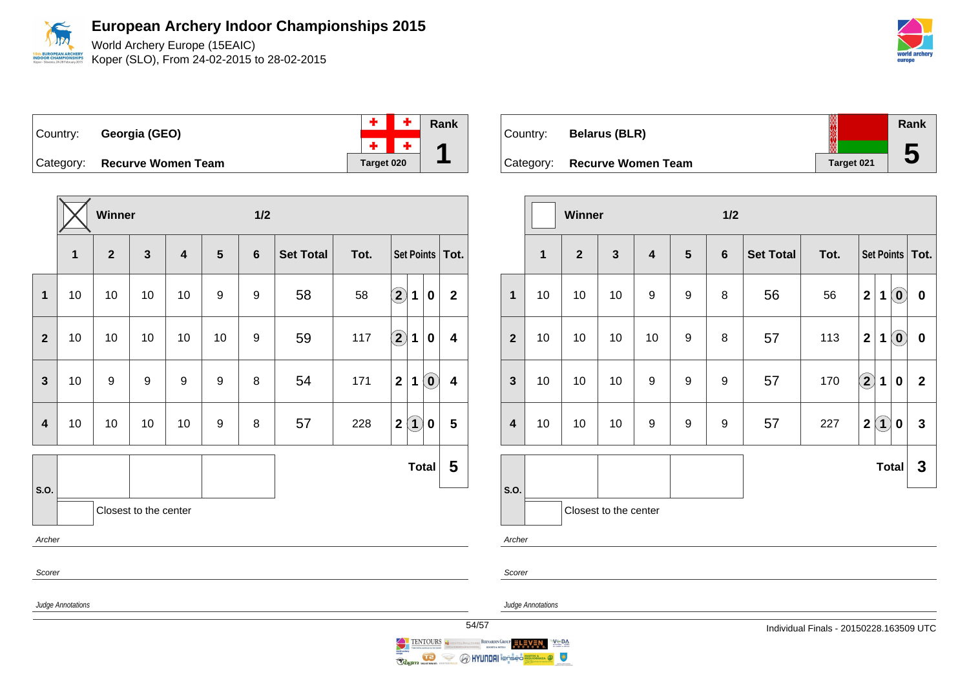World Archery Europe (15EAIC) Koper (SLO), From 24-02-2015 to 28-02-2015



|           |                           |            |         | $+$ $+$ $\overline{ }$ Rank |
|-----------|---------------------------|------------|---------|-----------------------------|
| Country:  | Georgia (GEO)             |            | $+ + +$ |                             |
| Category: | <b>Recurve Women Team</b> | Target 020 |         |                             |

|                         |                   | Winner           |                       |                         |                  | 1/2              |                  |      |                                                                      |                         |
|-------------------------|-------------------|------------------|-----------------------|-------------------------|------------------|------------------|------------------|------|----------------------------------------------------------------------|-------------------------|
|                         | $\mathbf{1}$      | $\overline{2}$   | $\mathbf{3}$          | $\overline{\mathbf{4}}$ | 5                | $6\phantom{1}$   | <b>Set Total</b> | Tot. | Set Points   Tot.                                                    |                         |
| $\mathbf{1}$            | 10                | 10               | 10                    | 10                      | $\boldsymbol{9}$ | $\boldsymbol{9}$ | 58               | 58   | $\widehat{\mathbf{2}}$<br>$\mathbf 1$<br>$\bf{0}$                    | $\mathbf{2}$            |
| $\mathbf{2}$            | 10                | 10               | 10                    | 10                      | 10               | 9                | 59               | 117  | $\mathbf{2}$<br>1<br>$\bf{0}$                                        | $\overline{\mathbf{4}}$ |
| $\mathbf{3}$            | 10                | $\boldsymbol{9}$ | 9                     | 9                       | 9                | 8                | 54               | 171  | $\overline{\mathbf{2}}$<br>$\left( \mathbf{0}\right)$<br>$\mathbf 1$ | $\overline{\mathbf{4}}$ |
| $\overline{\mathbf{4}}$ | 10                | 10               | 10                    | 10                      | 9                | 8                | 57               | 228  | $\left( \mathbf{1}\right)$<br>$\mathbf 2$<br>$\bf{0}$                | $\overline{\mathbf{5}}$ |
|                         |                   |                  |                       |                         |                  |                  |                  |      | <b>Total</b>                                                         | 5                       |
| S.O.                    |                   |                  | Closest to the center |                         |                  |                  |                  |      |                                                                      |                         |
| Archer                  |                   |                  |                       |                         |                  |                  |                  |      |                                                                      |                         |
| Scorer                  |                   |                  |                       |                         |                  |                  |                  |      |                                                                      |                         |
|                         | Judge Annotations |                  |                       |                         |                  |                  |                  |      |                                                                      | 54/                     |

| Country:  | <b>Belarus (BLR)</b>      | ▒          | Rank                    |
|-----------|---------------------------|------------|-------------------------|
| Category: | <b>Recurve Women Team</b> | Target 021 | $\overline{\mathbf{c}}$ |

|                         |             | Winner         |                       |                  |                |                | 1/2              |      |                                                            |              |  |
|-------------------------|-------------|----------------|-----------------------|------------------|----------------|----------------|------------------|------|------------------------------------------------------------|--------------|--|
|                         | $\mathbf 1$ | $\overline{2}$ | $\mathbf{3}$          | 4                | $5\phantom{1}$ | $6\phantom{1}$ | <b>Set Total</b> | Tot. | Set Points   Tot.                                          |              |  |
| $\mathbf{1}$            | 10          | 10             | 10                    | $\boldsymbol{9}$ | 9              | 8              | 56               | 56   | $\left( \mathbf{0}\right)$<br>$\overline{\mathbf{2}}$<br>1 | $\pmb{0}$    |  |
| $\overline{2}$          | 10          | 10             | 10                    | 10               | 9              | 8              | 57               | 113  | $\overline{\mathbf{2}}$<br>$\left( \mathbf{0}\right)$<br>1 | $\pmb{0}$    |  |
| $\mathbf{3}$            | 10          | 10             | 10                    | $\boldsymbol{9}$ | 9              | 9              | 57               | 170  | $\left( \mathbf{2}\right)$<br>1<br>$\bf{0}$                | $\mathbf{2}$ |  |
| $\overline{\mathbf{4}}$ | 10          | 10             | 10                    | 9                | 9              | 9              | 57               | 227  | $\bf(1)$<br>$\overline{\mathbf{2}}$<br>$\mathbf 0$         | $\mathbf{3}$ |  |
|                         |             |                |                       |                  |                |                |                  |      | <b>Total</b>                                               | 3            |  |
| S.O.                    |             |                | Closest to the center |                  |                |                |                  |      |                                                            |              |  |
| Archer                  |             |                |                       |                  |                |                |                  |      |                                                            |              |  |

Judge Annotations

 $V \subseteq BA$ 

 $\bullet$ 

Scorer

BERNARDIN GROUP ELEVEN

**O HYUNDAI** ionseo

TENTOURS

 $\iff$ 

Ragin

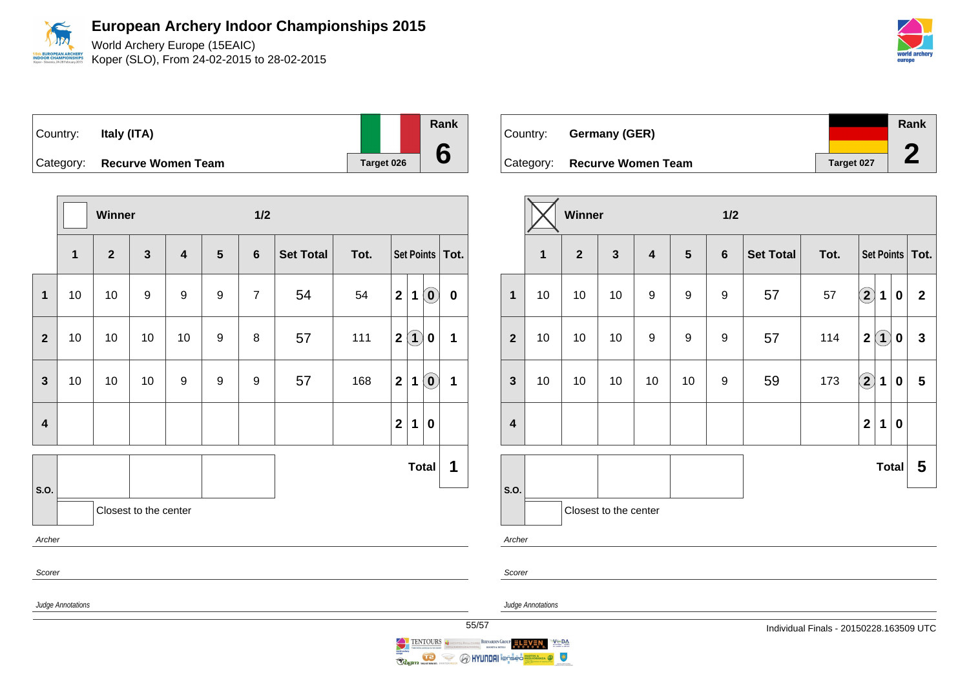World Archery Europe (15EAIC) Koper (SLO), From 24-02-2015 to 28-02-2015

|        | world archery |  |
|--------|---------------|--|
| eurone |               |  |

| Country:  | Italy (ITA)               |  |                   | Rank |
|-----------|---------------------------|--|-------------------|------|
|           |                           |  |                   |      |
| Category: | <b>Recurve Women Team</b> |  | <b>Target 026</b> |      |

|                         |                   | Winner         |                       |                         |                | 1/2            |                  |      |                  |                   |                                                         |                   |
|-------------------------|-------------------|----------------|-----------------------|-------------------------|----------------|----------------|------------------|------|------------------|-------------------|---------------------------------------------------------|-------------------|
|                         | $\mathbf{1}$      | $\overline{2}$ | $\mathbf{3}$          | $\overline{\mathbf{4}}$ | $5\phantom{1}$ | $6\phantom{1}$ | <b>Set Total</b> | Tot. |                  |                   |                                                         | Set Points   Tot. |
| $\mathbf 1$             | 10                | 10             | $\boldsymbol{9}$      | 9                       | 9              | $\overline{7}$ | 54               | 54   | $\mathbf 2$      | $\mathbf 1$       | $\left( \begin{matrix} \textbf{0} \end{matrix} \right)$ | $\pmb{0}$         |
| $\overline{2}$          | 10                | 10             | 10                    | 10                      | 9              | 8              | 57               | 111  | $\mathbf 2$      | $\left( 1\right)$ | 0                                                       | $\mathbf 1$       |
| 3                       | 10                | 10             | 10                    | 9                       | 9              | 9              | 57               | 168  | $\boldsymbol{2}$ | 1                 | $\left( \mathbf{0}\right)$                              | $\mathbf{1}$      |
| $\overline{\mathbf{4}}$ |                   |                |                       |                         |                |                |                  |      | $\mathbf{2}$     | $\mathbf 1$       | $\bf{0}$                                                |                   |
|                         |                   |                |                       |                         |                |                |                  |      |                  | <b>Total</b>      |                                                         | 1                 |
| S.O.                    |                   |                | Closest to the center |                         |                |                |                  |      |                  |                   |                                                         |                   |
| Archer                  |                   |                |                       |                         |                |                |                  |      |                  |                   |                                                         |                   |
| Scorer                  |                   |                |                       |                         |                |                |                  |      |                  |                   |                                                         |                   |
|                         | Judge Annotations |                |                       |                         |                |                |                  |      |                  |                   |                                                         | 55                |

| Country: | Germany (GER)                |            | <b>Rank</b> |
|----------|------------------------------|------------|-------------|
|          |                              |            |             |
|          | Category: Recurve Women Team | Target 027 |             |

|                         |              | Winner         |                       |    |                 | 1/2     |                  |      |                            |              |                  |                   |
|-------------------------|--------------|----------------|-----------------------|----|-----------------|---------|------------------|------|----------------------------|--------------|------------------|-------------------|
|                         | $\mathbf{1}$ | $\overline{2}$ | $\mathbf{3}$          | 4  | $5\phantom{.0}$ | $\bf 6$ | <b>Set Total</b> | Tot. |                            |              |                  | Set Points   Tot. |
| $\mathbf{1}$            | 10           | 10             | 10                    | 9  | 9               | 9       | 57               | 57   | $\bf{(2)}$                 | 1            | 0                | $\mathbf{2}$      |
| $\overline{2}$          | 10           | 10             | 10                    | 9  | 9               | 9       | 57               | 114  | $\mathbf{2}$               | $\bf(1)$     | $\boldsymbol{0}$ | $\mathbf{3}$      |
| $\mathbf{3}$            | 10           | 10             | 10                    | 10 | 10              | 9       | 59               | 173  | $\left( \mathbf{2}\right)$ | 1            | 0                | $5\phantom{.0}$   |
| $\overline{\mathbf{4}}$ |              |                |                       |    |                 |         |                  |      | $\mathbf{2}$               | 1            | $\bf{0}$         |                   |
|                         |              |                |                       |    |                 |         |                  |      |                            | <b>Total</b> |                  | 5                 |
| S.O.                    |              |                | Closest to the center |    |                 |         |                  |      |                            |              |                  |                   |

Archer

Scorer

Judge Annotations

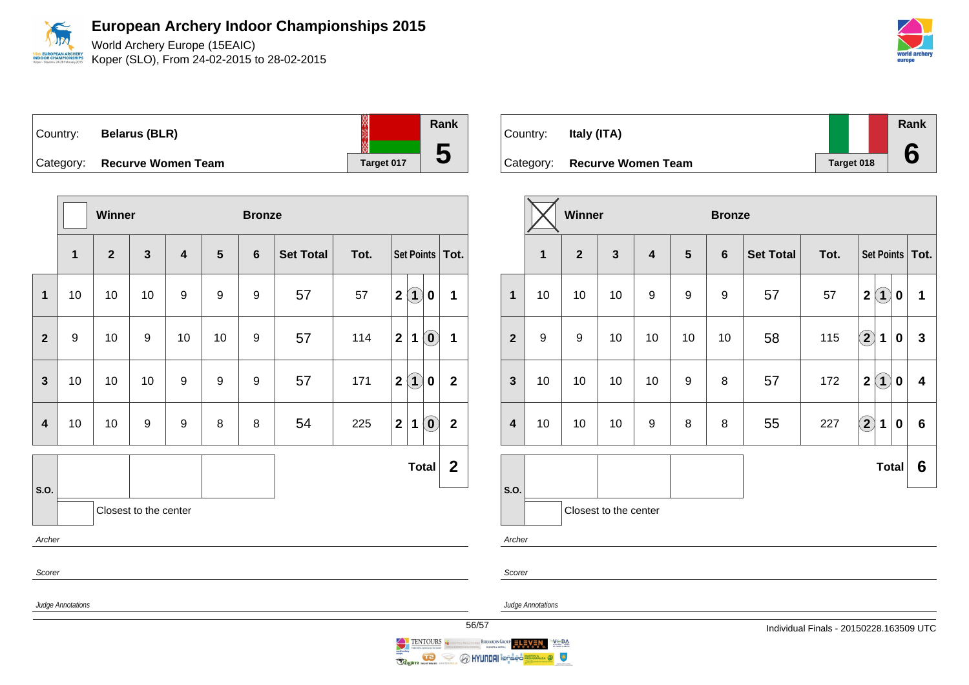World Archery Europe (15EAIC) Koper (SLO), From 24-02-2015 to 28-02-2015

| world archery |  |  |
|---------------|--|--|
| europe        |  |  |

 $-$ 

| Country:  | <b>Belarus (BLR)</b>      | ▧          |
|-----------|---------------------------|------------|
| Category: | <b>Recurve Women Team</b> | Target 017 |

|                         |                   | <b>Winner</b> |                       |                         |                         | <b>Bronze</b> |                  |      |                                                                               |              |
|-------------------------|-------------------|---------------|-----------------------|-------------------------|-------------------------|---------------|------------------|------|-------------------------------------------------------------------------------|--------------|
|                         | $\mathbf{1}$      | $\mathbf{2}$  | $\mathbf{3}$          | $\overline{\mathbf{4}}$ | $\overline{\mathbf{5}}$ | 6             | <b>Set Total</b> | Tot. | <b>Set Points</b>                                                             | Tot.         |
| $\mathbf{1}$            | 10                | $10$          | 10                    | 9                       | 9                       | 9             | 57               | 57   | $\mathbf{1}$<br>$\mathbf 2$<br>0                                              | 1            |
| $\overline{2}$          | $\boldsymbol{9}$  | 10            | 9                     | 10                      | 10                      | 9             | 57               | 114  | $\left( \mathbf{0}\right)$<br>$\mathbf 2$<br>$\mathbf 1$                      | $\mathbf 1$  |
| $\mathbf{3}$            | 10                | 10            | 10                    | 9                       | 9                       | 9             | 57               | 171  | $\bf(1)$<br>$\boldsymbol{2}$<br>$\mathbf 0$                                   | $\mathbf 2$  |
| $\overline{\mathbf{4}}$ | 10                | 10            | 9                     | 9                       | 8                       | 8             | 54               | 225  | $\left( \begin{matrix} 0 \end{matrix} \right)$<br>$\mathbf{2}$<br>$\mathbf 1$ | $\mathbf{2}$ |
|                         |                   |               |                       |                         |                         |               |                  |      | <b>Total</b>                                                                  | $\mathbf{2}$ |
| S.O.                    |                   |               | Closest to the center |                         |                         |               |                  |      |                                                                               |              |
| Archer                  |                   |               |                       |                         |                         |               |                  |      |                                                                               |              |
| Scorer                  |                   |               |                       |                         |                         |               |                  |      |                                                                               |              |
|                         | Judge Annotations |               |                       |                         |                         |               |                  |      |                                                                               | 56           |

| Country: | Italy (ITA)                  |            | Rank |
|----------|------------------------------|------------|------|
|          | Category: Recurve Women Team | Target 018 |      |

|                         | <b>Winner</b>    |                |                       |                         |                | <b>Bronze</b>  |                  |      |                                       |              |
|-------------------------|------------------|----------------|-----------------------|-------------------------|----------------|----------------|------------------|------|---------------------------------------|--------------|
|                         | $\mathbf{1}$     | $\overline{2}$ | $\mathbf{3}$          | $\overline{\mathbf{4}}$ | $5\phantom{1}$ | $6\phantom{1}$ | <b>Set Total</b> | Tot. | Set Points   Tot.                     |              |
| $\mathbf{1}$            | 10               | 10             | 10                    | 9                       | 9              | 9              | 57               | 57   | (1)<br>$\mathbf 2$<br>$\bf{0}$        | 1            |
| $\overline{2}$          | $\boldsymbol{9}$ | 9              | 10                    | 10                      | 10             | 10             | 58               | 115  | $\bf{(2)}$<br>$\mathbf 1$<br>$\bf{0}$ | $\mathbf{3}$ |
| $\mathbf{3}$            | 10               | 10             | 10                    | 10                      | 9              | 8              | 57               | 172  | $\bf(1)$<br>$\boldsymbol{2}$<br>0     | 4            |
| $\overline{\mathbf{4}}$ | 10               | 10             | 10                    | $\boldsymbol{9}$        | 8              | 8              | 55               | 227  | $\bf{(2)}$<br>1<br>$\bf{0}$           | 6            |
|                         |                  |                |                       |                         |                |                |                  |      | Total                                 | 6            |
| S.O.                    |                  |                | Closest to the center |                         |                |                |                  |      |                                       |              |
| Archer                  |                  |                |                       |                         |                |                |                  |      |                                       |              |

Judge Annotations

Scorer

**Rank**

**5**